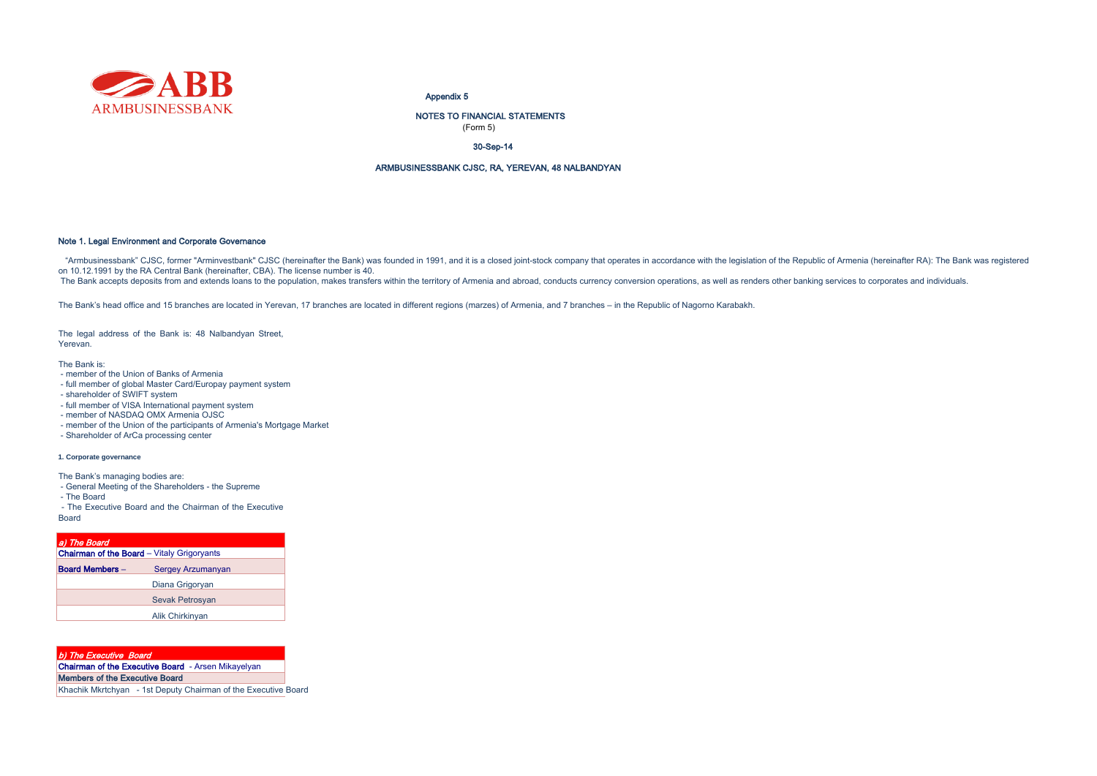

#### Appendix 5

(Form 5) NOTES TO FINANCIAL STATEMENTS

30-Sep-14

#### ARMBUSINESSBANK CJSC, RA, YEREVAN, 48 NALBANDYAN

#### Note 1. Legal Environment and Corporate Governance

"Armbusinessbank" CJSC, former "Arminvestbank" CJSC (hereinafter the Bank) was founded in 1991, and it is a closed joint-stock company that operates in accordance with the legislation of the Republic of Armenia (hereinafte on 10.12.1991 by the RA Central Bank (hereinafter, CBA). The license number is 40.

The Bank accepts deposits from and extends loans to the population, makes transfers within the territory of Armenia and abroad, conducts currency conversion operations, as well as renders other banking services to corporat

The Bank's head office and 15 branches are located in Yerevan, 17 branches are located in different regions (marzes) of Armenia, and 7 branches – in the Republic of Nagorno Karabakh.

The legal address of the Bank is: 48 Nalbandyan Street, Yerevan.

The Bank is:

- member of the Union of Banks of Armenia
- full member of global Master Card/Europay payment system
- shareholder of SWIFT system
- full member of VISA International payment system
- member of NASDAQ OMX Armenia OJSC
- member of the Union of the participants of Armenia's Mortgage Market
- Shareholder of ArCa processing center

#### **1. Corporate governance**

The Bank's managing bodies are:

- General Meeting of the Shareholders the Supreme
- The Board
- The Executive Board and the Chairman of the Executive Board

| a) The Board                                      |                        |
|---------------------------------------------------|------------------------|
| <b>Chairman of the Board</b> - Vitaly Grigoryants |                        |
| <b>Board Members -</b>                            | Sergey Arzumanyan      |
|                                                   | Diana Grigoryan        |
|                                                   | <b>Sevak Petrosvan</b> |
|                                                   | Alik Chirkinyan        |

| b) The Executive Board                                    |  |
|-----------------------------------------------------------|--|
| <b>Chairman of the Executive Board</b> - Arsen Mikayelyan |  |
| <b>Members of the Executive Board</b>                     |  |

Khachik Mkrtchyan - 1st Deputy Chairman of the Executive Board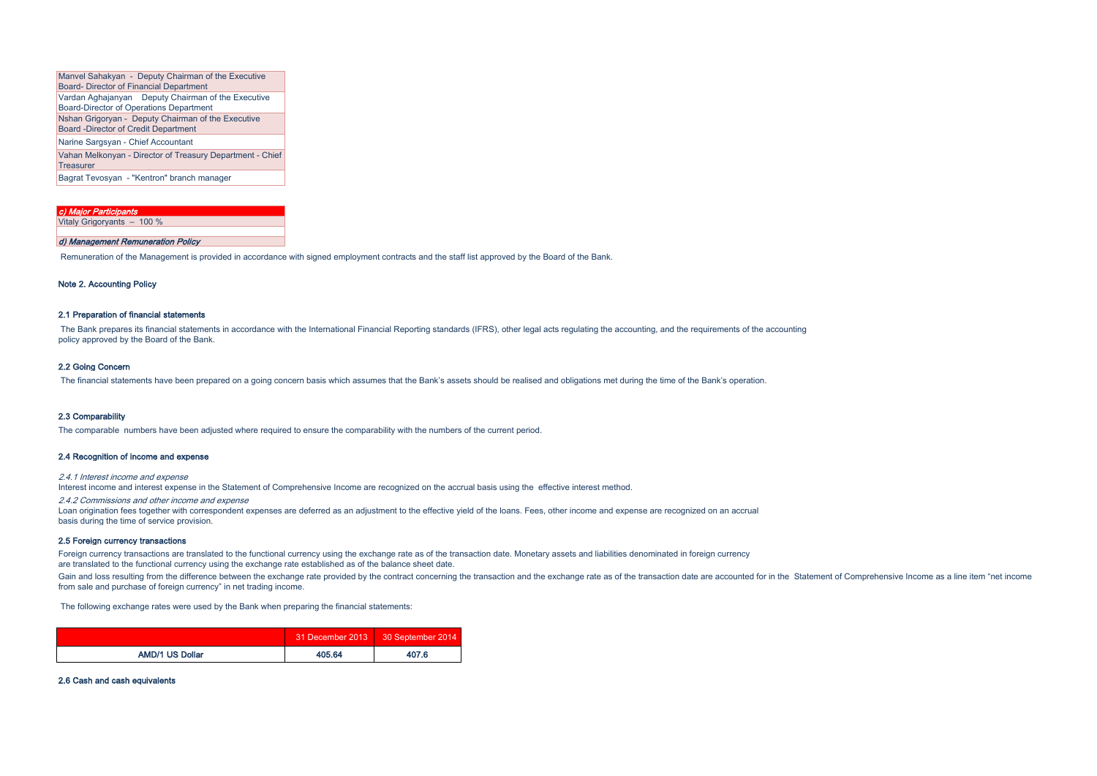| Manvel Sahakyan - Deputy Chairman of the Executive        |  |  |  |  |
|-----------------------------------------------------------|--|--|--|--|
| <b>Board- Director of Financial Department</b>            |  |  |  |  |
| Vardan Aghajanyan Deputy Chairman of the Executive        |  |  |  |  |
| <b>Board-Director of Operations Department</b>            |  |  |  |  |
| Nshan Grigoryan - Deputy Chairman of the Executive        |  |  |  |  |
| <b>Board -Director of Credit Department</b>               |  |  |  |  |
| Narine Sargsyan - Chief Accountant                        |  |  |  |  |
| Vahan Melkonyan - Director of Treasury Department - Chief |  |  |  |  |
| Treasurer                                                 |  |  |  |  |
| Bagrat Tevosyan - "Kentron" branch manager                |  |  |  |  |

| c) Major Participants             |
|-----------------------------------|
| Vitaly Grigoryants - 100 %        |
|                                   |
| d) Management Remuneration Policy |

Remuneration of the Management is provided in accordance with signed employment contracts and the staff list approved by the Board of the Bank.

#### Note 2. Accounting Policy

## 2.1 Preparation of financial statements

The Bank prepares its financial statements in accordance with the International Financial Reporting standards (IFRS), other legal acts regulating the accounting, and the requirements of the accounting policy approved by the Board of the Bank.

#### 2.2 Going Concern

The financial statements have been prepared on a going concern basis which assumes that the Bank's assets should be realised and obligations met during the time of the Bank's operation.

#### 2.3 Comparability

The comparable numbers have been adjusted where required to ensure the comparability with the numbers of the current period.

#### 2.4 Recognition of income and expense

2.4.1 Interest income and expense

Interest income and interest expense in the Statement of Comprehensive Income are recognized on the accrual basis using the effective interest method.

2.4.2 Commissions and other income and expense

Loan origination fees together with correspondent expenses are deferred as an adjustment to the effective yield of the loans. Fees, other income and expense are recognized on an accrual basis during the time of service provision.

#### 2.5 Foreign currency transactions

Foreign currency transactions are translated to the functional currency using the exchange rate as of the transaction date. Monetary assets and liabilities denominated in foreign currency are translated to the functional currency using the exchange rate established as of the balance sheet date.

Gain and loss resulting from the difference between the exchange rate provided by the contract concerning the transaction and the exchange rate as of the transaction date are accounted for in the Statement of Comprehensive from sale and purchase of foreign currency" in net trading income.

The following exchange rates were used by the Bank when preparing the financial statements:

|                        |        | 31 December 2013 30 September 2014 |
|------------------------|--------|------------------------------------|
| <b>AMD/1 US Dollar</b> | 405.64 | 407.6                              |

#### 2.6 Cash and cash equivalents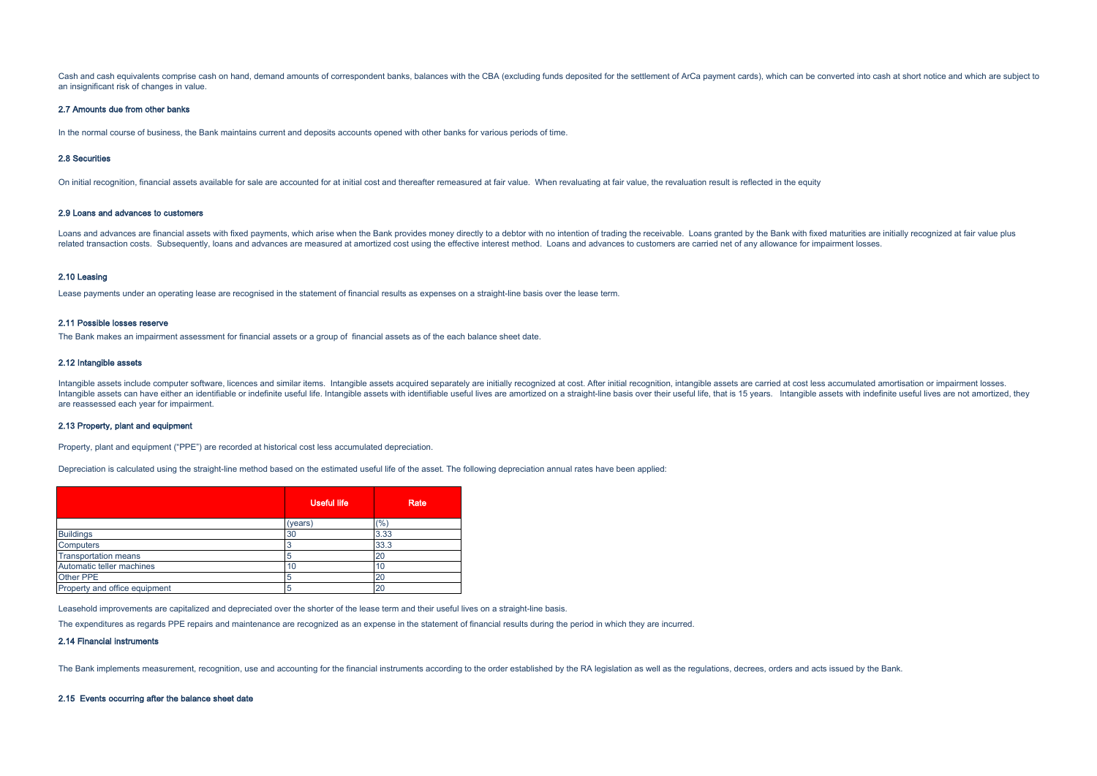Cash and cash equivalents comprise cash on hand, demand amounts of correspondent banks, balances with the CBA (excluding funds deposited for the settlement of ArCa payment cards), which can be converted into cash at short an insignificant risk of changes in value.

#### 2.7 Amounts due from other banks

In the normal course of business, the Bank maintains current and deposits accounts opened with other banks for various periods of time.

#### 2.8 Securities

On initial recognition, financial assets available for sale are accounted for at initial cost and thereafter remeasured at fair value. When revaluating at fair value, the revaluation result is reflected in the equity

#### 2.9 Loans and advances to customers

Loans and advances are financial assets with fixed payments, which arise when the Bank provides money directly to a debtor with no intention of trading the receivable. Loans granted by the Bank with fixed maturities are in related transaction costs. Subsequently, loans and advances are measured at amortized cost using the effective interest method. Loans and advances to customers are carried net of any allowance for impairment losses.

#### 2.10 Leasing

Lease payments under an operating lease are recognised in the statement of financial results as expenses on a straight-line basis over the lease term.

#### 2.11 Possible losses reserve

The Bank makes an impairment assessment for financial assets or a group of financial assets as of the each balance sheet date.

#### 2.12 Intangible assets

Intangible assets include computer software, licences and similar items Intangible assets acquired separately are initially recognized at cost. After initial recognition, intangible assets are carried at cost listes acquir Intangible assets can have either an identifiable or indefinite useful life. Intangible assets with identifiable useful lives are amortized on a straight-line basis over their useful life. that is 15 years. Intangible asse are reassessed each year for impairment.

#### 2.13 Property, plant and equipment

Property, plant and equipment ("PPE") are recorded at historical cost less accumulated depreciation.

Depreciation is calculated using the straight-line method based on the estimated useful life of the asset. The following depreciation annual rates have been applied:

|                               | Useful life | Rate |
|-------------------------------|-------------|------|
|                               | (years)     | (%)  |
| <b>Buildings</b>              | 30          | 3.33 |
| <b>Computers</b>              |             | 33.3 |
| <b>Transportation means</b>   |             | 20   |
| Automatic teller machines     | 10          | 10   |
| Other PPE                     | 5           | 20   |
| Property and office equipment | 5           | 20   |

Leasehold improvements are capitalized and depreciated over the shorter of the lease term and their useful lives on a straight-line basis.

The expenditures as regards PPE repairs and maintenance are recognized as an expense in the statement of financial results during the period in which they are incurred.

#### 2.14 Financial instruments

The Bank implements measurement, recognition, use and accounting for the financial instruments according to the order established by the RA legislation as well as the regulations, decrees, orders and acts issued by the Ban

#### 2.15 Events occurring after the balance sheet date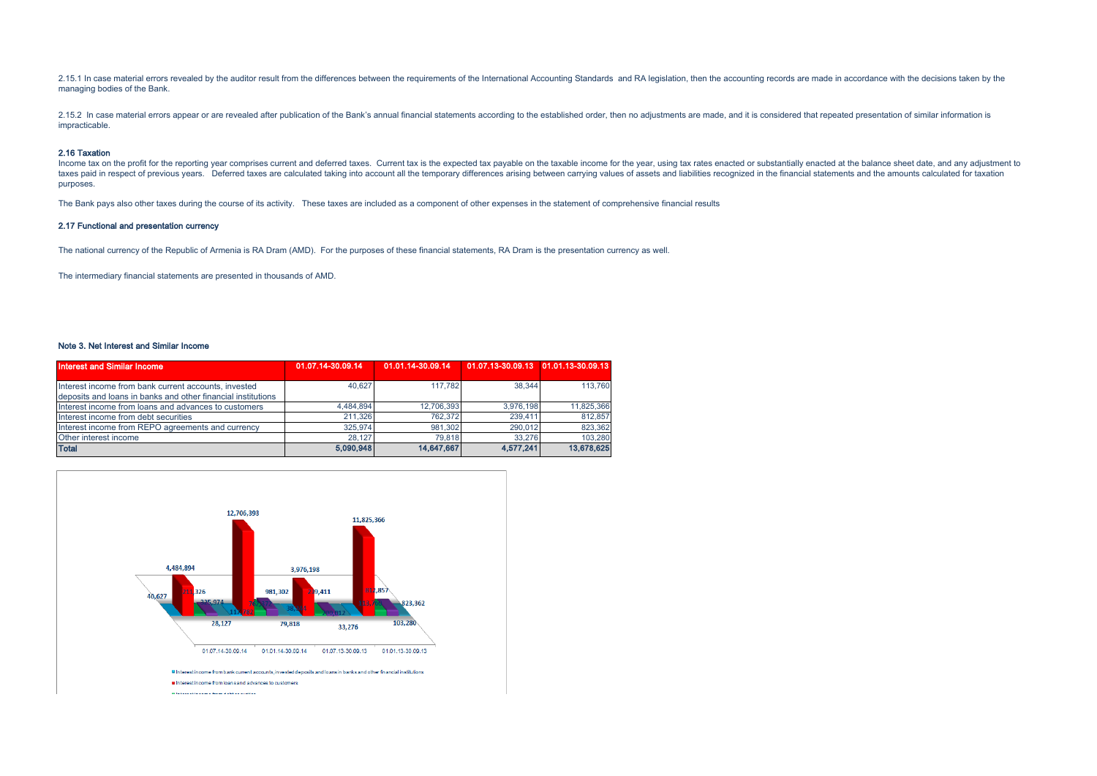2.15.1 In case material errors revealed by the auditor result from the differences between the requirements of the International Accounting Standards and RA legislation, then the accounting records are made in accordance w managing bodies of the Bank.

2.15.2 In case material errors appear or are revealed after publication of the Bank's annual financial statements according to the established order, then no adjustments are made, and it is considered that repeated present impracticable.

#### 2.16 Taxation

Income tax on the profit for the reporting year comprises current and deferred taxes. Current tax is the expected tax payable on the taxable income for the year, using tax rates enacted or substantially enacted at the bala taxes paid in respect of previous years. Deferred taxes are calculated taking into account all the temporary differences arising between carrying values of assets and liabilities recognized in the financial statements and purposes.

The Bank pays also other taxes during the course of its activity. These taxes are included as a component of other expenses in the statement of comprehensive financial results

#### 2.17 Functional and presentation currency

The national currency of the Republic of Armenia is RA Dram (AMD). For the purposes of these financial statements, RA Dram is the presentation currency as well.

The intermediary financial statements are presented in thousands of AMD.

#### Note 3. Net Interest and Similar Income

| <b>Interest and Similar Income</b>                           | 01.07.14-30.09.14 | 01.01.14-30.09.14 | 01.07.13-30.09.13 01.01.13-30.09.13 |            |
|--------------------------------------------------------------|-------------------|-------------------|-------------------------------------|------------|
|                                                              |                   |                   |                                     |            |
| Interest income from bank current accounts, invested         | 40.627            | 117.782           | 38.344                              | 113,760    |
| deposits and loans in banks and other financial institutions |                   |                   |                                     |            |
| Interest income from loans and advances to customers         | 4.484.894         | 12.706.393        | 3.976.198                           | 11,825,366 |
| Interest income from debt securities                         | 211.326           | 762.372           | 239.411                             | 812,857    |
| Interest income from REPO agreements and currency            | 325.974           | 981.302           | 290.012                             | 823,362    |
| Other interest income                                        | 28.127            | 79.818            | 33.276                              | 103.280    |
| <b>Total</b>                                                 | 5.090.948         | 14.647.667        | 4.577.241                           | 13,678,625 |

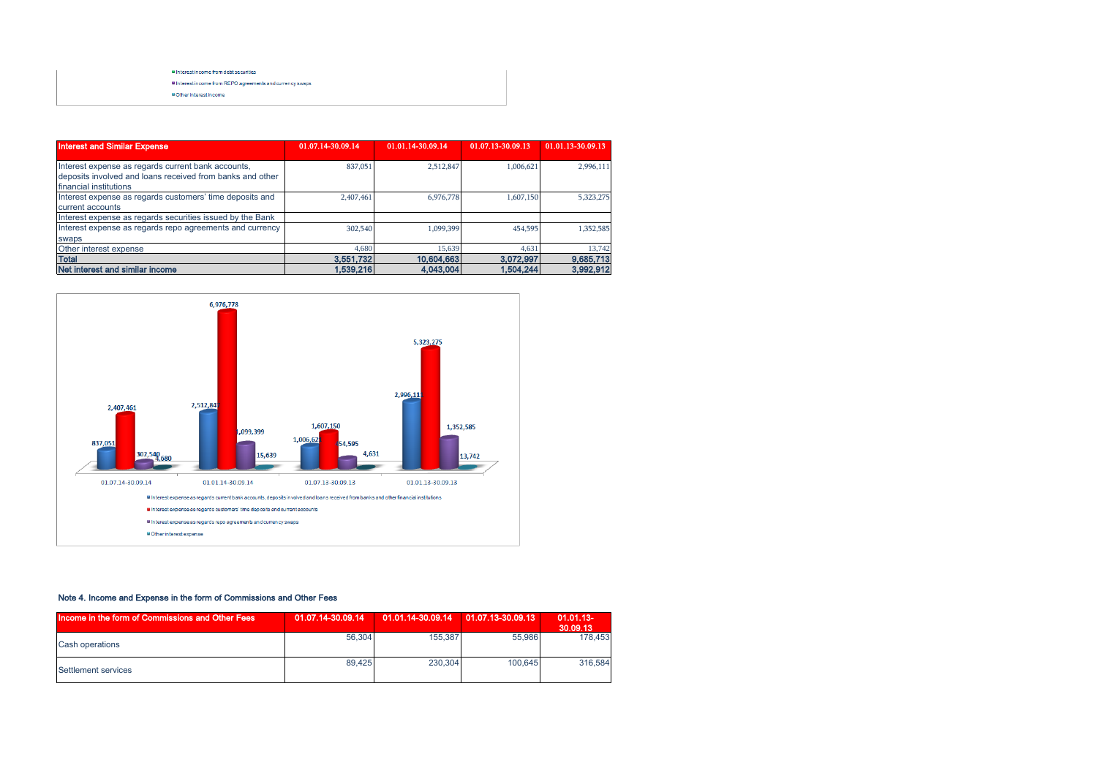#### Interest income from dept securities

I Interest income from REPO agreements and currency swaps

**WOther interest income** 

| <b>Interest and Similar Expense</b>                                                                                                       | 01.07.14-30.09.14 | 01.01.14-30.09.14 | 01.07.13-30.09.13 | 01.01.13-30.09.13 |
|-------------------------------------------------------------------------------------------------------------------------------------------|-------------------|-------------------|-------------------|-------------------|
| Interest expense as regards current bank accounts,<br>deposits involved and loans received from banks and other<br>financial institutions | 837,051           | 2,512,847         | 1,006,621         | 2,996,111         |
| Interest expense as regards customers' time deposits and<br>current accounts                                                              | 2,407,461         | 6,976,778         | 1,607,150         | 5,323,275         |
| Interest expense as regards securities issued by the Bank                                                                                 |                   |                   |                   |                   |
| Interest expense as regards repo agreements and currency<br>swaps                                                                         | 302,540           | 1.099.399         | 454,595           | 1,352,585         |
| Other interest expense                                                                                                                    | 4.680             | 15.639            | 4.631             | 13,742            |
| <b>Total</b>                                                                                                                              | 3.551.732         | 10.604.663        | 3.072.997         | 9.685,713         |
| Net interest and similar income                                                                                                           | 1.539.216         | 4.043.004         | 1.504.244         | 3,992,912         |



# Note 4. Income and Expense in the form of Commissions and Other Fees

| Income in the form of Commissions and Other Fees | 01.07.14-30.09.14 | 01.01.14-30.09.14   01.07.13-30.09.13 |         | $01.01.13 -$<br>30.09.13 |
|--------------------------------------------------|-------------------|---------------------------------------|---------|--------------------------|
| <b>Cash operations</b>                           | 56.304            | 155,387                               | 55,986  | 178,453                  |
| Settlement services                              | 89.425            | 230.304                               | 100.645 | 316,584                  |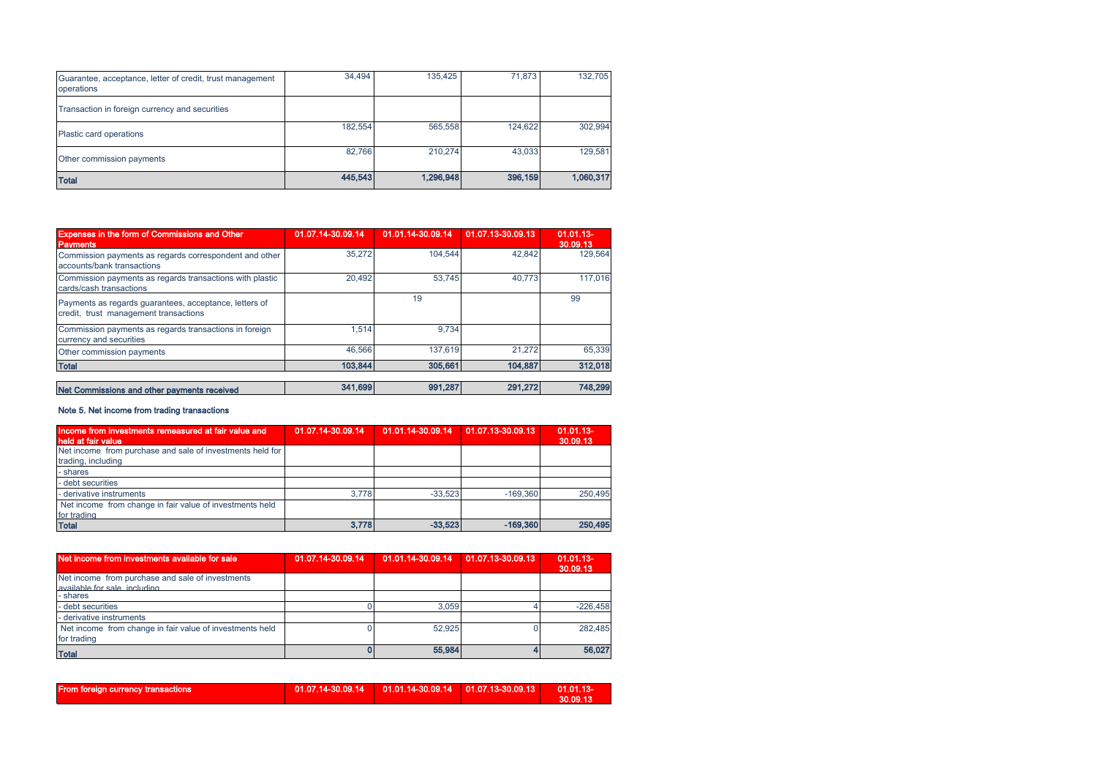| Guarantee, acceptance, letter of credit, trust management<br>operations | 34,494  | 135.425   | 71.873  | 132,705   |
|-------------------------------------------------------------------------|---------|-----------|---------|-----------|
| Transaction in foreign currency and securities                          |         |           |         |           |
| Plastic card operations                                                 | 182,554 | 565,558   | 124.622 | 302,994   |
| Other commission payments                                               | 82.766  | 210,274   | 43.033  | 129,581   |
| <b>Total</b>                                                            | 445,543 | 1,296,948 | 396,159 | 1,060,317 |

| <b>Expenses in the form of Commissions and Other</b><br><b>Payments</b>                         | 01.07.14-30.09.14 | 01.01.14-30.09.14 | 01.07.13-30.09.13 | 01.01.13-<br>30.09.13 |
|-------------------------------------------------------------------------------------------------|-------------------|-------------------|-------------------|-----------------------|
| Commission payments as regards correspondent and other<br>accounts/bank transactions            | 35.272            | 104.544           | 42.842            | 129.564               |
| Commission payments as regards transactions with plastic<br>cards/cash transactions             | 20.492            | 53.745            | 40.773            | 117.016               |
| Payments as regards guarantees, acceptance, letters of<br>credit, trust management transactions |                   | 19                |                   | 99                    |
| Commission payments as regards transactions in foreign<br>currency and securities               | 1.514             | 9.734             |                   |                       |
| Other commission payments                                                                       | 46.566            | 137.619           | 21.272            | 65,339                |
| <b>Total</b>                                                                                    | 103.844           | 305,661           | 104.887           | 312,018               |
|                                                                                                 |                   |                   |                   |                       |
| Net Commissions and other payments received                                                     | 341,699           | 991,287           | 291.272           | 748.299               |

## Note 5. Net income from trading transactions

| Income from investments remeasured at fair value and<br>held at fair value      | 01.07.14-30.09.14 | 01.01.14-30.09.14 01.07.13-30.09.13 |            | $01.01.13 -$<br>30.09.13 |
|---------------------------------------------------------------------------------|-------------------|-------------------------------------|------------|--------------------------|
| Net income from purchase and sale of investments held for<br>trading, including |                   |                                     |            |                          |
| - shares                                                                        |                   |                                     |            |                          |
| - debt securities                                                               |                   |                                     |            |                          |
| - derivative instruments                                                        | 3.778             | $-33.523$                           | $-169.360$ | 250.495                  |
| Net income from change in fair value of investments held<br>for trading         |                   |                                     |            |                          |
| <b>Total</b>                                                                    | 3,778             | $-33,523$                           | $-169,360$ | 250,495                  |

| Net income from investments available for sale                                   | 01.07.14-30.09.14 | 01.01.14-30.09.14 | 01.07.13-30.09.13 | $01.01.13 -$<br>30.09.13 |
|----------------------------------------------------------------------------------|-------------------|-------------------|-------------------|--------------------------|
| Net income from purchase and sale of investments<br>available for sale including |                   |                   |                   |                          |
| - shares                                                                         |                   |                   |                   |                          |
| - debt securities                                                                |                   | 3.059             |                   | $-226.458$               |
| - derivative instruments                                                         |                   |                   |                   |                          |
| Net income from change in fair value of investments held<br>for trading          |                   | 52.925            |                   | 282.485                  |
| <b>Total</b>                                                                     |                   | 55,984            |                   | 56,027                   |

| <b>From foreign currency transactions</b> |  | 01.07.14-30.09.14    01.01.14-30.09.14    01.07.13-30.09.13 |  | $01.01.13-$<br>30.09.13 |
|-------------------------------------------|--|-------------------------------------------------------------|--|-------------------------|
|-------------------------------------------|--|-------------------------------------------------------------|--|-------------------------|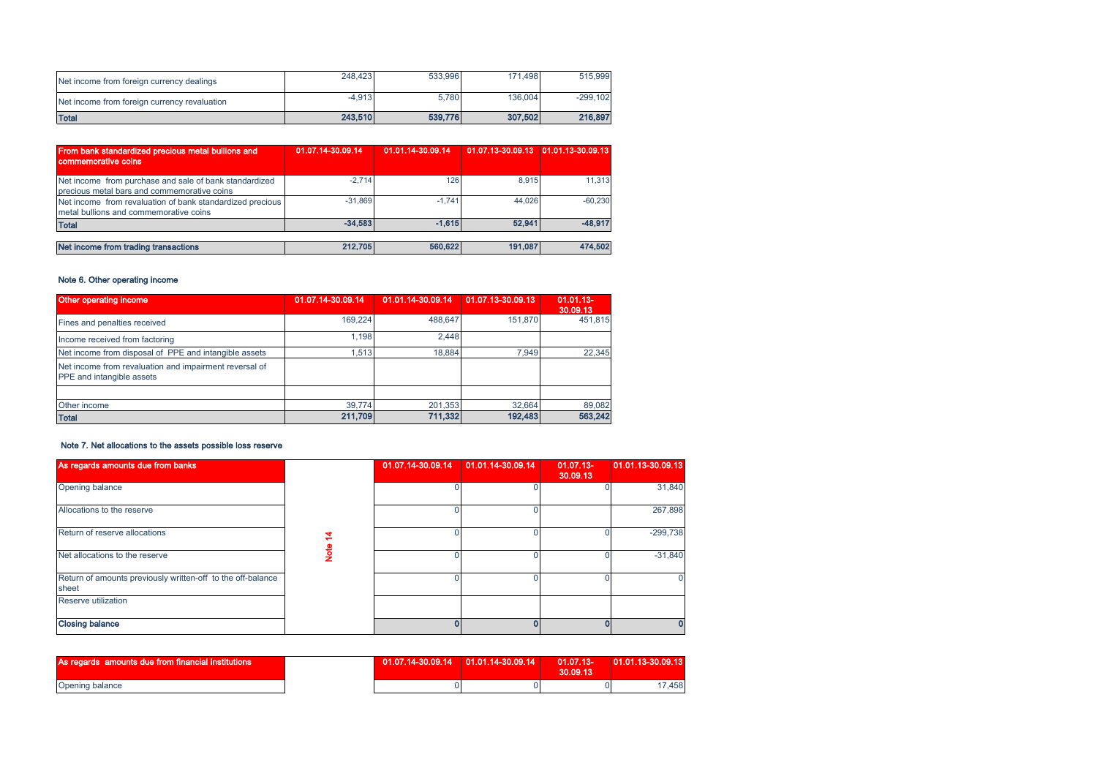| Net income from foreign currency dealings    | 248,423  | 533.996 | 171.498 | 515,999    |
|----------------------------------------------|----------|---------|---------|------------|
| Net income from foreign currency revaluation | $-4.913$ | 5.780   | 136,004 | $-299.102$ |
| <b>Total</b>                                 | 243,510  | 539,776 | 307,502 | 216,897    |

| From bank standardized precious metal bullions and<br>commemorative coins                             | 01.07.14-30.09.14 | 01.01.14-30.09.14 | 01.07.13-30.09.13 01.01.13-30.09.13 |           |
|-------------------------------------------------------------------------------------------------------|-------------------|-------------------|-------------------------------------|-----------|
| Net income from purchase and sale of bank standardized<br>precious metal bars and commemorative coins | $-2.714$          | 126               | 8.915                               | 11.313    |
| Net income from revaluation of bank standardized precious<br>metal bullions and commemorative coins   | $-31.869$         | $-1.741$          | 44.026                              | $-60.230$ |
| <b>Total</b>                                                                                          | $-34.583$         | $-1.615$          | 52,941                              | $-48.917$ |
|                                                                                                       |                   |                   |                                     |           |
| Net income from trading transactions                                                                  | 212,705           | 560,622           | 191,087                             | 474,502   |

#### Note 6. Other operating income

| Other operating income                                                              | 01.07.14-30.09.14 | 01.01.14-30.09.14 | 01.07.13-30.09.13 | $01.01.13 -$<br>30.09.13 |
|-------------------------------------------------------------------------------------|-------------------|-------------------|-------------------|--------------------------|
| Fines and penalties received                                                        | 169.224           | 488.647           | 151,870           | 451.815                  |
| Income received from factoring                                                      | 1.198             | 2.448             |                   |                          |
| Net income from disposal of PPE and intangible assets                               | 1.513             | 18.884            | 7.949             | 22,345                   |
| Net income from revaluation and impairment reversal of<br>PPE and intangible assets |                   |                   |                   |                          |
|                                                                                     |                   |                   |                   |                          |
| Other income                                                                        | 39.774            | 201,353           | 32.664            | 89,082                   |
| <b>Total</b>                                                                        | 211,709           | 711,332           | 192,483           | 563,242                  |

# Note 7. Net allocations to the assets possible loss reserve

| As regards amounts due from banks                                    |          | 01.07.14-30.09.14 | 01.01.14-30.09.14 | $01.07.13 -$<br>30,09.13 | 01.01.13-30.09.13 |
|----------------------------------------------------------------------|----------|-------------------|-------------------|--------------------------|-------------------|
| Opening balance                                                      |          |                   |                   |                          | 31,840            |
| Allocations to the reserve                                           |          |                   |                   |                          | 267,898           |
| Return of reserve allocations                                        | 2        |                   |                   |                          | $-299,738$        |
| Net allocations to the reserve                                       | <u>g</u> |                   |                   |                          | $-31,840$         |
| Return of amounts previously written-off to the off-balance<br>sheet |          |                   |                   |                          |                   |
| Reserve utilization                                                  |          |                   |                   |                          |                   |
| <b>Closing balance</b>                                               |          |                   |                   |                          |                   |

| As regards amounts due from financial institutions |  | $01.07.13 -$<br>30.09.13 | $01.01.13 - 30.09.13$ |
|----------------------------------------------------|--|--------------------------|-----------------------|
| <b>Opening balance</b>                             |  |                          | 17.458                |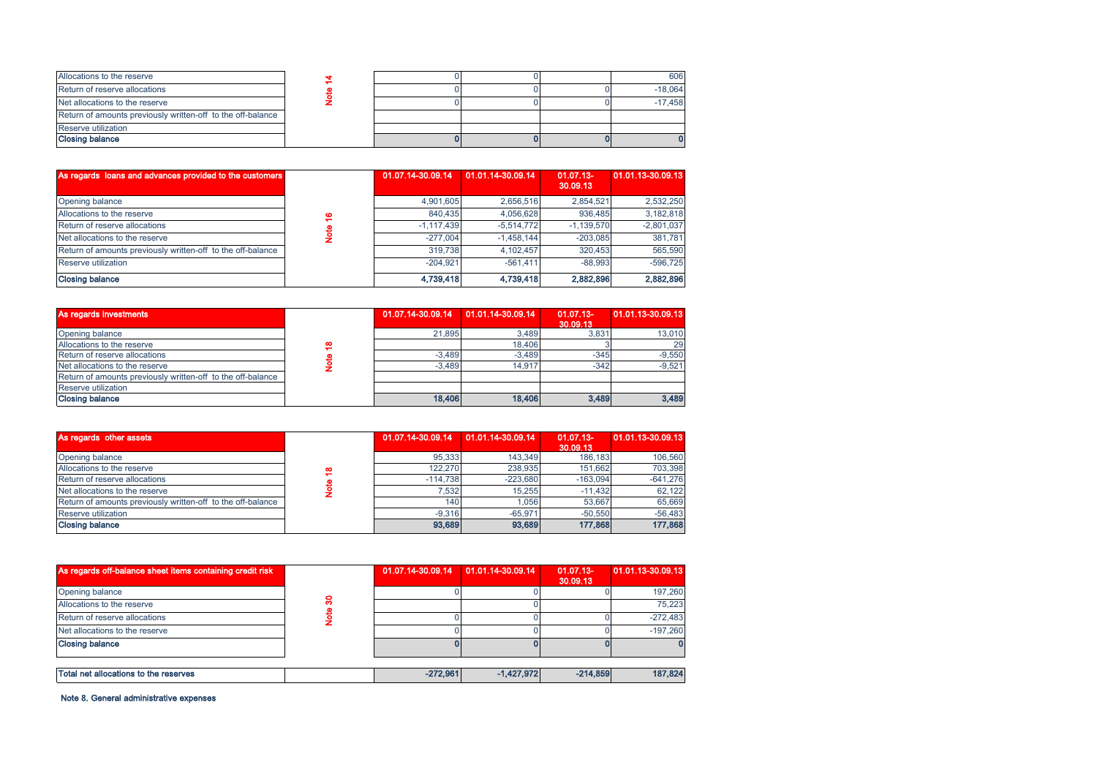| Allocations to the reserve                                  |  |  | 606       |
|-------------------------------------------------------------|--|--|-----------|
| Return of reserve allocations                               |  |  | $-18.064$ |
| Net allocations to the reserve                              |  |  | $-17.458$ |
| Return of amounts previously written-off to the off-balance |  |  |           |
| Reserve utilization                                         |  |  |           |
| <b>Closing balance</b>                                      |  |  |           |

| As regards loans and advances provided to the customers     |   | 01.07.14-30.09.14 | 01.01.14-30.09.14 | 01.07.13-<br>30.09.13 | 01.01.13-30.09.13 |
|-------------------------------------------------------------|---|-------------------|-------------------|-----------------------|-------------------|
| Opening balance                                             |   | 4.901.605         | 2.656.516         | 2.854.521             | 2,532,250         |
| Allocations to the reserve                                  | ≌ | 840.435           | 4.056.628         | 936.485               | 3.182.818         |
| Return of reserve allocations                               |   | $-1,117,439$      | $-5.514.772$      | $-1.139.570$          | $-2,801,037$      |
| Net allocations to the reserve                              |   | $-277.004$        | $-1.458.144$      | $-203.085$            | 381.781           |
| Return of amounts previously written-off to the off-balance |   | 319.738           | 4.102.457         | 320.453               | 565,590           |
| Reserve utilization                                         |   | $-204.921$        | $-561.411$        | $-88.993$             | $-596.725$        |
| <b>Closing balance</b>                                      |   | 4,739,418         | 4,739,418         | 2,882,896             | 2,882,896         |

| Allocations to the reserver                                 | ۳       | וטט <del>ר</del> ,ט <del>ו</del> ט | <b>H,UJU,UZU</b>  | ວບບ,≒ບບ               | 0,102,010         |              |              |
|-------------------------------------------------------------|---------|------------------------------------|-------------------|-----------------------|-------------------|--------------|--------------|
| Return of reserve allocations                               | Note    |                                    | $-1,117,439$      | $-5,514,772$          | $-1,139,570$      | $-2,801,037$ |              |
| Net allocations to the reserve                              |         |                                    |                   |                       |                   | $-277,004$   | $-1,458,144$ |
| Return of amounts previously written-off to the off-balance |         | 319,738                            | 4,102,457         | 320,453               | 565,590           |              |              |
| Reserve utilization                                         |         | $-204,921$                         | $-561.411$        | $-88,993$             | $-596,725$        |              |              |
| <b>Closing balance</b>                                      |         | 4,739,418                          | 4,739,418         | 2,882,896             | 2,882,896         |              |              |
|                                                             |         |                                    |                   |                       |                   |              |              |
| As regards investments                                      |         | 01.07.14-30.09.14                  | 01.01.14-30.09.14 | 01.07.13-<br>30.09.13 | 01.01.13-30.09.13 |              |              |
| Opening balance                                             |         | 21,895                             | 3,489             | 3,831                 | 13,010            |              |              |
| Allocations to the reserve                                  |         |                                    | 18,406            |                       | 29                |              |              |
| Return of reserve allocations                               | Note 18 | $-3,489$                           | $-3,489$          | $-345$                | $-9,550$          |              |              |
| Net allocations to the reserve                              |         | $-3,489$                           | 14,917            | $-342$                | $-9,521$          |              |              |
| Return of amounts previously written-off to the off-balance |         |                                    |                   |                       |                   |              |              |
| Reserve utilization                                         |         |                                    |                   |                       |                   |              |              |
| <b>Closing balance</b>                                      |         | 18,406                             | 18,406            | 3,489                 | 3,489             |              |              |
|                                                             |         |                                    |                   |                       |                   |              |              |
| As regards other assets                                     |         | 01.07.14-30.09.14                  | 01.01.14-30.09.14 | 01.07.13-<br>30.09.13 | 01.01.13-30.09.13 |              |              |
| Opening balance                                             |         | 95,333                             | 143,349           | 186,183               | 106,560           |              |              |
| Allocations to the reserve                                  | ₽       | 122,270                            | 238,935           | 151,662               | 703,398           |              |              |
| Return of reserve allocations                               |         | $-114,738$                         | $-223,680$        | $-163,094$            | $-641,276$        |              |              |
| Net allocations to the reserve                              | Note    | 7,532                              | 15,255            | $-11,432$             | 62,122            |              |              |
|                                                             |         |                                    |                   |                       |                   |              |              |

| As regards other assets                                     |   | 01.07.14-30.09.14 | 01.01.14-30.09.14 | 01.07.13-<br>30.09.13 | 01.01.13-30.09.13 |
|-------------------------------------------------------------|---|-------------------|-------------------|-----------------------|-------------------|
| Opening balance                                             |   | 95.333            | 143.349           | 186.183               | 106,560           |
| Allocations to the reserve                                  | ₽ | 122.270           | 238.935           | 151.662               | 703.398           |
| Return of reserve allocations                               |   | $-114.738$        | $-223.680$        | $-163.094$            | $-641,276$        |
| Net allocations to the reserve                              |   | 7.532             | 15.255            | $-11.432$             | 62.122            |
| Return of amounts previously written-off to the off-balance |   | 140               | 1.056             | 53.667                | 65,669            |
| Reserve utilization                                         |   | $-9.316$          | $-65.971$         | $-50.550$             | $-56,483$         |
| <b>Closing balance</b>                                      |   | 93,689            | 93,689            | 177,868               | 177,868           |

| As regards off-balance sheet items containing credit risk |   | 01.07.14-30.09.14 | 01.01.14-30.09.14 | $01.07.13 -$<br>30.09.13 | 01.01.13-30.09.13 |
|-----------------------------------------------------------|---|-------------------|-------------------|--------------------------|-------------------|
| Opening balance                                           |   |                   |                   |                          | 197.260           |
| Allocations to the reserve                                | ຂ |                   |                   |                          | 75.223            |
| Return of reserve allocations                             |   |                   |                   |                          | $-272.483$        |
| Net allocations to the reserve                            |   |                   |                   |                          | $-197.260$        |
| <b>Closing balance</b>                                    |   |                   |                   |                          |                   |
|                                                           |   |                   |                   |                          |                   |
| Total net allocations to the reserves                     |   | $-272.961$        | $-1,427,972$      | $-214.859$               | 187,824           |

Note 8. General administrative expenses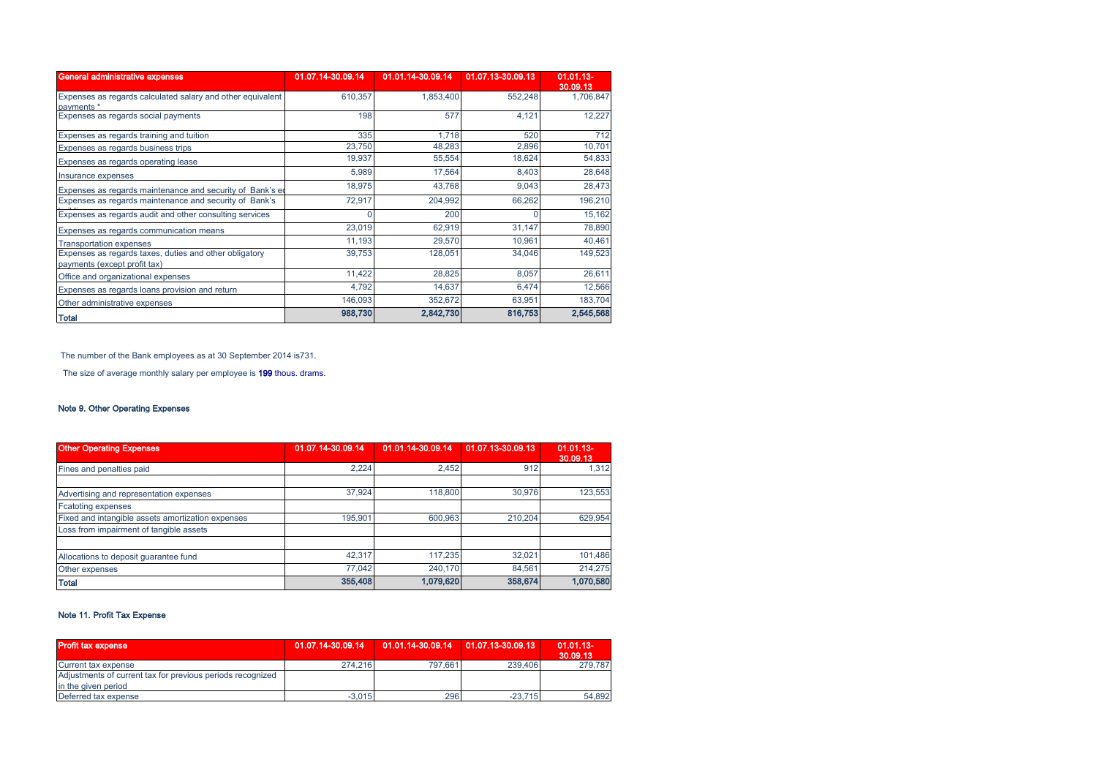| General administrative expenses                                                        | 01.07.14-30.09.14 | 01.01.14-30.09.14 | 01.07.13-30.09.13 | $01.01.13 -$<br>30.09.13 |
|----------------------------------------------------------------------------------------|-------------------|-------------------|-------------------|--------------------------|
| Expenses as regards calculated salary and other equivalent<br>payments *               | 610,357           | 1,853,400         | 552,248           | 1,706,847                |
| Expenses as regards social payments                                                    | 198               | 577               | 4,121             | 12,227                   |
| Expenses as regards training and tuition                                               | 335               | 1,718             | 520               | 712                      |
| Expenses as regards business trips                                                     | 23,750            | 48,283            | 2,896             | 10,701                   |
| Expenses as regards operating lease                                                    | 19,937            | 55,554            | 18,624            | 54,833                   |
| Insurance expenses                                                                     | 5,989             | 17,564            | 8,403             | 28,648                   |
| Expenses as regards maintenance and security of Bank's ed                              | 18,975            | 43,768            | 9,043             | 28,473                   |
| Expenses as regards maintenance and security of Bank's                                 | 72,917            | 204,992           | 66,262            | 196,210                  |
| Expenses as regards audit and other consulting services                                |                   | 200               |                   | 15,162                   |
| Expenses as regards communication means                                                | 23,019            | 62,919            | 31,147            | 78,890                   |
| <b>Transportation expenses</b>                                                         | 11,193            | 29,570            | 10,961            | 40,461                   |
| Expenses as regards taxes, duties and other obligatory<br>payments (except profit tax) | 39,753            | 128,051           | 34,046            | 149,523                  |
| Office and organizational expenses                                                     | 11,422            | 28,825            | 8,057             | 26,611                   |
| Expenses as regards loans provision and return                                         | 4,792             | 14,637            | 6,474             | 12,566                   |
| Other administrative expenses                                                          | 146,093           | 352,672           | 63,951            | 183,704                  |
| <b>Total</b>                                                                           | 988,730           | 2,842,730         | 816,753           | 2,545,568                |

The number of the Bank employees as at 30 September 2014 is731.

The size of average monthly salary per employee is 199 thous. drams.

# Note 9. Other Operating Expenses

| <b>Other Operating Expenses</b>                   | 01.07.14-30.09.14 | 01.01.14-30.09.14 | 01.07.13-30.09.13 | $01.01.13 -$<br>30.09.13 |
|---------------------------------------------------|-------------------|-------------------|-------------------|--------------------------|
| Fines and penalties paid                          | 2,224             | 2.452             | 912               | 1,312                    |
| Advertising and representation expenses           | 37.924            | 118,800           | 30.976            | 123,553                  |
| <b>Fcatoting expenses</b>                         |                   |                   |                   |                          |
| Fixed and intangible assets amortization expenses | 195.901           | 600.963           | 210.204           | 629,954                  |
| Loss from impairment of tangible assets           |                   |                   |                   |                          |
|                                                   |                   |                   |                   |                          |
| Allocations to deposit guarantee fund             | 42.317            | 117.235           | 32.021            | 101,486                  |
| Other expenses                                    | 77,042            | 240.170           | 84.561            | 214,275                  |
| <b>Total</b>                                      | 355,408           | 1,079,620         | 358,674           | 1,070,580                |

# Note 11. Profit Tax Expense

| <b>Profit tax expense</b>                                  | 01.07.14-30.09.14 | 01.01.14-30.09.14   01.07.13-30.09.13 |           | $01.01.13 -$<br>30.09.13 |
|------------------------------------------------------------|-------------------|---------------------------------------|-----------|--------------------------|
| Current tax expense                                        | 274.216           | 797.661                               | 239.406   | 279.787                  |
| Adjustments of current tax for previous periods recognized |                   |                                       |           |                          |
| in the given period                                        |                   |                                       |           |                          |
| Deferred tax expense                                       | $-3.015$          | 296                                   | $-23.715$ | 54.892                   |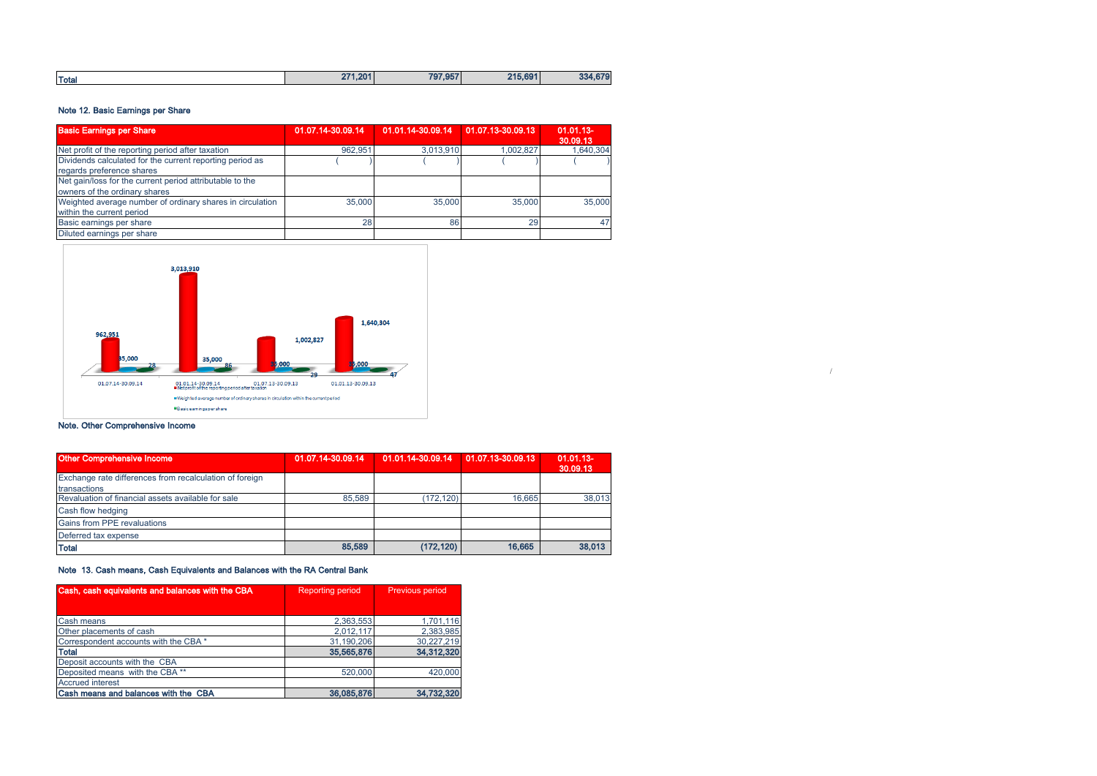|  | <b>Total</b> | 271.201 | 707.057<br>. .<br>. | 215.691 | 270<br>22/<br>- 019<br>ಀಀ |
|--|--------------|---------|---------------------|---------|---------------------------|
|--|--------------|---------|---------------------|---------|---------------------------|

# Note 12. Basic Earnings per Share

| <b>Basic Earnings per Share</b>                           | 01.07.14-30.09.14 | 01.01.14-30.09.14 01.07.13-30.09.13 |           | $01.01.13 -$<br>30.09.13 |
|-----------------------------------------------------------|-------------------|-------------------------------------|-----------|--------------------------|
| Net profit of the reporting period after taxation         | 962.951           | 3,013,910                           | 1.002.827 | 1.640.304                |
| Dividends calculated for the current reporting period as  |                   |                                     |           |                          |
| regards preference shares                                 |                   |                                     |           |                          |
| Net gain/loss for the current period attributable to the  |                   |                                     |           |                          |
| owners of the ordinary shares                             |                   |                                     |           |                          |
| Weighted average number of ordinary shares in circulation | 35,000            | 35,000                              | 35,000    | 35,000                   |
| within the current period                                 |                   |                                     |           |                          |
| Basic earnings per share                                  | 28                | 86                                  | 29        | 47                       |
| Diluted earnings per share                                |                   |                                     |           |                          |



# Note. Other Comprehensive Income

| Other Comprehensive Income                              | 01.07.14-30.09.14 | 01.01.14-30.09.14 | 01.07.13-30.09.13 | $01.01.13 -$<br>30.09.13 |
|---------------------------------------------------------|-------------------|-------------------|-------------------|--------------------------|
| Exchange rate differences from recalculation of foreign |                   |                   |                   |                          |
| transactions                                            |                   |                   |                   |                          |
| Revaluation of financial assets available for sale      | 85.589            | (172.120)         | 16.665            | 38,013                   |
| Cash flow hedging                                       |                   |                   |                   |                          |
| Gains from PPE revaluations                             |                   |                   |                   |                          |
| Deferred tax expense                                    |                   |                   |                   |                          |
| <b>Total</b>                                            | 85,589            | (172, 120)        | 16.665            | 38.013                   |

/

# Note 13. Cash means, Cash Equivalents and Balances with the RA Central Bank

| Cash, cash equivalents and balances with the CBA | <b>Reporting period</b> | Previous period |
|--------------------------------------------------|-------------------------|-----------------|
|                                                  |                         |                 |
| Cash means                                       | 2,363,553               | 1,701,116       |
| Other placements of cash                         | 2,012,117               | 2,383,985       |
| Correspondent accounts with the CBA *            | 31.190.206              | 30,227,219      |
| <b>Total</b>                                     | 35,565,876              | 34,312,320      |
| Deposit accounts with the CBA                    |                         |                 |
| Deposited means with the CBA **                  | 520,000                 | 420,000         |
| <b>Accrued interest</b>                          |                         |                 |
| Cash means and balances with the CBA             | 36,085,876              | 34,732,320      |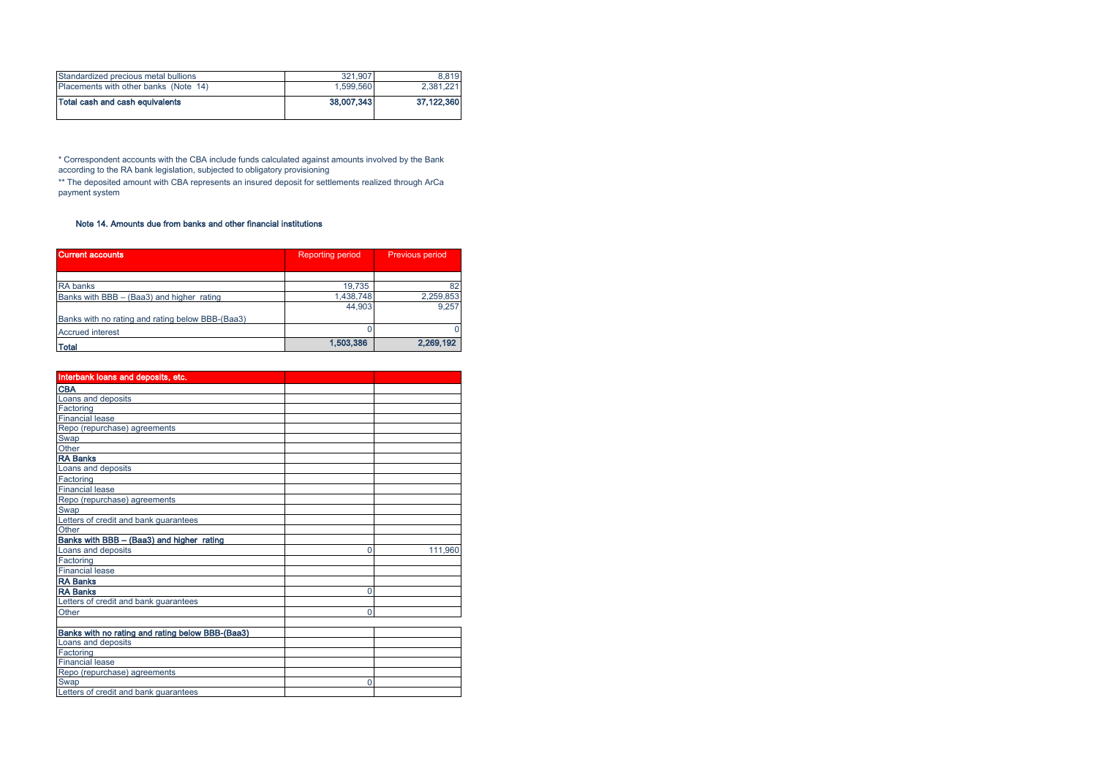| Placements with other banks (Note 14) | 1.599.560  | 2.381.221  |
|---------------------------------------|------------|------------|
| Total cash and cash equivalents       | 38,007,343 | 37.122.360 |
| Standardized precious metal bullions  | 321.907    | 8.819      |

\* Correspondent accounts with the CBA include funds calculated against amounts involved by the Bank according to the RA bank legislation, subjected to obligatory provisioning

\*\* The deposited amount with CBA represents an insured deposit for settlements realized through ArCa payment system

# Note 14. Amounts due from banks and other financial institutions

| <b>Current accounts</b>                          | <b>Reporting period</b> | Previous period |
|--------------------------------------------------|-------------------------|-----------------|
|                                                  |                         |                 |
| <b>RA</b> banks                                  | 19.735                  | 82              |
| Banks with BBB - (Baa3) and higher rating        | 1,438,748               | 2,259,853       |
|                                                  | 44.903                  | 9.257           |
| Banks with no rating and rating below BBB-(Baa3) |                         |                 |
| <b>Accrued interest</b>                          |                         | $\mathbf{0}$    |
| <b>Total</b>                                     | 1,503,386               | 2,269,192       |

| Interbank loans and deposits, etc.               |   |         |
|--------------------------------------------------|---|---------|
| <b>CBA</b>                                       |   |         |
| Loans and deposits                               |   |         |
| Factoring                                        |   |         |
| <b>Financial lease</b>                           |   |         |
| Repo (repurchase) agreements                     |   |         |
| Swap                                             |   |         |
|                                                  |   |         |
| Other<br>RA Banks                                |   |         |
| Loans and deposits                               |   |         |
| Factoring<br>Financial lease                     |   |         |
|                                                  |   |         |
| Repo (repurchase) agreements                     |   |         |
| Swap                                             |   |         |
| Letters of credit and bank guarantees            |   |         |
| Other                                            |   |         |
| Banks with BBB - (Baa3) and higher rating        |   |         |
| Loans and deposits                               | 0 | 111,960 |
| Factoring                                        |   |         |
| Financial lease                                  |   |         |
| <b>RA Banks</b>                                  |   |         |
| <b>RA Banks</b>                                  | 0 |         |
| Letters of credit and bank guarantees            |   |         |
| Other                                            | 0 |         |
|                                                  |   |         |
| Banks with no rating and rating below BBB-(Baa3) |   |         |
| Loans and deposits                               |   |         |
| Factoring                                        |   |         |
| <b>Financial lease</b>                           |   |         |
| Repo (repurchase) agreements                     |   |         |
| Swap                                             | 0 |         |
| Letters of credit and bank guarantees            |   |         |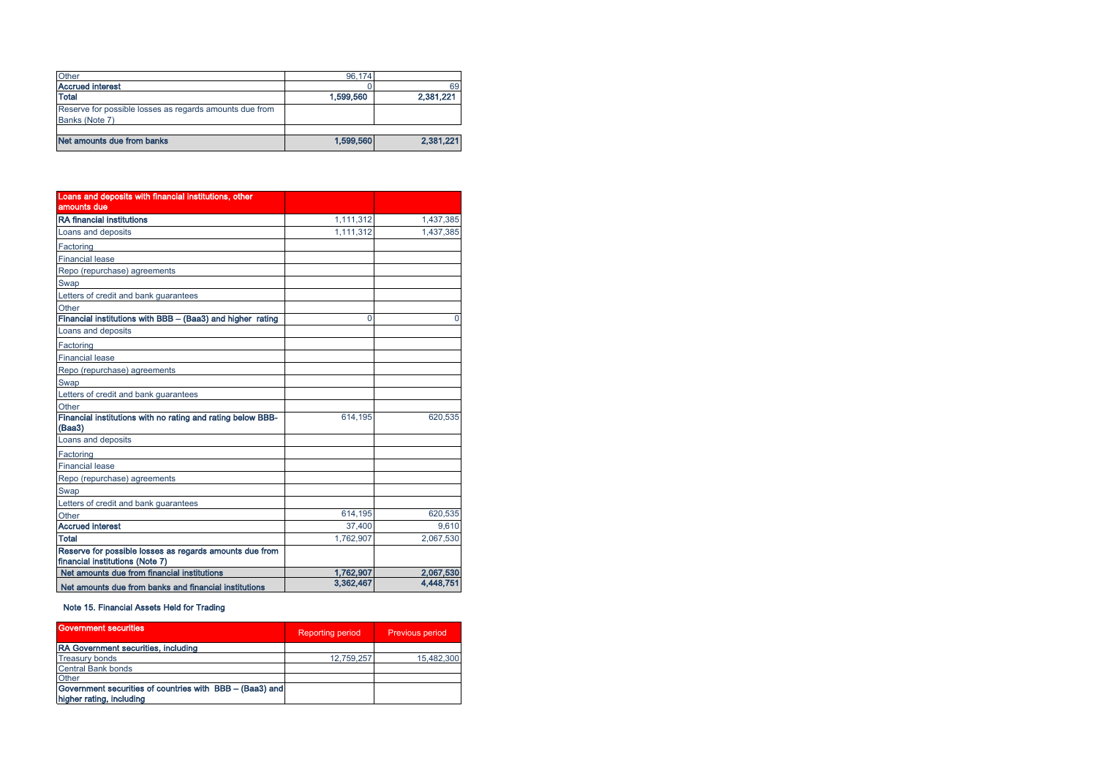| Other                                                                     | 96.174    |           |
|---------------------------------------------------------------------------|-----------|-----------|
| <b>Accrued interest</b>                                                   |           | 69        |
| <b>Total</b>                                                              | 1,599,560 | 2,381,221 |
| Reserve for possible losses as regards amounts due from<br>Banks (Note 7) |           |           |
|                                                                           |           |           |
| Net amounts due from banks                                                | 1,599,560 | 2,381,221 |

| Loans and deposits with financial institutions, other                                      |           |           |
|--------------------------------------------------------------------------------------------|-----------|-----------|
| amounts due                                                                                |           |           |
| <b>RA</b> financial institutions                                                           | 1,111,312 | 1,437,385 |
| Loans and deposits                                                                         | 1,111,312 | 1,437,385 |
| Factoring                                                                                  |           |           |
| <b>Financial lease</b>                                                                     |           |           |
| Repo (repurchase) agreements                                                               |           |           |
| Swap                                                                                       |           |           |
| Letters of credit and bank guarantees                                                      |           |           |
| Other                                                                                      |           |           |
| Financial institutions with BBB - (Baa3) and higher rating                                 | $\Omega$  | $\Omega$  |
| Loans and deposits                                                                         |           |           |
| Factoring                                                                                  |           |           |
| <b>Financial lease</b>                                                                     |           |           |
| Repo (repurchase) agreements                                                               |           |           |
| Swap                                                                                       |           |           |
| Letters of credit and bank guarantees                                                      |           |           |
| Other                                                                                      |           |           |
| Financial institutions with no rating and rating below BBB-<br>(Baa3)                      | 614,195   | 620,535   |
| Loans and deposits                                                                         |           |           |
| Factoring                                                                                  |           |           |
| <b>Financial lease</b>                                                                     |           |           |
| Repo (repurchase) agreements                                                               |           |           |
| Swap                                                                                       |           |           |
| Letters of credit and bank guarantees                                                      |           |           |
| Other                                                                                      | 614,195   | 620,535   |
| <b>Accrued interest</b>                                                                    | 37.400    | 9.610     |
| Total                                                                                      | 1,762,907 | 2,067,530 |
| Reserve for possible losses as regards amounts due from<br>financial institutions (Note 7) |           |           |
| Net amounts due from financial institutions                                                | 1.762,907 | 2.067.530 |
| Net amounts due from banks and financial institutions                                      | 3.362.467 | 4.448.751 |

# Note 15. Financial Assets Held for Trading

| <b>Government securities</b>                                                         | <b>Reporting period</b> | <b>Previous period</b> |
|--------------------------------------------------------------------------------------|-------------------------|------------------------|
| RA Government securities, including                                                  |                         |                        |
| <b>Treasury bonds</b>                                                                | 12,759,257              | 15,482,300             |
| <b>Central Bank bonds</b>                                                            |                         |                        |
| Other                                                                                |                         |                        |
| Government securities of countries with BBB - (Baa3) and<br>higher rating, including |                         |                        |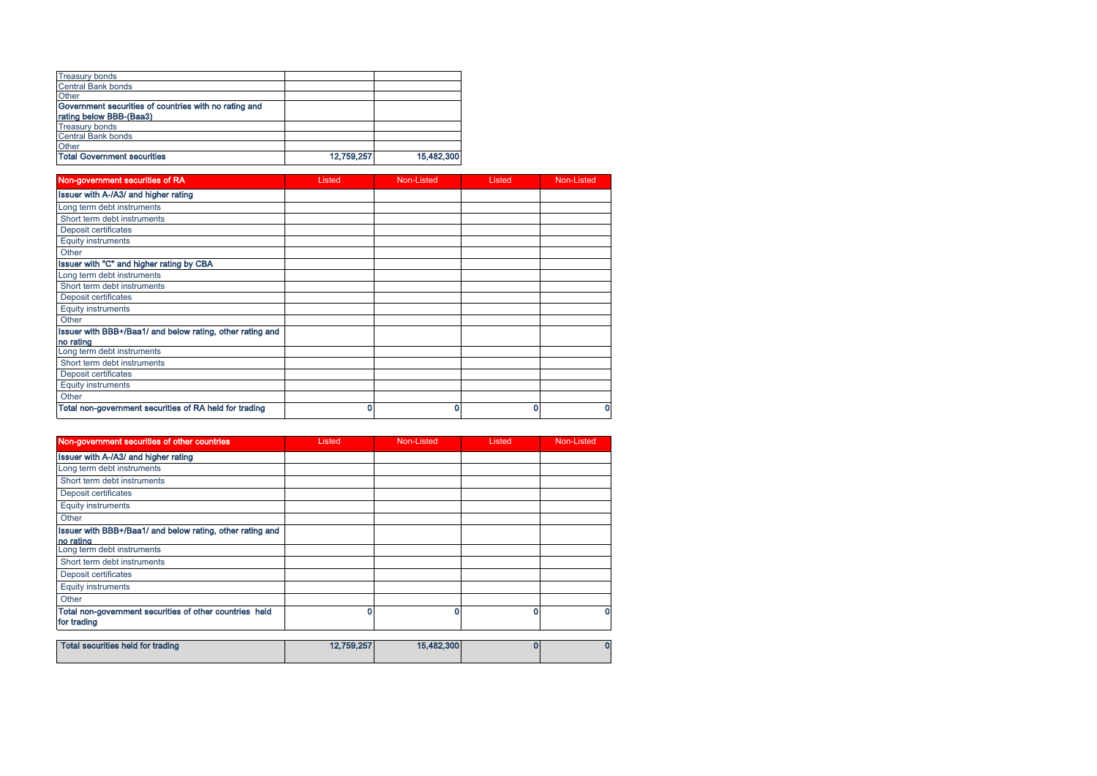| <b>Treasury bonds</b>                                 |            |            |
|-------------------------------------------------------|------------|------------|
| <b>Central Bank bonds</b>                             |            |            |
| Other                                                 |            |            |
| Government securities of countries with no rating and |            |            |
| rating below BBB-(Baa3)                               |            |            |
| <b>Treasury bonds</b>                                 |            |            |
| <b>Central Bank bonds</b>                             |            |            |
| Other                                                 |            |            |
| <b>Total Government securities</b>                    | 12,759,257 | 15,482,300 |

| Non-government securities of RA                           | Listed | Non-Listed | Listed | Non-Listed |
|-----------------------------------------------------------|--------|------------|--------|------------|
| <b>Issuer with A-/A3/ and higher rating</b>               |        |            |        |            |
| Long term debt instruments                                |        |            |        |            |
| Short term debt instruments                               |        |            |        |            |
| Deposit certificates                                      |        |            |        |            |
| <b>Equity instruments</b>                                 |        |            |        |            |
| Other                                                     |        |            |        |            |
| Issuer with "C" and higher rating by CBA                  |        |            |        |            |
| Long term debt instruments                                |        |            |        |            |
| Short term debt instruments                               |        |            |        |            |
| Deposit certificates                                      |        |            |        |            |
| <b>Equity instruments</b>                                 |        |            |        |            |
| Other                                                     |        |            |        |            |
| Issuer with BBB+/Baa1/ and below rating, other rating and |        |            |        |            |
| no rating                                                 |        |            |        |            |
| Long term debt instruments                                |        |            |        |            |
| Short term debt instruments                               |        |            |        |            |
| Deposit certificates                                      |        |            |        |            |
| <b>Equity instruments</b>                                 |        |            |        |            |
| Other                                                     |        |            |        |            |
| Total non-government securities of RA held for trading    | 0      | ٥          | C      | 0          |

| Non-government securities of other countries                                 | Listed               | Non-Listed                   | Listed | Non-Listed |
|------------------------------------------------------------------------------|----------------------|------------------------------|--------|------------|
| Issuer with A-/A3/ and higher rating                                         |                      |                              |        |            |
| Long term debt instruments                                                   |                      |                              |        |            |
| Short term debt instruments                                                  |                      |                              |        |            |
| Deposit certificates                                                         |                      |                              |        |            |
| <b>Equity instruments</b>                                                    |                      |                              |        |            |
| Other                                                                        |                      |                              |        |            |
| Issuer with BBB+/Baa1/ and below rating, other rating and<br>no rating       |                      |                              |        |            |
| Long term debt instruments                                                   |                      |                              |        |            |
| Short term debt instruments                                                  |                      |                              |        |            |
| Deposit certificates                                                         |                      |                              |        |            |
| <b>Equity instruments</b>                                                    |                      |                              |        |            |
| Other                                                                        |                      |                              |        |            |
| Total non-government securities of other countries held<br>for trading       | 0                    |                              |        |            |
| the contract the contract of the contract of the contract of the contract of | <b>ACCEPT OFFICE</b> | $\lambda$ = $\lambda$ 00.000 | $\sim$ |            |

| Total securities held for trading | 12.759.257 | 15,482,300 |  |
|-----------------------------------|------------|------------|--|
|                                   |            |            |  |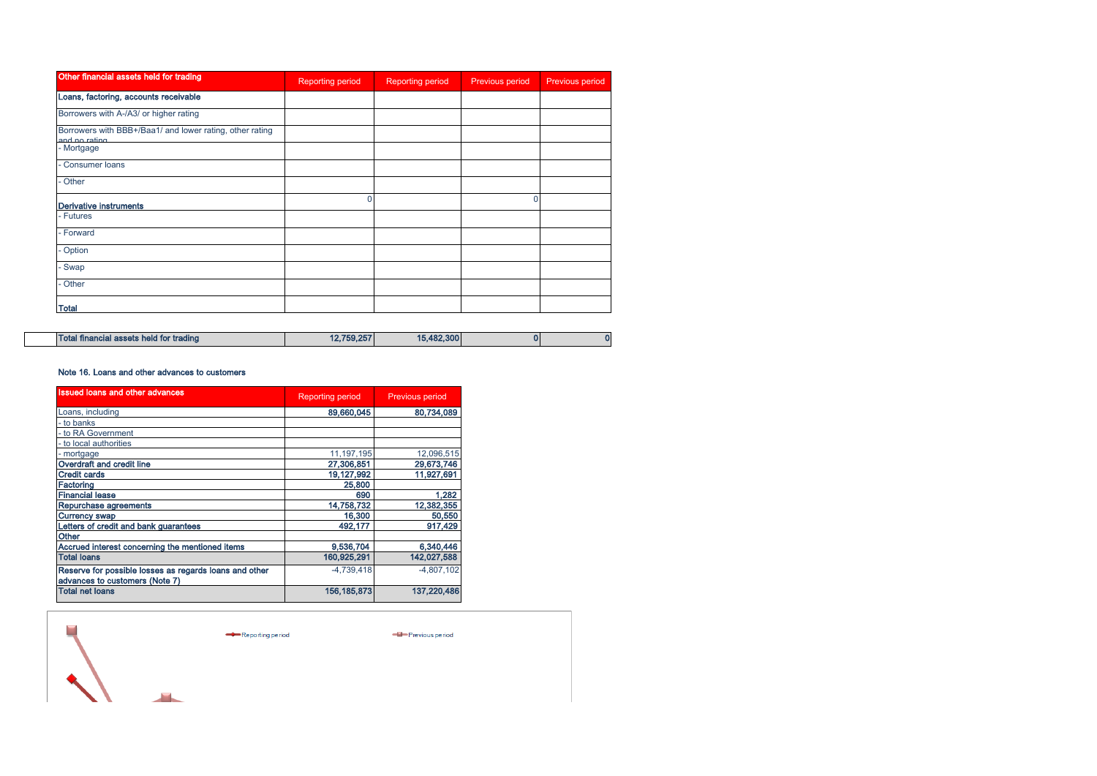| Other financial assets held for trading                                   | <b>Reporting period</b> | Reporting period | Previous period | Previous period |
|---------------------------------------------------------------------------|-------------------------|------------------|-----------------|-----------------|
| Loans, factoring, accounts receivable                                     |                         |                  |                 |                 |
| Borrowers with A-/A3/ or higher rating                                    |                         |                  |                 |                 |
| Borrowers with BBB+/Baa1/ and lower rating, other rating<br>and no rating |                         |                  |                 |                 |
| - Mortgage                                                                |                         |                  |                 |                 |
| Consumer loans                                                            |                         |                  |                 |                 |
| Other                                                                     |                         |                  |                 |                 |
| <b>Derivative instruments</b>                                             | $\Omega$                |                  |                 |                 |
| - Futures                                                                 |                         |                  |                 |                 |
| - Forward                                                                 |                         |                  |                 |                 |
| - Option                                                                  |                         |                  |                 |                 |
| - Swap                                                                    |                         |                  |                 |                 |
| - Other                                                                   |                         |                  |                 |                 |
| Total                                                                     |                         |                  |                 |                 |

| Total financial assets held for trading | 12.759.257 | 15,482,300 |  | n |
|-----------------------------------------|------------|------------|--|---|
|-----------------------------------------|------------|------------|--|---|

## Note 16. Loans and other advances to customers

| <b>Issued loans and other advances</b>                                                   | <b>Reporting period</b> | <b>Previous period</b> |
|------------------------------------------------------------------------------------------|-------------------------|------------------------|
| Loans, including                                                                         | 89,660,045              | 80,734,089             |
| - to banks                                                                               |                         |                        |
| - to RA Government                                                                       |                         |                        |
| - to local authorities                                                                   |                         |                        |
| - mortgage                                                                               | 11, 197, 195            | 12,096,515             |
| Overdraft and credit line                                                                | 27,306,851              | 29,673,746             |
| <b>Credit cards</b>                                                                      | 19,127,992              | 11,927,691             |
| Factoring                                                                                | 25,800                  |                        |
| <b>Financial lease</b>                                                                   | 690                     | 1.282                  |
| Repurchase agreements                                                                    | 14.758.732              | 12,382,355             |
| <b>Currency swap</b>                                                                     | 16,300                  | 50,550                 |
| Letters of credit and bank guarantees                                                    | 492,177                 | 917,429                |
| Other                                                                                    |                         |                        |
| Accrued interest concerning the mentioned items                                          | 9,536,704               | 6,340,446              |
| <b>Total loans</b>                                                                       | 160,925,291             | 142,027,588            |
| Reserve for possible losses as regards loans and other<br>advances to customers (Note 7) | $-4.739.418$            | $-4,807,102$           |
| <b>Total net loans</b>                                                                   | 156.185.873             | 137.220.486            |

 $\mathcal{L}_{\mathcal{A}}$ 

Reporting period

- Previous period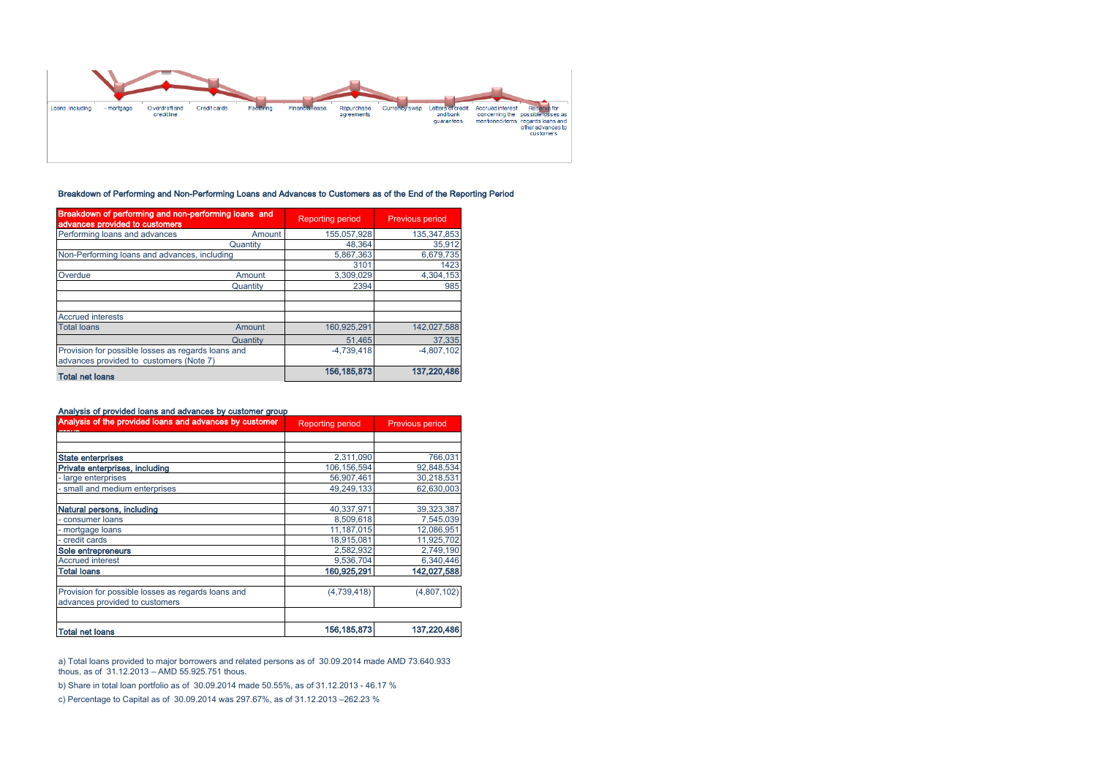

# Breakdown of Performing and Non-Performing Loans and Advances to Customers as of the End of the Reporting Period

| Breakdown of performing and non-performing loans and<br>advances provided to customers |               | <b>Reporting period</b> | Previous period |
|----------------------------------------------------------------------------------------|---------------|-------------------------|-----------------|
| Performing loans and advances                                                          | Amount        | 155.057.928             | 135, 347, 853   |
|                                                                                        | Quantity      | 48,364                  | 35,912          |
| Non-Performing loans and advances, including                                           |               | 5,867,363               | 6,679,735       |
|                                                                                        |               | 3101                    | 1423            |
| Overdue                                                                                | Amount        | 3,309,029               | 4,304,153       |
|                                                                                        | Quantity      | 2394                    | 985             |
|                                                                                        |               |                         |                 |
| <b>Accrued interests</b>                                                               |               |                         |                 |
| <b>Total loans</b>                                                                     | <b>Amount</b> | 160,925,291             | 142.027.588     |
|                                                                                        | Quantity      | 51.465                  | 37,335          |
| Provision for possible losses as regards loans and                                     |               | $-4.739.418$            | $-4.807.102$    |
| advances provided to customers (Note 7)                                                |               |                         |                 |
| <b>Total net loans</b>                                                                 |               | 156, 185, 873           | 137,220,486     |

| Analysis of the provided loans and advances by customer | <b>Reporting period</b> | <b>Previous period</b> |
|---------------------------------------------------------|-------------------------|------------------------|
|                                                         |                         |                        |
| <b>State enterprises</b>                                | 2,311,090               | 766,031                |
| Private enterprises, including                          | 106.156.594             | 92,848,534             |
| large enterprises                                       | 56,907,461              | 30,218,531             |
| small and medium enterprises                            | 49.249.133              | 62.630.003             |
| Natural persons, including                              | 40,337,971              | 39,323,387             |
| consumer loans                                          | 8,509,618               | 7,545,039              |
| - mortgage loans                                        | 11,187,015              | 12,086,951             |
| credit cards                                            | 18,915,081              | 11,925,702             |
| Sole entrepreneurs                                      | 2,582,932               | 2,749,190              |
| <b>Accrued interest</b>                                 | 9,536,704               | 6,340,446              |
| <b>Total Ioans</b>                                      | 160,925,291             | 142,027,588            |
| Provision for possible losses as regards loans and      | (4,739,418)             | (4,807,102)            |
| advances provided to customers                          |                         |                        |
| <b>Total net loans</b>                                  | 156, 185, 873           | 137,220,486            |

a) Total loans provided to major borrowers and related persons as of 30.09.2014 made AMD 73.640.933 thous, as of 31.12.2013 – AMD 55.925.751 thous.

b) Share in total loan portfolio as of 30.09.2014 made 50.55%, as of 31.12.2013 - 46.17 %

c) Percentage to Capital as of 30.09.2014 was 297.67%, as of 31.12.2013 –262.23 %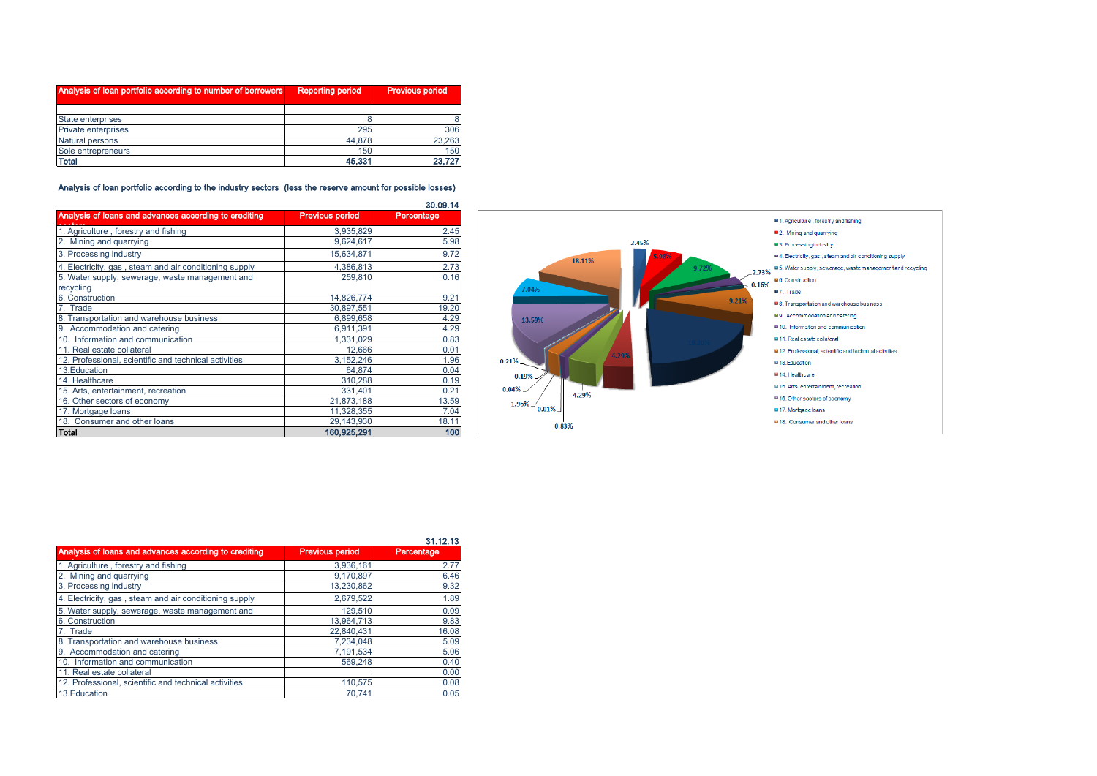| Analysis of loan portfolio according to number of borrowers | <b>Reporting period</b> | <b>Previous period</b> |
|-------------------------------------------------------------|-------------------------|------------------------|
|                                                             |                         |                        |
| State enterprises                                           |                         |                        |
| Private enterprises                                         | 295                     | 306                    |
| Natural persons                                             | 44.878                  | 23,263                 |
| Sole entrepreneurs                                          | 150                     | 150                    |
| <b>Total</b>                                                | 45,331                  | 23.727                 |

## Analysis of loan portfolio according to the industry sectors (less the reserve amount for possible losses)

|                                                        |                        | 30.09.14   |
|--------------------------------------------------------|------------------------|------------|
| Analysis of loans and advances according to crediting  | <b>Previous period</b> | Percentage |
| 1. Agriculture, forestry and fishing                   | 3,935,829              | 2.45       |
| 2. Mining and quarrying                                | 9,624,617              | 5.98       |
| 3. Processing industry                                 | 15,634,871             | 9.72       |
| 4. Electricity, gas, steam and air conditioning supply | 4,386,813              | 2.73       |
| 5. Water supply, sewerage, waste management and        | 259,810                | 0.16       |
| recycling                                              |                        |            |
| 6. Construction                                        | 14,826,774             | 9.21       |
| 7. Trade                                               | 30.897.551             | 19.20      |
| 8. Transportation and warehouse business               | 6,899,658              | 4.29       |
| 9. Accommodation and catering                          | 6.911.391              | 4.29       |
| 10. Information and communication                      | 1,331,029              | 0.83       |
| 11. Real estate collateral                             | 12,666                 | 0.01       |
| 12. Professional, scientific and technical activities  | 3,152,246              | 1.96       |
| 13. Education                                          | 64.874                 | 0.04       |
| 14. Healthcare                                         | 310,288                | 0.19       |
| 15. Arts, entertainment, recreation                    | 331,401                | 0.21       |
| 16. Other sectors of economy                           | 21,873,188             | 13.59      |
| 17. Mortgage loans                                     | 11,328,355             | 7.04       |
| 18. Consumer and other loans                           | 29,143,930             | 18.11      |
| Total                                                  | 160,925,291            | 100        |



|                                                        |                        | 31.12.13   |
|--------------------------------------------------------|------------------------|------------|
| Analysis of loans and advances according to crediting  | <b>Previous period</b> | Percentage |
| 1. Agriculture, forestry and fishing                   | 3.936.161              | 2.77       |
| 2. Mining and quarrying                                | 9.170.897              | 6.46       |
| 3. Processing industry                                 | 13.230.862             | 9.32       |
| 4. Electricity, gas, steam and air conditioning supply | 2.679.522              | 1.89       |
| 5. Water supply, sewerage, waste management and        | 129,510                | 0.09       |
| 6. Construction                                        | 13.964.713             | 9.83       |
| 7. Trade                                               | 22.840.431             | 16.08      |
| 8. Transportation and warehouse business               | 7,234,048              | 5.09       |
| 9. Accommodation and catering                          | 7.191.534              | 5.06       |
| 10. Information and communication                      | 569.248                | 0.40       |
| 11. Real estate collateral                             |                        | 0.00       |
| 12. Professional, scientific and technical activities  | 110.575                | 0.08       |
| 13. Education                                          | 70.741                 | 0.05       |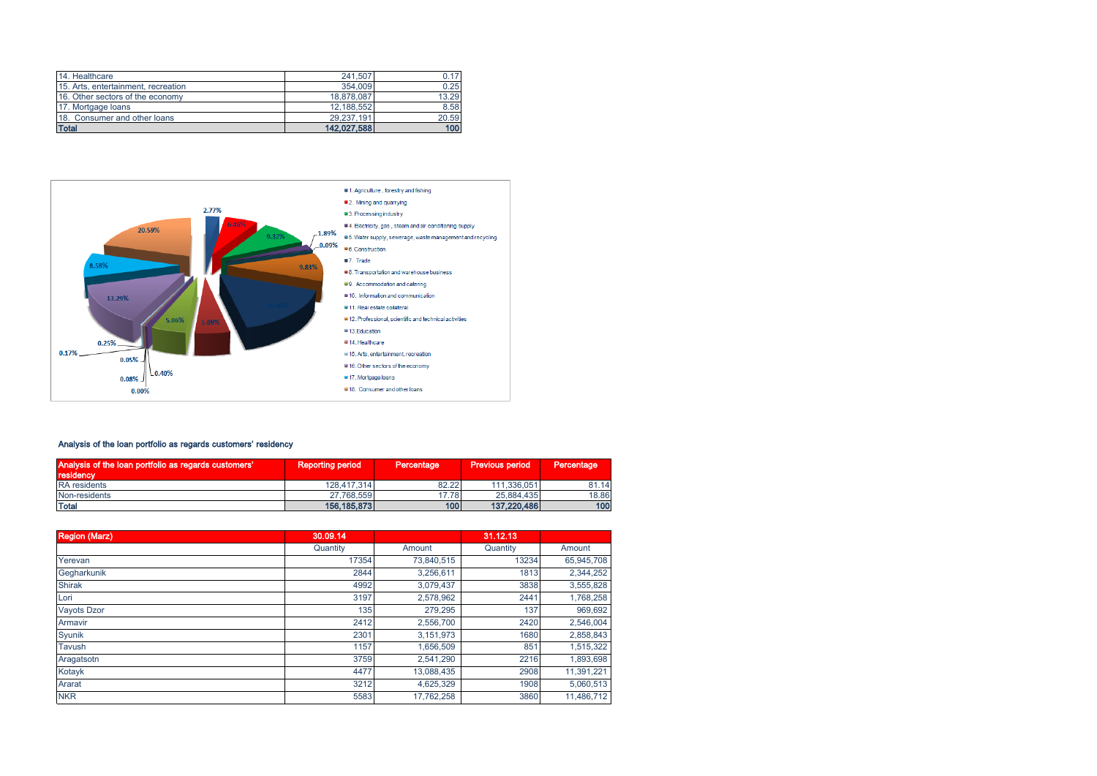| 14. Healthcare                      | 241.507     | 0.17  |
|-------------------------------------|-------------|-------|
| 15. Arts, entertainment, recreation | 354,009     | 0.25  |
| 16. Other sectors of the economy    | 18,878,087  | 13.29 |
| 17. Mortgage loans                  | 12.188.552  | 8.58  |
| 18. Consumer and other loans        | 29.237.191  | 20.59 |
| <b>Total</b>                        | 142.027.588 | 100   |



# Analysis of the loan portfolio as regards customers' residency

| Analysis of the loan portfolio as regards customers'<br>residency <sup>1</sup> | <b>Reporting period</b> | Percentage | <b>Previous period</b> | Percentage |
|--------------------------------------------------------------------------------|-------------------------|------------|------------------------|------------|
| <b>RA</b> residents                                                            | 128.417.314             | 82.22      | 111.336.051            | 81.14      |
| Non-residents                                                                  | 27.768.559              | 17.78      | 25.884.435             | 18.86      |
| <b>Total</b>                                                                   | 156, 185, 873           | 100        | 137.220.486            | 100        |

| <b>Region (Marz)</b> | 30.09.14 |            | 31.12.13 |            |
|----------------------|----------|------------|----------|------------|
|                      | Quantity | Amount     | Quantity | Amount     |
| Yerevan              | 17354    | 73,840,515 | 13234    | 65,945,708 |
| Gegharkunik          | 2844     | 3,256,611  | 1813     | 2,344,252  |
| <b>Shirak</b>        | 4992     | 3,079,437  | 3838     | 3,555,828  |
| Lori                 | 3197     | 2,578,962  | 2441     | 1,768,258  |
| <b>Vayots Dzor</b>   | 135      | 279.295    | 137      | 969.692    |
| Armavir              | 2412     | 2.556.700  | 2420     | 2,546,004  |
| Syunik               | 2301     | 3,151,973  | 1680     | 2,858,843  |
| Tavush               | 1157     | 1,656,509  | 851      | 1,515,322  |
| Aragatsotn           | 3759     | 2.541.290  | 2216     | 1.893.698  |
| Kotayk               | 4477     | 13.088.435 | 2908     | 11,391,221 |
| Ararat               | 3212     | 4,625,329  | 1908     | 5,060,513  |
| <b>NKR</b>           | 5583     | 17,762,258 | 3860     | 11.486.712 |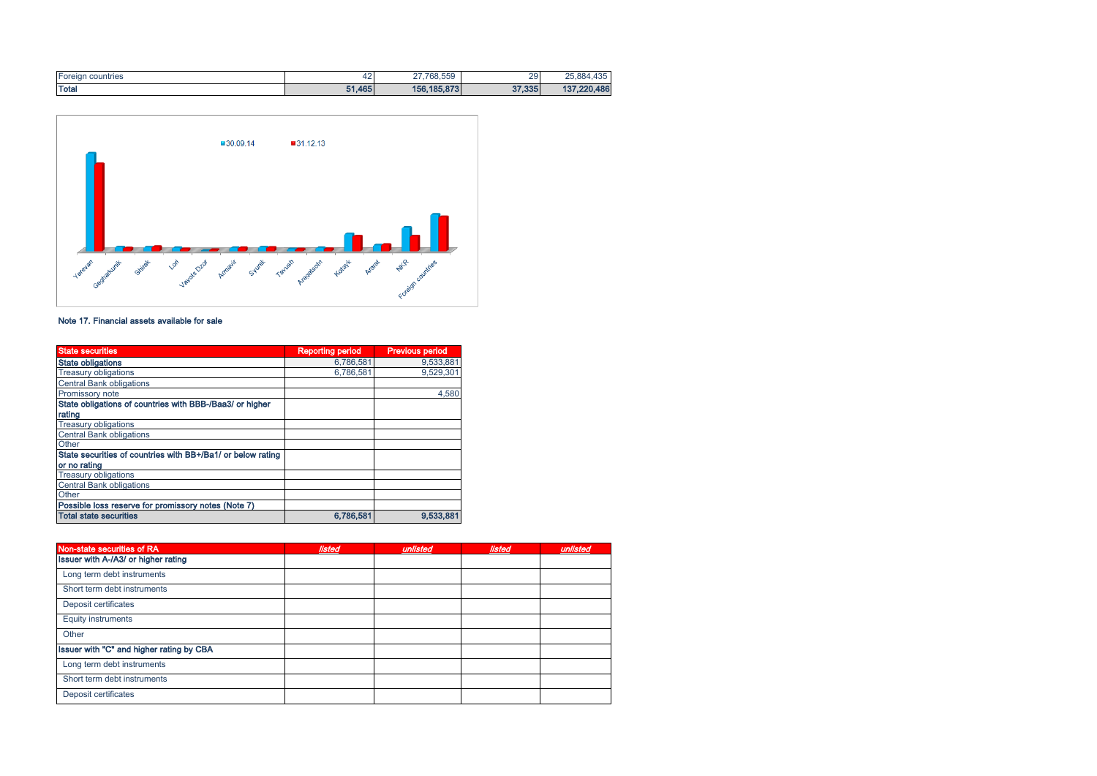| $-$<br><b>Foreign countries</b> | 42     | $\sim$<br>768,559 | 29     | 107<br>25.884.435  |
|---------------------------------|--------|-------------------|--------|--------------------|
| Total                           | 51,465 | 156, 185, 873     | 37,335 | 137.220.486<br>13. |



# Note 17. Financial assets available for sale

| <b>State securities</b>                                     | <b>Reporting period</b> | <b>Previous period</b> |
|-------------------------------------------------------------|-------------------------|------------------------|
| <b>State obligations</b>                                    | 6.786.581               | 9.533.881              |
| <b>Treasury obligations</b>                                 | 6.786.581               | 9.529.301              |
| <b>Central Bank obligations</b>                             |                         |                        |
| Promissory note                                             |                         | 4,580                  |
| State obligations of countries with BBB-/Baa3/ or higher    |                         |                        |
| rating                                                      |                         |                        |
| <b>Treasury obligations</b>                                 |                         |                        |
| <b>Central Bank obligations</b>                             |                         |                        |
| Other                                                       |                         |                        |
| State securities of countries with BB+/Ba1/ or below rating |                         |                        |
| or no rating                                                |                         |                        |
| <b>Treasury obligations</b>                                 |                         |                        |
| <b>Central Bank obligations</b>                             |                         |                        |
| Other                                                       |                         |                        |
| Possible loss reserve for promissory notes (Note 7)         |                         |                        |
| <b>Total state securities</b>                               | 6,786,581               | 9,533,881              |

| Non-state securities of RA               | listed | unlisted | listed | unlisted |
|------------------------------------------|--------|----------|--------|----------|
| Issuer with A-/A3/ or higher rating      |        |          |        |          |
| Long term debt instruments               |        |          |        |          |
| Short term debt instruments              |        |          |        |          |
| Deposit certificates                     |        |          |        |          |
| <b>Equity instruments</b>                |        |          |        |          |
| Other                                    |        |          |        |          |
| Issuer with "C" and higher rating by CBA |        |          |        |          |
| Long term debt instruments               |        |          |        |          |
| Short term debt instruments              |        |          |        |          |
| Deposit certificates                     |        |          |        |          |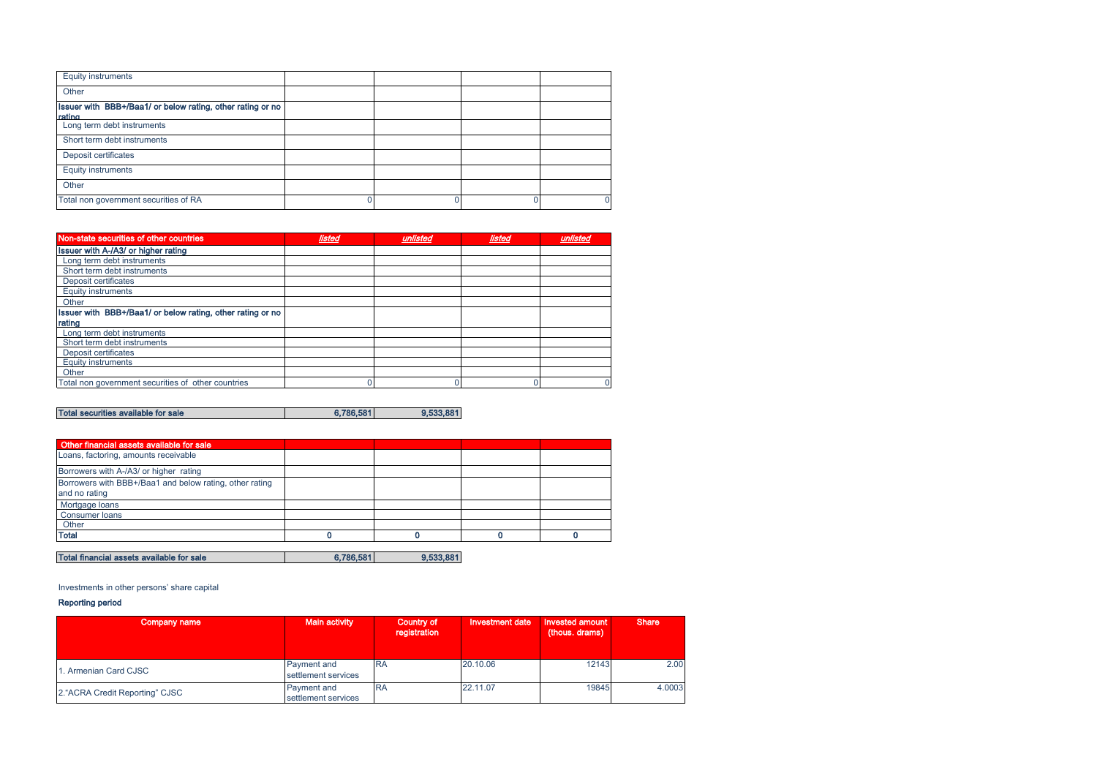| <b>Equity instruments</b>                                            |  |  |
|----------------------------------------------------------------------|--|--|
| Other                                                                |  |  |
| Issuer with BBB+/Baa1/ or below rating, other rating or no<br>rating |  |  |
| Long term debt instruments                                           |  |  |
| Short term debt instruments                                          |  |  |
| Deposit certificates                                                 |  |  |
| <b>Equity instruments</b>                                            |  |  |
| Other                                                                |  |  |
| Total non government securities of RA                                |  |  |

| Non-state securities of other countries                    | listed | unlisted | listed | unlisted |
|------------------------------------------------------------|--------|----------|--------|----------|
| Issuer with A-/A3/ or higher rating                        |        |          |        |          |
| Long term debt instruments                                 |        |          |        |          |
| Short term debt instruments                                |        |          |        |          |
| Deposit certificates                                       |        |          |        |          |
| <b>Equity instruments</b>                                  |        |          |        |          |
| Other                                                      |        |          |        |          |
| Issuer with BBB+/Baa1/ or below rating, other rating or no |        |          |        |          |
| rating                                                     |        |          |        |          |
| Long term debt instruments                                 |        |          |        |          |
| Short term debt instruments                                |        |          |        |          |
| Deposit certificates                                       |        |          |        |          |
| <b>Equity instruments</b>                                  |        |          |        |          |
| Other                                                      |        |          |        |          |
| Total non government securities of other countries         |        |          |        |          |

Total securities available for sale 6,786,581 6,786,581

| Other financial assets available for sale                                |           |           |  |
|--------------------------------------------------------------------------|-----------|-----------|--|
| Loans, factoring, amounts receivable                                     |           |           |  |
| Borrowers with A-/A3/ or higher rating                                   |           |           |  |
| Borrowers with BBB+/Baa1 and below rating, other rating<br>and no rating |           |           |  |
| Mortgage loans                                                           |           |           |  |
| <b>Consumer loans</b>                                                    |           |           |  |
| Other                                                                    |           |           |  |
| <b>Total</b>                                                             |           |           |  |
|                                                                          |           |           |  |
| Total financial assets available for sale                                | 6,786,581 | 9,533,881 |  |

Investments in other persons' share capital

#### Reporting period

| Company name                    | <b>Main activity</b>               | Country of<br>registration | <b>Investment date</b> | Invested amount<br>(thous. drams) | <b>Share</b> |
|---------------------------------|------------------------------------|----------------------------|------------------------|-----------------------------------|--------------|
| 1. Armenian Card CJSC           | Payment and<br>settlement services | <b>RA</b>                  | 20.10.06               | 12143                             | 2.00         |
| 2. "ACRA Credit Reporting" CJSC | Payment and<br>settlement services | <b>RA</b>                  | 22.11.07               | 19845                             | 4.0003       |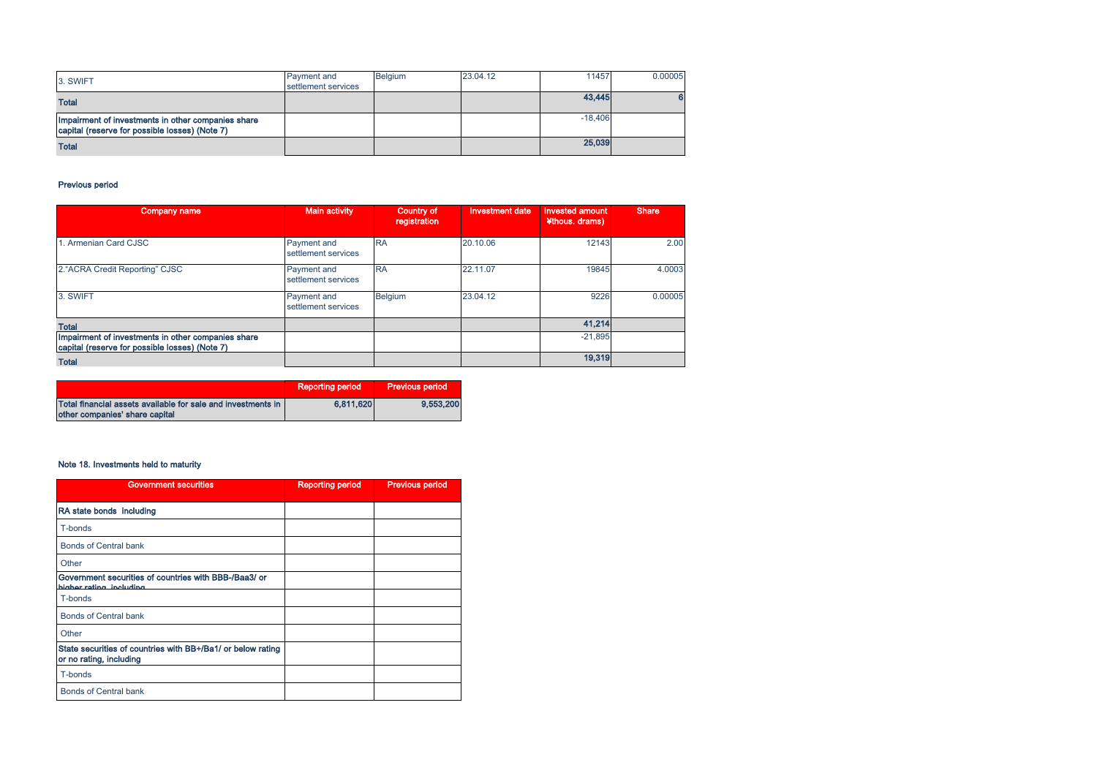| 3. SWIFT                                                                                             | Payment and<br>settlement services | <b>Belaium</b> | 23.04.12 | 11457     | 0.00005 |
|------------------------------------------------------------------------------------------------------|------------------------------------|----------------|----------|-----------|---------|
| <b>Total</b>                                                                                         |                                    |                |          | 43,445    |         |
| Impairment of investments in other companies share<br>capital (reserve for possible losses) (Note 7) |                                    |                |          | $-18.406$ |         |
| <b>Total</b>                                                                                         |                                    |                |          | 25,039    |         |

# Previous period

| Company name                                                                                         | <b>Main activity</b>               | <b>Country of</b><br>registration | Investment date | <b>Invested amount</b><br>¥thous. drams) | <b>Share</b> |
|------------------------------------------------------------------------------------------------------|------------------------------------|-----------------------------------|-----------------|------------------------------------------|--------------|
| 1. Armenian Card CJSC                                                                                | Payment and<br>settlement services | <b>RA</b>                         | 20.10.06        | 12143                                    | 2.00         |
| 2. "ACRA Credit Reporting" CJSC                                                                      | Payment and<br>settlement services | <b>RA</b>                         | 22.11.07        | 19845                                    | 4.0003       |
| 3. SWIFT                                                                                             | Payment and<br>settlement services | Belgium                           | 23.04.12        | 9226                                     | 0.00005      |
| <b>Total</b>                                                                                         |                                    |                                   |                 | 41,214                                   |              |
| Impairment of investments in other companies share<br>capital (reserve for possible losses) (Note 7) |                                    |                                   |                 | $-21.895$                                |              |
| <b>Total</b>                                                                                         |                                    |                                   |                 | 19,319                                   |              |

|                                                                                                | <b>Reporting period</b> | <b>Previous period</b> |
|------------------------------------------------------------------------------------------------|-------------------------|------------------------|
| Total financial assets available for sale and investments in<br>other companies' share capital | 6.811.620               | 9,553,200              |

# Note 18. Investments held to maturity

| <b>Government securities</b>                                                           | <b>Reporting period</b> | <b>Previous period</b> |
|----------------------------------------------------------------------------------------|-------------------------|------------------------|
| RA state bonds including                                                               |                         |                        |
| T-bonds                                                                                |                         |                        |
| <b>Bonds of Central bank</b>                                                           |                         |                        |
| Other                                                                                  |                         |                        |
| Government securities of countries with BBB-/Baa3/ or<br>higher rating including       |                         |                        |
| T-bonds                                                                                |                         |                        |
| <b>Bonds of Central bank</b>                                                           |                         |                        |
| Other                                                                                  |                         |                        |
| State securities of countries with BB+/Ba1/ or below rating<br>or no rating, including |                         |                        |
| T-bonds                                                                                |                         |                        |
| <b>Bonds of Central bank</b>                                                           |                         |                        |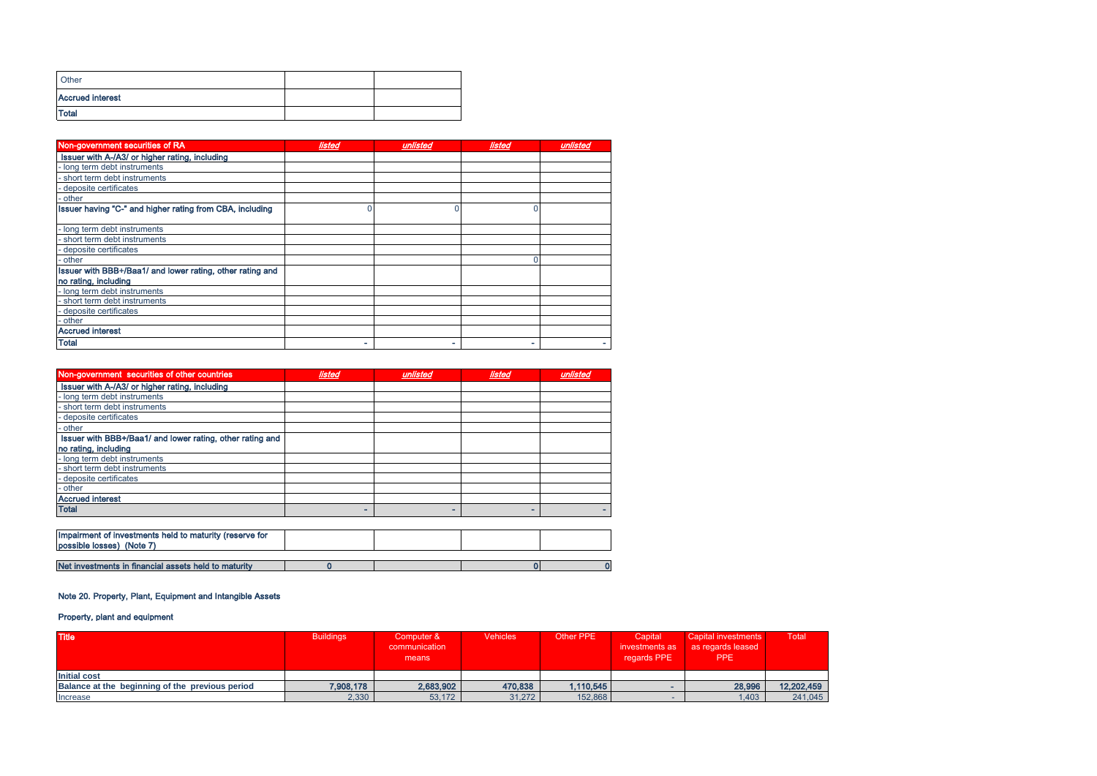| Other                   |  |
|-------------------------|--|
| <b>Accrued interest</b> |  |
| <b>Total</b>            |  |

| Non-government securities of RA                           | listed | unlisted | listed | unlisted |
|-----------------------------------------------------------|--------|----------|--------|----------|
| Issuer with A-/A3/ or higher rating, including            |        |          |        |          |
| - long term debt instruments                              |        |          |        |          |
| short term debt instruments                               |        |          |        |          |
| deposite certificates                                     |        |          |        |          |
| other                                                     |        |          |        |          |
| Issuer having "C-" and higher rating from CBA, including  |        |          | 0      |          |
| - long term debt instruments                              |        |          |        |          |
| short term debt instruments                               |        |          |        |          |
| deposite certificates                                     |        |          |        |          |
| - other                                                   |        |          |        |          |
| Issuer with BBB+/Baa1/ and lower rating, other rating and |        |          |        |          |
| no rating, including                                      |        |          |        |          |
| - long term debt instruments                              |        |          |        |          |
| - short term debt instruments                             |        |          |        |          |
| deposite certificates                                     |        |          |        |          |
| - other                                                   |        |          |        |          |
| <b>Accrued interest</b>                                   |        |          |        |          |
| <b>Total</b>                                              |        |          |        |          |

| Non-government securities of other countries              | listed | unlisted | listed | unlisted |
|-----------------------------------------------------------|--------|----------|--------|----------|
| Issuer with A-/A3/ or higher rating, including            |        |          |        |          |
| - long term debt instruments                              |        |          |        |          |
| short term debt instruments                               |        |          |        |          |
| deposite certificates                                     |        |          |        |          |
| other                                                     |        |          |        |          |
| Issuer with BBB+/Baa1/ and lower rating, other rating and |        |          |        |          |
| no rating, including                                      |        |          |        |          |
| - long term debt instruments                              |        |          |        |          |
| - short term debt instruments                             |        |          |        |          |
| - deposite certificates                                   |        |          |        |          |
| - other                                                   |        |          |        |          |
| <b>Accrued interest</b>                                   |        |          |        |          |
| <b>Total</b>                                              | -      |          | ۰      |          |
|                                                           |        |          |        |          |
| Impairment of investments held to maturity (reserve for   |        |          |        |          |
| possible losses) (Note 7)                                 |        |          |        |          |
|                                                           |        |          |        |          |
| Net investments in financial assets held to maturity      |        |          |        |          |

# Note 20. Property, Plant, Equipment and Intangible Assets

# Property, plant and equipment

| <b>Title</b>                                    | <b>Buildings</b> | Computer &<br>communication<br>means | <b>Vehicles</b> | Other PPE | Capital<br>investments as<br>regards PPE | Capital investments<br>as regards leased<br><b>PPE</b> | Total      |
|-------------------------------------------------|------------------|--------------------------------------|-----------------|-----------|------------------------------------------|--------------------------------------------------------|------------|
| <b>Initial cost</b>                             |                  |                                      |                 |           |                                          |                                                        |            |
| Balance at the beginning of the previous period | 7,908,178        | 2,683,902                            | 470,838         | 1,110,545 |                                          | 28,996                                                 | 12,202,459 |
| Increase                                        | 2,330            | 53,172                               | 31,272          | 152,868   |                                          | .403                                                   | 241,045    |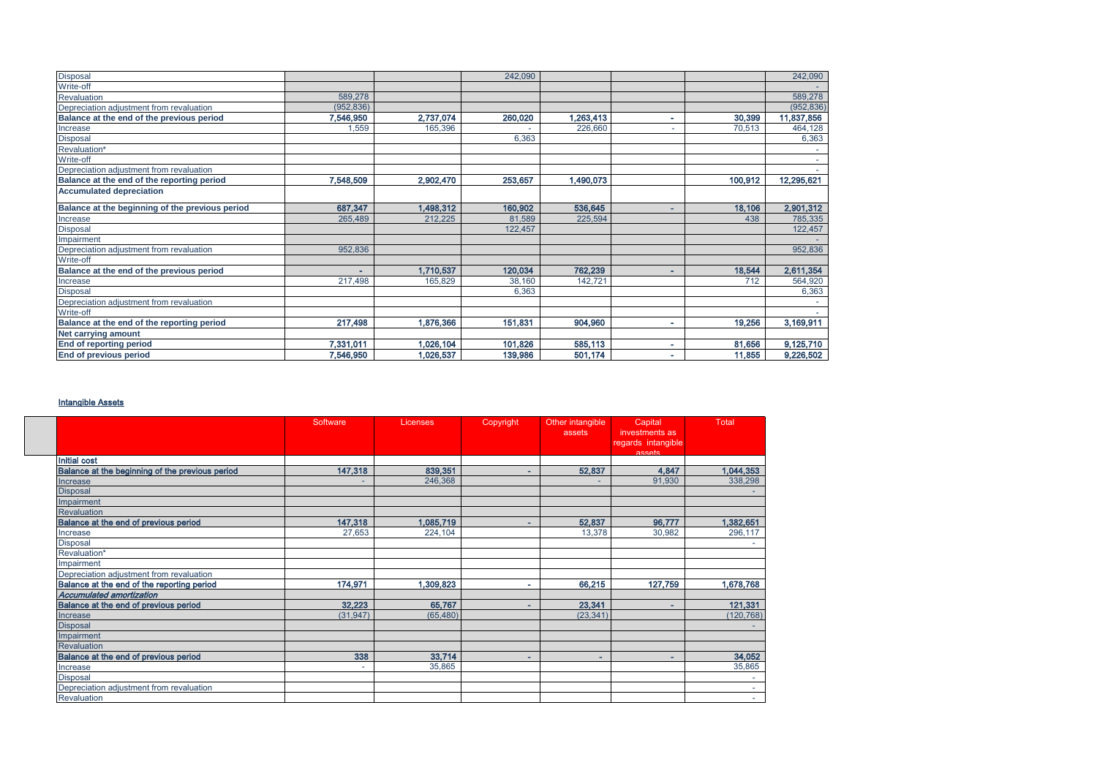| Disposal                                        |            |           | 242,090 |           |   |         | 242,090    |
|-------------------------------------------------|------------|-----------|---------|-----------|---|---------|------------|
| Write-off                                       |            |           |         |           |   |         |            |
| Revaluation                                     | 589,278    |           |         |           |   |         | 589,278    |
| Depreciation adjustment from revaluation        | (952, 836) |           |         |           |   |         | (952, 836) |
| Balance at the end of the previous period       | 7,546,950  | 2,737,074 | 260,020 | 1,263,413 | ٠ | 30,399  | 11,837,856 |
| Increase                                        | 1,559      | 165,396   |         | 226,660   |   | 70,513  | 464,128    |
| <b>Disposal</b>                                 |            |           | 6,363   |           |   |         | 6,363      |
| Revaluation*                                    |            |           |         |           |   |         |            |
| Write-off                                       |            |           |         |           |   |         |            |
| Depreciation adjustment from revaluation        |            |           |         |           |   |         |            |
| Balance at the end of the reporting period      | 7,548,509  | 2,902,470 | 253,657 | 1,490,073 |   | 100,912 | 12,295,621 |
| <b>Accumulated depreciation</b>                 |            |           |         |           |   |         |            |
| Balance at the beginning of the previous period | 687,347    | 1,498,312 | 160,902 | 536,645   | ۰ | 18,106  | 2,901,312  |
| Increase                                        | 265,489    | 212,225   | 81,589  | 225,594   |   | 438     | 785,335    |
| Disposal                                        |            |           | 122,457 |           |   |         | 122,457    |
| Impairment                                      |            |           |         |           |   |         |            |
| Depreciation adjustment from revaluation        | 952,836    |           |         |           |   |         | 952,836    |
| Write-off                                       |            |           |         |           |   |         |            |
| Balance at the end of the previous period       | ٠          | 1,710,537 | 120,034 | 762,239   | ۰ | 18,544  | 2,611,354  |
| Increase                                        | 217,498    | 165,829   | 38,160  | 142,721   |   | 712     | 564,920    |
| <b>Disposal</b>                                 |            |           | 6,363   |           |   |         | 6,363      |
| Depreciation adjustment from revaluation        |            |           |         |           |   |         |            |
| Write-off                                       |            |           |         |           |   |         |            |
| Balance at the end of the reporting period      | 217,498    | 1,876,366 | 151,831 | 904,960   | ۰ | 19,256  | 3,169,911  |
| Net carrying amount                             |            |           |         |           |   |         |            |
| <b>End of reporting period</b>                  | 7,331,011  | 1,026,104 | 101,826 | 585,113   | ٠ | 81,656  | 9,125,710  |
| End of previous period                          | 7,546,950  | 1,026,537 | 139,986 | 501,174   | ۰ | 11,855  | 9,226,502  |

# Intangible Assets

|                                                 | Software                 | Licenses  | Copyright | Other intangible<br>assets | Capital<br>investments as<br>regards intangible | Total      |
|-------------------------------------------------|--------------------------|-----------|-----------|----------------------------|-------------------------------------------------|------------|
|                                                 |                          |           |           |                            | accate                                          |            |
| <b>Initial cost</b>                             |                          |           |           |                            |                                                 |            |
| Balance at the beginning of the previous period | 147,318                  | 839,351   | ۰         | 52,837                     | 4,847                                           | 1,044,353  |
| Increase                                        | ٠                        | 246,368   |           |                            | 91,930                                          | 338,298    |
| <b>Disposal</b>                                 |                          |           |           |                            |                                                 |            |
| Impairment                                      |                          |           |           |                            |                                                 |            |
| <b>Revaluation</b>                              |                          |           |           |                            |                                                 |            |
| Balance at the end of previous period           | 147,318                  | 1,085,719 | ۰         | 52,837                     | 96,777                                          | 1,382,651  |
| Increase                                        | 27,653                   | 224,104   |           | 13,378                     | 30,982                                          | 296,117    |
| <b>Disposal</b>                                 |                          |           |           |                            |                                                 |            |
| Revaluation*                                    |                          |           |           |                            |                                                 |            |
| Impairment                                      |                          |           |           |                            |                                                 |            |
| Depreciation adjustment from revaluation        |                          |           |           |                            |                                                 |            |
| Balance at the end of the reporting period      | 174,971                  | 1,309,823 | ۰         | 66,215                     | 127,759                                         | 1,678,768  |
| Accumulated amortization                        |                          |           |           |                            |                                                 |            |
| Balance at the end of previous period           | 32.223                   | 65,767    | ٠         | 23.341                     | $\sim$                                          | 121,331    |
| Increase                                        | (31, 947)                | (65, 480) |           | (23, 341)                  |                                                 | (120, 768) |
| <b>Disposal</b>                                 |                          |           |           |                            |                                                 |            |
| Impairment                                      |                          |           |           |                            |                                                 |            |
| <b>Revaluation</b>                              |                          |           |           |                            |                                                 |            |
| Balance at the end of previous period           | 338                      | 33,714    |           | ٠                          | ٠                                               | 34,052     |
| Increase                                        | $\overline{\phantom{a}}$ | 35,865    |           |                            |                                                 | 35,865     |
| <b>Disposal</b>                                 |                          |           |           |                            |                                                 | $\sim$     |
| Depreciation adjustment from revaluation        |                          |           |           |                            |                                                 |            |
| Revaluation                                     |                          |           |           |                            |                                                 | $\sim$     |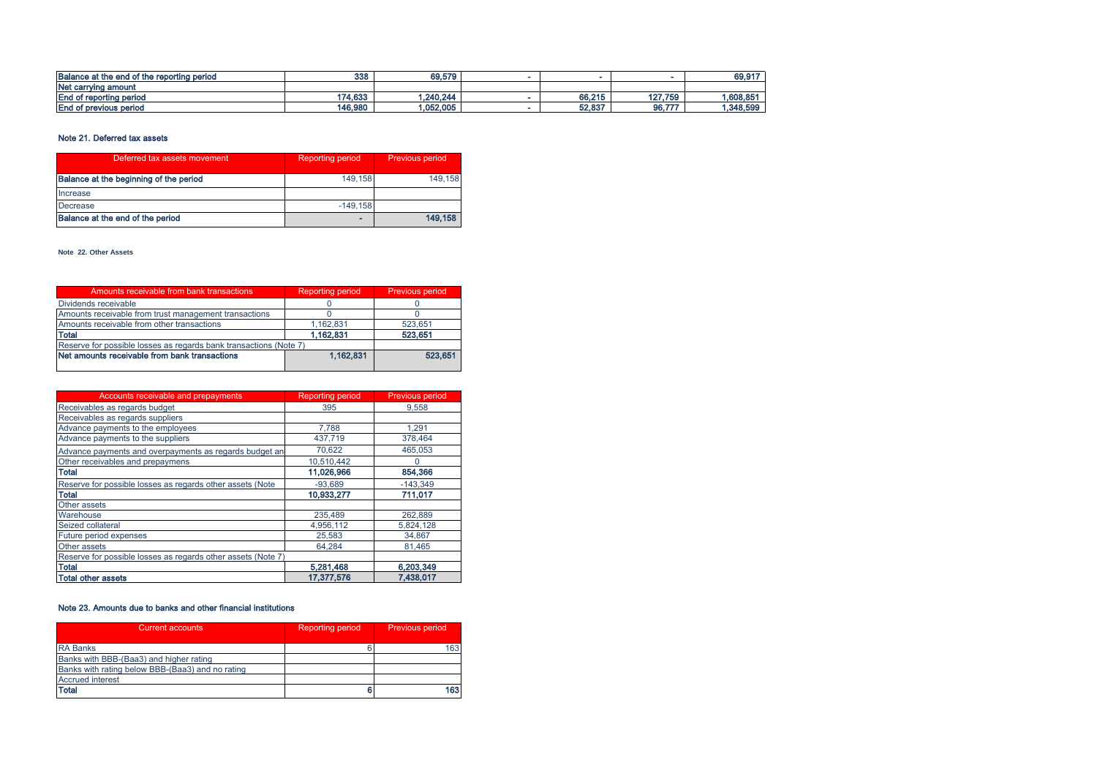| Balance at the end of the reporting period | 338     | 69.579    |        |         | 69,917    |
|--------------------------------------------|---------|-----------|--------|---------|-----------|
| Net carrying amount                        |         |           |        |         |           |
| <b>End of reporting period</b>             | 174,633 | 1,240,244 | 66,215 | 127,759 | .608,85   |
| f previous period<br>End of                | 146,980 | 1,052,005 | 52,837 | 96,777  | 1,348,599 |

## Note 21. Deferred tax assets

| Deferred tax assets movement           | <b>Reporting period</b> | Previous period |
|----------------------------------------|-------------------------|-----------------|
| Balance at the beginning of the period | 149.158                 | 149.158         |
| Increase                               |                         |                 |
| Decrease                               | $-149.158$              |                 |
| Balance at the end of the period       |                         | 149,158         |

#### **Note 22.** Օ**ther Assets**

| Amounts receivable from bank transactions                         | <b>Reporting period</b> | Previous period |
|-------------------------------------------------------------------|-------------------------|-----------------|
| Dividends receivable                                              |                         |                 |
| Amounts receivable from trust management transactions             |                         |                 |
| Amounts receivable from other transactions                        | 1.162.831               | 523.651         |
| <b>Total</b>                                                      | 1.162.831               | 523.651         |
| Reserve for possible losses as regards bank transactions (Note 7) |                         |                 |
| Net amounts receivable from bank transactions                     | 1.162.831               | 523,651         |

| Accounts receivable and prepayments                          | <b>Reporting period</b> | <b>Previous period</b> |
|--------------------------------------------------------------|-------------------------|------------------------|
| Receivables as regards budget                                | 395                     | 9.558                  |
| Receivables as regards suppliers                             |                         |                        |
| Advance payments to the employees                            | 7.788                   | 1.291                  |
| Advance payments to the suppliers                            | 437,719                 | 378,464                |
| Advance payments and overpayments as regards budget an       | 70.622                  | 465.053                |
| Other receivables and prepaymens                             | 10.510.442              |                        |
| <b>Total</b>                                                 | 11.026,966              | 854,366                |
| Reserve for possible losses as regards other assets (Note    | $-93.689$               | $-143,349$             |
| <b>Total</b>                                                 | 10,933,277              | 711,017                |
| Other assets                                                 |                         |                        |
| Warehouse                                                    | 235,489                 | 262.889                |
| Seized collateral                                            | 4,956,112               | 5,824,128              |
| Future period expenses                                       | 25,583                  | 34,867                 |
| Other assets                                                 | 64,284                  | 81,465                 |
| Reserve for possible losses as regards other assets (Note 7) |                         |                        |
| <b>Total</b>                                                 | 5,281,468               | 6,203,349              |
| <b>Total other assets</b>                                    | 17,377,576              | 7,438,017              |

## Note 23. Amounts due to banks and other financial institutions

| Current accounts                                 | <b>Reporting period</b> | <b>Previous period</b> |
|--------------------------------------------------|-------------------------|------------------------|
| <b>RA Banks</b>                                  |                         | 163                    |
| Banks with BBB-(Baa3) and higher rating          |                         |                        |
| Banks with rating below BBB-(Baa3) and no rating |                         |                        |
| <b>Accrued interest</b>                          |                         |                        |
| <b>Total</b>                                     |                         | 163                    |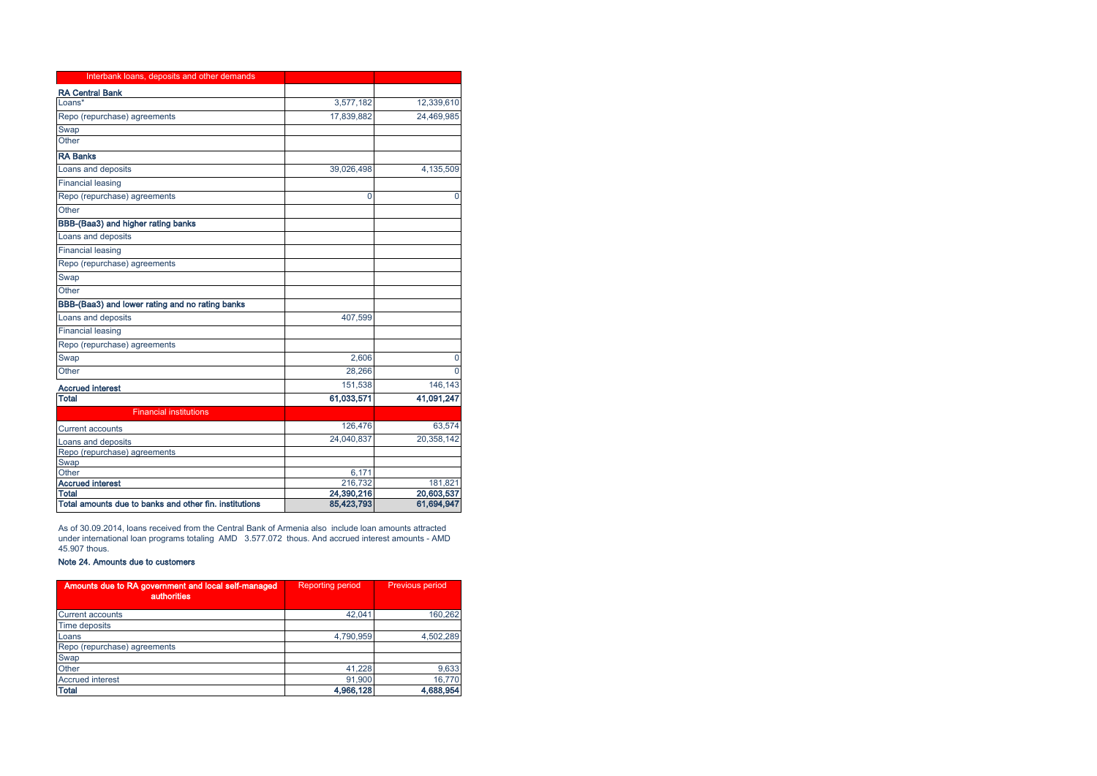| Interbank loans, deposits and other demands            |            |              |
|--------------------------------------------------------|------------|--------------|
| <b>RA Central Bank</b>                                 |            |              |
| Loans*                                                 | 3,577,182  | 12,339,610   |
| Repo (repurchase) agreements                           | 17,839,882 | 24,469,985   |
| Swap                                                   |            |              |
| Other                                                  |            |              |
| <b>RA Banks</b>                                        |            |              |
| Loans and deposits                                     | 39,026,498 | 4,135,509    |
| <b>Financial leasing</b>                               |            |              |
| Repo (repurchase) agreements                           | 0          | $\mathbf{0}$ |
| Other                                                  |            |              |
| BBB-(Baa3) and higher rating banks                     |            |              |
| Loans and deposits                                     |            |              |
| <b>Financial leasing</b>                               |            |              |
| Repo (repurchase) agreements                           |            |              |
| Swap                                                   |            |              |
| Other                                                  |            |              |
| BBB-(Baa3) and lower rating and no rating banks        |            |              |
| Loans and deposits                                     | 407,599    |              |
| <b>Financial leasing</b>                               |            |              |
| Repo (repurchase) agreements                           |            |              |
| Swap                                                   | 2,606      | 0            |
| Other                                                  | 28,266     | $\Omega$     |
| <b>Accrued interest</b>                                | 151,538    | 146,143      |
| <b>Total</b>                                           | 61,033,571 | 41,091,247   |
| <b>Financial institutions</b>                          |            |              |
| <b>Current accounts</b>                                | 126,476    | 63,574       |
| Loans and deposits                                     | 24,040,837 | 20,358,142   |
| Repo (repurchase) agreements                           |            |              |
| Swap                                                   |            |              |
| Other                                                  | 6,171      |              |
| <b>Accrued interest</b>                                | 216,732    | 181,821      |
| Total                                                  | 24,390,216 | 20,603,537   |
| Total amounts due to banks and other fin. institutions | 85,423,793 | 61,694,947   |

As of 30.09.2014, loans received from the Central Bank of Armenia also include loan amounts attracted under international loan programs totaling AMD 3.577.072 thous. And accrued interest amounts - AMD 45.907 thous.

## Note 24. Amounts due to customers

| Amounts due to RA government and local self-managed<br>authorities | <b>Reporting period</b> | <b>Previous period</b> |
|--------------------------------------------------------------------|-------------------------|------------------------|
| <b>Current accounts</b>                                            | 42.041                  | 160,262                |
| Time deposits                                                      |                         |                        |
| Loans                                                              | 4.790.959               | 4.502.289              |
| Repo (repurchase) agreements                                       |                         |                        |
| Swap                                                               |                         |                        |
| Other                                                              | 41,228                  | 9,633                  |
| <b>Accrued interest</b>                                            | 91.900                  | 16,770                 |
| <b>Total</b>                                                       | 4,966,128               | 4,688,954              |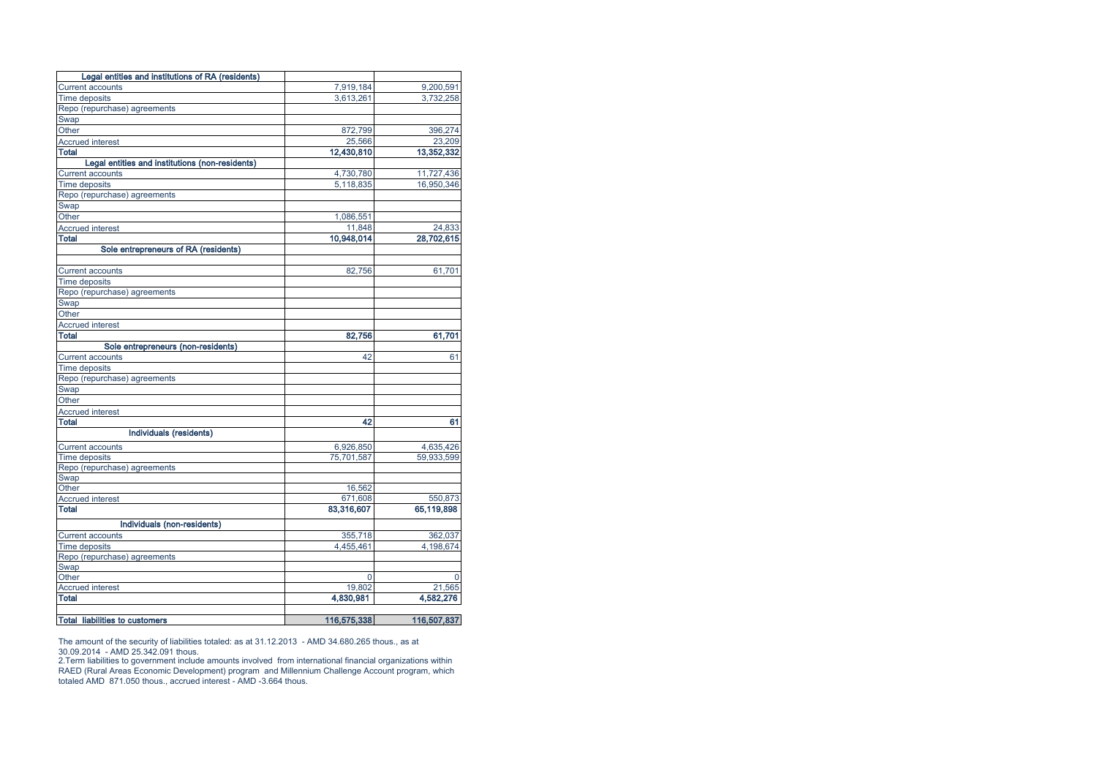| Legal entities and institutions of RA (residents) |             |                     |
|---------------------------------------------------|-------------|---------------------|
| <b>Current accounts</b>                           | 7,919,184   | 9,200,591           |
| <b>Time deposits</b>                              | 3,613,261   | 3,732,258           |
| Repo (repurchase) agreements                      |             |                     |
| Swap                                              |             |                     |
| Other                                             | 872,799     | 396,274             |
| <b>Accrued interest</b>                           | 25,566      | 23,209              |
| <b>Total</b>                                      | 12,430,810  | 13,352,332          |
| Legal entities and institutions (non-residents)   |             |                     |
| Current accounts                                  | 4,730,780   | 11,727,436          |
| <b>Time deposits</b>                              | 5,118,835   | 16,950,346          |
| Repo (repurchase) agreements                      |             |                     |
| Swap                                              |             |                     |
| Other                                             | 1,086,551   |                     |
| <b>Accrued interest</b>                           | 11,848      | 24,833              |
| <b>Total</b>                                      | 10,948,014  | 28,702,615          |
| Sole entrepreneurs of RA (residents)              |             |                     |
|                                                   |             |                     |
| <b>Current accounts</b>                           | 82,756      | 61,701              |
| Time deposits                                     |             |                     |
| Repo (repurchase) agreements                      |             |                     |
| Swap                                              |             |                     |
| Other                                             |             |                     |
| <b>Accrued interest</b>                           |             |                     |
| <b>Total</b>                                      | 82,756      | 61,701              |
| Sole entrepreneurs (non-residents)                |             |                     |
| <b>Current accounts</b>                           | 42          | 61                  |
| <b>Time deposits</b>                              |             |                     |
| Repo (repurchase) agreements                      |             |                     |
| Swap                                              |             |                     |
| Other                                             |             |                     |
| <b>Accrued interest</b>                           |             |                     |
| <b>Total</b>                                      | 42          | 61                  |
| Individuals (residents)                           |             |                     |
| <b>Current accounts</b>                           | 6,926,850   | 4,635,426           |
| <b>Time deposits</b>                              | 75,701,587  | 59,933,599          |
| Repo (repurchase) agreements                      |             |                     |
| Swap                                              |             |                     |
| Other                                             | 16,562      |                     |
| <b>Accrued interest</b>                           | 671,608     | 550,873             |
| <b>Total</b>                                      | 83,316,607  | 65,119,898          |
|                                                   |             |                     |
| Individuals (non-residents)                       |             |                     |
| <b>Current accounts</b>                           | 355.718     | 362,037             |
| Time deposits                                     | 4,455,461   | 4,198,674           |
| Repo (repurchase) agreements                      |             |                     |
| Swap                                              |             | U                   |
| Other<br><b>Accrued interest</b>                  | 0<br>19.802 |                     |
| <b>Total</b>                                      | 4,830,981   | 21,565<br>4,582,276 |
|                                                   |             |                     |
| <b>Total liabilities to customers</b>             | 116,575,338 | 116,507,837         |
|                                                   |             |                     |

The amount of the security of liabilities totaled: as at 31.12.2013 - AMD 34.680.265 thous., as at<br>30.09.2014 - AMD 25.342.091 thous.<br>2.Term liabilities to government include amounts involved from international financia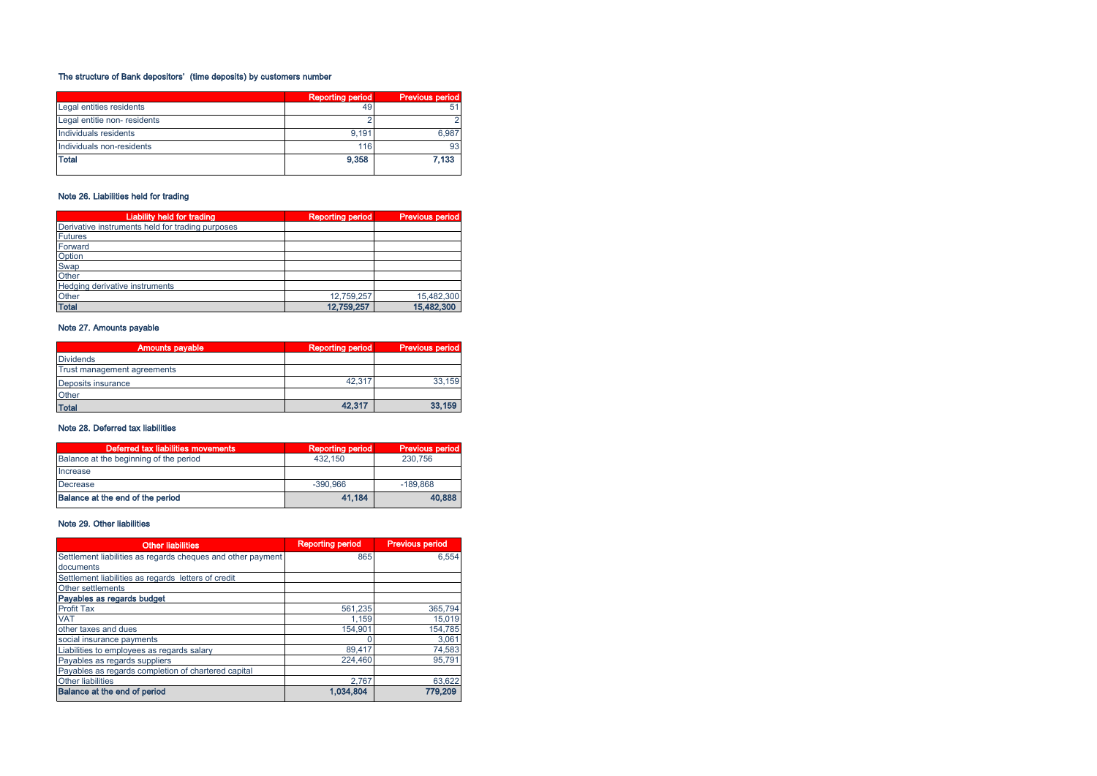# The structure of Bank depositors' (time deposits) by customers number

|                              | <b>Reporting period</b> | <b>Previous period</b> |
|------------------------------|-------------------------|------------------------|
| Legal entities residents     | 49                      |                        |
| Legal entitie non- residents |                         |                        |
| Individuals residents        | 9.191                   | 6.987                  |
| Individuals non-residents    | 116                     | 93                     |
| <b>Total</b>                 | 9.358                   | 7.133                  |

# Note 26. Liabilities held for trading

| Liability held for trading                       | <b>Reporting period</b> | <b>Previous period</b> |
|--------------------------------------------------|-------------------------|------------------------|
| Derivative instruments held for trading purposes |                         |                        |
| <b>Futures</b>                                   |                         |                        |
| Forward                                          |                         |                        |
| Option                                           |                         |                        |
| Swap                                             |                         |                        |
| Other                                            |                         |                        |
| Hedging derivative instruments                   |                         |                        |
| Other                                            | 12.759.257              | 15,482,300             |
| <b>Total</b>                                     | 12,759,257              | 15,482,300             |

# Note 27. Amounts payable

| <b>Amounts payable</b>      | <b>Reporting period</b> | <b>Previous period</b> |
|-----------------------------|-------------------------|------------------------|
| <b>Dividends</b>            |                         |                        |
| Trust management agreements |                         |                        |
| Deposits insurance          | 42.317                  | 33,159                 |
| Other                       |                         |                        |
| <b>Total</b>                | 42,317                  | 33,159                 |

## Note 28. Deferred tax liabilities

| Deferred tax liabilities movements,    | <b>Reporting period</b> | <b>Previous period</b> |
|----------------------------------------|-------------------------|------------------------|
| Balance at the beginning of the period | 432.150                 | 230,756                |
| Increase                               |                         |                        |
| Decrease                               | $-390.966$              | $-189.868$             |
| Balance at the end of the period       | 41.184                  | 40.888                 |

# Note 29. Other liabilities

| <b>Other liabilities</b>                                    | <b>Reporting period</b> | <b>Previous period</b> |
|-------------------------------------------------------------|-------------------------|------------------------|
| Settlement liabilities as regards cheques and other payment | 865                     | 6.554                  |
| documents                                                   |                         |                        |
| Settlement liabilities as regards letters of credit         |                         |                        |
| Other settlements                                           |                         |                        |
| Payables as regards budget                                  |                         |                        |
| <b>Profit Tax</b>                                           | 561.235                 | 365.794                |
| <b>VAT</b>                                                  | 1.159                   | 15,019                 |
| other taxes and dues                                        | 154.901                 | 154,785                |
| social insurance payments                                   |                         | 3,061                  |
| Liabilities to employees as regards salary                  | 89.417                  | 74,583                 |
| Payables as regards suppliers                               | 224,460                 | 95.791                 |
| Payables as regards completion of chartered capital         |                         |                        |
| <b>Other liabilities</b>                                    | 2.767                   | 63,622                 |
| Balance at the end of period                                | 1.034.804               | 779,209                |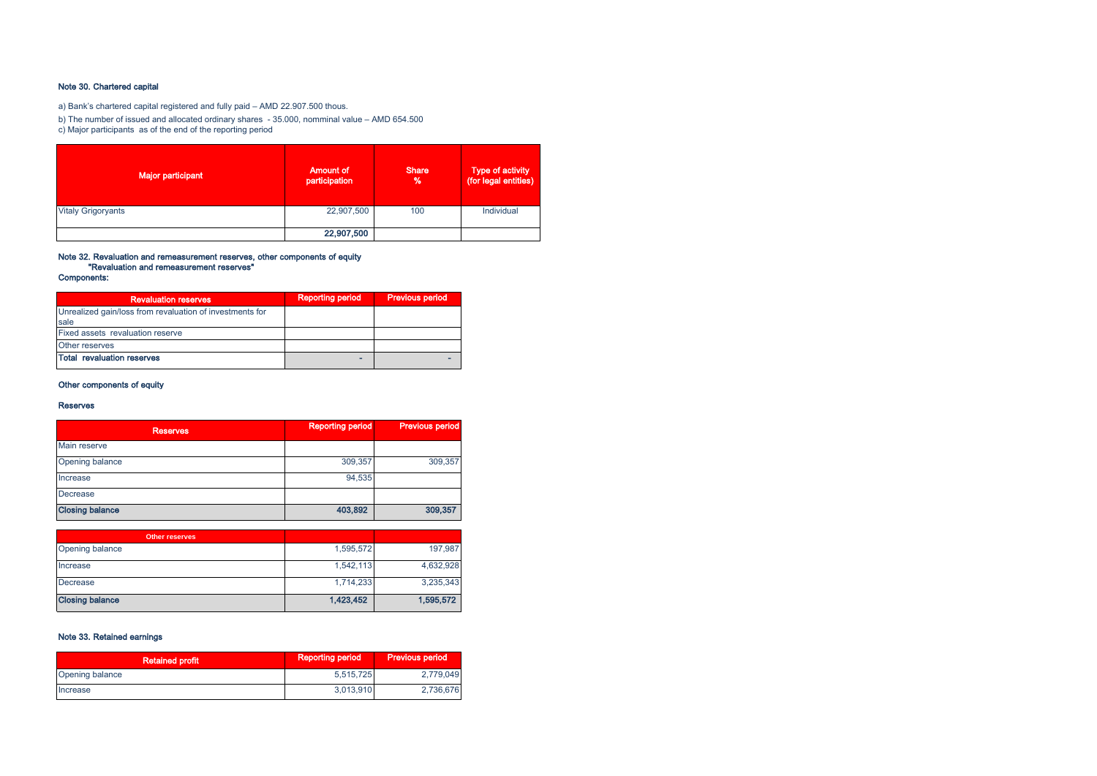# Note 30. Chartered capital

a) Bank's chartered capital registered and fully paid – AMD 22.907.500 thous.

b) The number of issued and allocated ordinary shares - 35.000, nomminal value – AMD 654.500

c) Major participants as of the end of the reporting period

| <b>Major participant</b>  | <b>Amount of</b><br>participation | <b>Share</b><br>% | Type of activity<br>(for legal entities) |
|---------------------------|-----------------------------------|-------------------|------------------------------------------|
| <b>Vitaly Grigoryants</b> | 22,907,500                        | 100               | Individual                               |
|                           | 22,907,500                        |                   |                                          |

# Note 32. Revaluation and remeasurement reserves, other components of equity "Revaluation and remeasurement reserves"

Components:

| <b>Revaluation reserves</b>                                      | <b>Reporting period</b> | <b>Previous period</b> |
|------------------------------------------------------------------|-------------------------|------------------------|
| Unrealized gain/loss from revaluation of investments for<br>sale |                         |                        |
| Fixed assets revaluation reserve                                 |                         |                        |
| Other reserves                                                   |                         |                        |
| Total revaluation reserves                                       |                         |                        |

# Other components of equity

#### Reserves

| <b>Reserves</b>        | <b>Reporting period</b> | <b>Previous period</b> |
|------------------------|-------------------------|------------------------|
| Main reserve           |                         |                        |
| Opening balance        | 309,357                 | 309,357                |
| Increase               | 94.535                  |                        |
| Decrease               |                         |                        |
| <b>Closing balance</b> | 403,892                 | 309,357                |

| <b>Other reserves</b>  |           |           |
|------------------------|-----------|-----------|
| Opening balance        | 1,595,572 | 197,987   |
| Increase               | 1,542,113 | 4,632,928 |
| Decrease               | 1,714,233 | 3,235,343 |
| <b>Closing balance</b> | 1,423,452 | 1,595,572 |

# Note 33. Retained earnings

| <b>Retained profit</b> | <b>Reporting period</b> | <b>Previous period</b> |
|------------------------|-------------------------|------------------------|
| <b>Opening balance</b> | 5,515,725               | 2.779.049              |
| Increase               | 3,013,910               | 2.736.676              |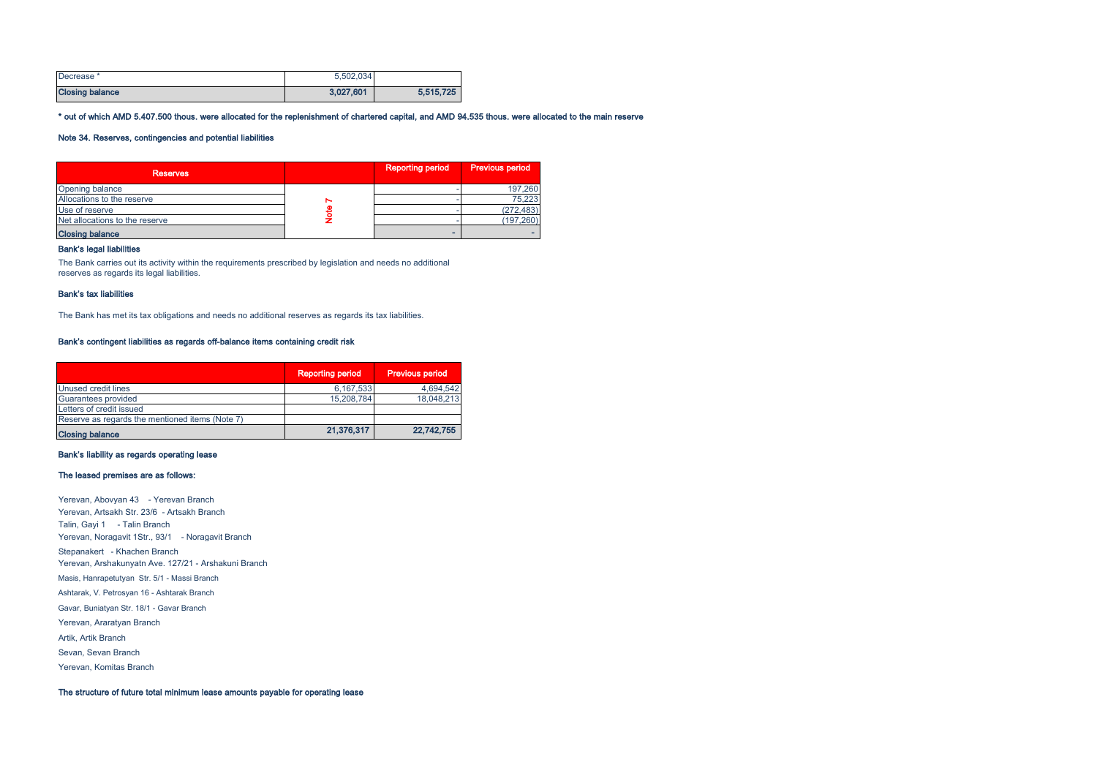| Decrease <sup>*</sup>  | 5.502.034 |           |
|------------------------|-----------|-----------|
| <b>Closing balance</b> | 3.027.601 | 5,515,725 |

\* out of which AMD 5.407.500 thous. were allocated for the replenishment of chartered capital, and AMD 94.535 thous. were allocated to the main reserve

# Note 34. Reserves, contingencies and potential liabilities

| <b>Reserves</b>                | <b>Reporting period</b> | Previous period |
|--------------------------------|-------------------------|-----------------|
| Opening balance                |                         | 197,260         |
| Allocations to the reserve     |                         | 75,223          |
| Use of reserve                 |                         | (272, 483)      |
| Net allocations to the reserve |                         | (197, 260)      |
| <b>Closing balance</b>         |                         |                 |

#### Bank's legal liabilities

The Bank carries out its activity within the requirements prescribed by legislation and needs no additional reserves as regards its legal liabilities.

#### Bank's tax liabilities

The Bank has met its tax obligations and needs no additional reserves as regards its tax liabilities.

#### Bank's contingent liabilities as regards off-balance items containing credit risk

|                                                 | <b>Reporting period</b> | <b>Previous period</b> |
|-------------------------------------------------|-------------------------|------------------------|
| Unused credit lines                             | 6,167,533               | 4,694,542              |
| Guarantees provided                             | 15,208,784              | 18,048,213             |
| Letters of credit issued                        |                         |                        |
| Reserve as regards the mentioned items (Note 7) |                         |                        |
| <b>Closing balance</b>                          | 21,376,317              | 22.742.755             |

# Bank's liability as regards operating lease

#### The leased premises are as follows:

Yerevan, Abovyan 43 - Yerevan Branch Yerevan, Artsakh Str. 23/6 - Artsakh Branch Talin, Gayi 1 - Talin Branch Yerevan, Noragavit 1Str., 93/1 - Noragavit Branch Stepanakert - Khachen Branch Yerevan, Araratyan Branch Gavar, Buniatyan Str. 18/1 - Gavar Branch Yerevan, Arshakunyatn Ave. 127/21 - Arshakuni Branch Masis, Hanrapetutyan Str. 5/1 - Massi Branch Ashtarak, V. Petrosyan 16 - Ashtarak Branch Artik, Artik Branch Sevan, Sevan Branch Yerevan, Komitas Branch

The structure of future total minimum lease amounts payable for operating lease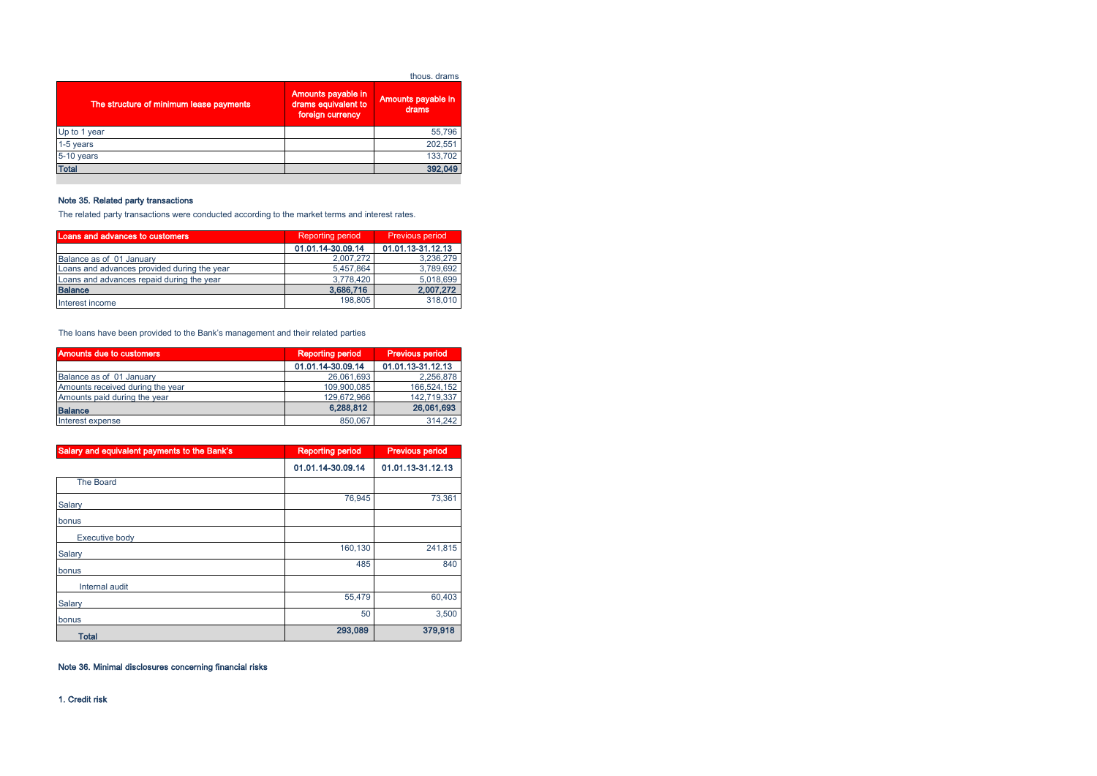|                                         |                                                               | thous, drams                |
|-----------------------------------------|---------------------------------------------------------------|-----------------------------|
| The structure of minimum lease payments | Amounts payable in<br>drams equivalent to<br>foreign currency | Amounts payable in<br>drams |
| Up to 1 year                            |                                                               | 55,796                      |
| 1-5 years                               |                                                               | 202,551                     |
| 5-10 years                              |                                                               | 133.702                     |
| <b>Total</b>                            |                                                               | 392.049                     |

# Note 35. Related party transactions

The related party transactions were conducted according to the market terms and interest rates.

| <b>Loans and advances to customers</b>      | <b>Reporting period</b> | Previous period   |  |
|---------------------------------------------|-------------------------|-------------------|--|
|                                             | 01.01.14-30.09.14       | 01.01.13-31.12.13 |  |
| Balance as of 01 January                    | 2,007,272               | 3.236.279         |  |
| Loans and advances provided during the year | 5.457.864               | 3.789.692         |  |
| Loans and advances repaid during the year   | 3.778.420               | 5.018.699         |  |
| <b>Balance</b>                              | 3,686,716               | 2,007,272         |  |
| Interest income                             | 198,805                 | 318,010           |  |

The loans have been provided to the Bank's management and their related parties

| <b>Amounts due to customers</b>  | <b>Reporting period</b> | <b>Previous period</b> |  |
|----------------------------------|-------------------------|------------------------|--|
|                                  | 01.01.14-30.09.14       | 01.01.13-31.12.13      |  |
| Balance as of 01 January         | 26.061.693              | 2.256.878              |  |
| Amounts received during the year | 109,900,085             | 166,524,152            |  |
| Amounts paid during the year     | 129.672.966             | 142.719.337            |  |
| <b>Balance</b>                   | 6.288.812               | 26.061.693             |  |
| Interest expense                 | 850.067                 | 314.242                |  |

| Salary and equivalent payments to the Bank's | <b>Reporting period</b> | <b>Previous period</b> |  |
|----------------------------------------------|-------------------------|------------------------|--|
|                                              | 01.01.14-30.09.14       | 01.01.13-31.12.13      |  |
| <b>The Board</b>                             |                         |                        |  |
| Salary                                       | 76.945                  | 73,361                 |  |
| bonus                                        |                         |                        |  |
| Executive body                               |                         |                        |  |
| Salary                                       | 160,130                 | 241,815                |  |
| bonus                                        | 485                     | 840                    |  |
| Internal audit                               |                         |                        |  |
| Salary                                       | 55.479                  | 60,403                 |  |
| bonus                                        | 50                      | 3,500                  |  |
| <b>Total</b>                                 | 293,089                 | 379,918                |  |

# Note 36. Minimal disclosures concerning financial risks

1. Credit risk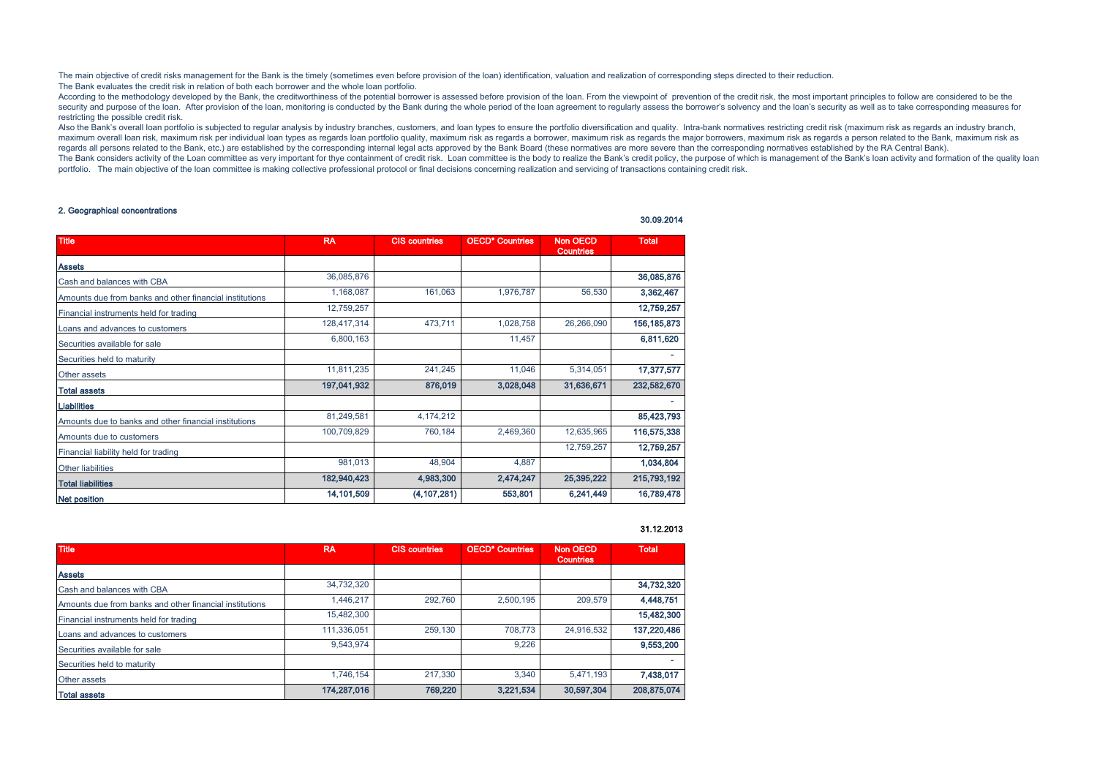The main objective of credit risks management for the Bank is the timely (sometimes even before provision of the loan) identification, valuation and realization of corresponding steps directed to their reduction. The Bank evaluates the credit risk in relation of both each borrower and the whole loan portfolio.

According to the methodology developed by the Bank, the creditworthiness of the potential borrower is assessed before provision of the loan. From the viewpoint of prevention of the credit risk, the most important principle security and purpose of the loan. After provision of the loan, monitoring is conducted by the Bank during the whole period of the loan agreement to regularly assess the borrower's solvency and the loan's security as well a restricting the possible credit risk.

Also the Bank's overall loan portfolio is subjected to regular analysis by industry branches, customers, and loan types to ensure the portfolio diversification and quality. Intra-bank normatives restricting credit risk (ma maximum overall loan risk, maximum risk per individual loan types as regards loan portfolio quality, maximum risk as regards a borrower, maximum risk as regards the major borrowers, maximum risk as regards a person related regards all persons related to the Bank, etc.) are established by the corresponding internal legal acts approved by the Bank Board (these normatives are more severe than the corresponding normatives established by the RA C The Bank considers activity of the Loan committee as very important for thye containment of credit risk. Loan committee is the body to realize the Bank's credit policy, the purpose of which is management of the Bank's loan portfolio. The main objective of the loan committee is making collective professional protocol or final decisions concerning realization and servicing of transactions containing credit risk.

#### 2. Geographical concentrations

| <b>Title</b>                                            | <b>RA</b>   | <b>CIS countries</b> | <b>OECD* Countries</b> | <b>Non OECD</b><br><b>Countries</b> | <b>Total</b>  |
|---------------------------------------------------------|-------------|----------------------|------------------------|-------------------------------------|---------------|
| <b>Assets</b>                                           |             |                      |                        |                                     |               |
| Cash and balances with CBA                              | 36,085,876  |                      |                        |                                     | 36,085,876    |
| Amounts due from banks and other financial institutions | 1,168,087   | 161,063              | 1,976,787              | 56,530                              | 3,362,467     |
| Financial instruments held for trading                  | 12,759,257  |                      |                        |                                     | 12,759,257    |
| Loans and advances to customers                         | 128,417,314 | 473,711              | 1,028,758              | 26,266,090                          | 156, 185, 873 |
| Securities available for sale                           | 6,800,163   |                      | 11,457                 |                                     | 6,811,620     |
| Securities held to maturity                             |             |                      |                        |                                     | ۰.            |
| Other assets                                            | 11,811,235  | 241,245              | 11,046                 | 5,314,051                           | 17,377,577    |
| <b>Total assets</b>                                     | 197,041,932 | 876,019              | 3,028,048              | 31,636,671                          | 232,582,670   |
| <b>Liabilities</b>                                      |             |                      |                        |                                     | ۰             |
| Amounts due to banks and other financial institutions   | 81,249,581  | 4,174,212            |                        |                                     | 85,423,793    |
| Amounts due to customers                                | 100,709,829 | 760,184              | 2,469,360              | 12,635,965                          | 116,575,338   |
| Financial liability held for trading                    |             |                      |                        | 12,759,257                          | 12,759,257    |
| Other liabilities                                       | 981,013     | 48,904               | 4,887                  |                                     | 1,034,804     |
| <b>Total liabilities</b>                                | 182,940,423 | 4,983,300            | 2,474,247              | 25,395,222                          | 215,793,192   |
| <b>Net position</b>                                     | 14,101,509  | (4, 107, 281)        | 553,801                | 6,241,449                           | 16,789,478    |

# 31.12.2013

30.09.2014

| <b>Title</b>                                            | <b>RA</b>   | <b>CIS countries</b> | <b>OECD* Countries</b> | Non OECD<br><b>Countries</b> | <b>Total</b> |
|---------------------------------------------------------|-------------|----------------------|------------------------|------------------------------|--------------|
| <b>Assets</b>                                           |             |                      |                        |                              |              |
| Cash and balances with CBA                              | 34.732.320  |                      |                        |                              | 34,732,320   |
| Amounts due from banks and other financial institutions | 1.446.217   | 292.760              | 2.500.195              | 209,579                      | 4,448,751    |
| Financial instruments held for trading                  | 15,482,300  |                      |                        |                              | 15,482,300   |
| Loans and advances to customers                         | 111,336,051 | 259,130              | 708.773                | 24,916,532                   | 137,220,486  |
| Securities available for sale                           | 9.543.974   |                      | 9.226                  |                              | 9,553,200    |
| Securities held to maturity                             |             |                      |                        |                              | ۰            |
| Other assets                                            | 1.746.154   | 217,330              | 3.340                  | 5,471,193                    | 7,438,017    |
| <b>Total assets</b>                                     | 174,287,016 | 769,220              | 3,221,534              | 30,597,304                   | 208,875,074  |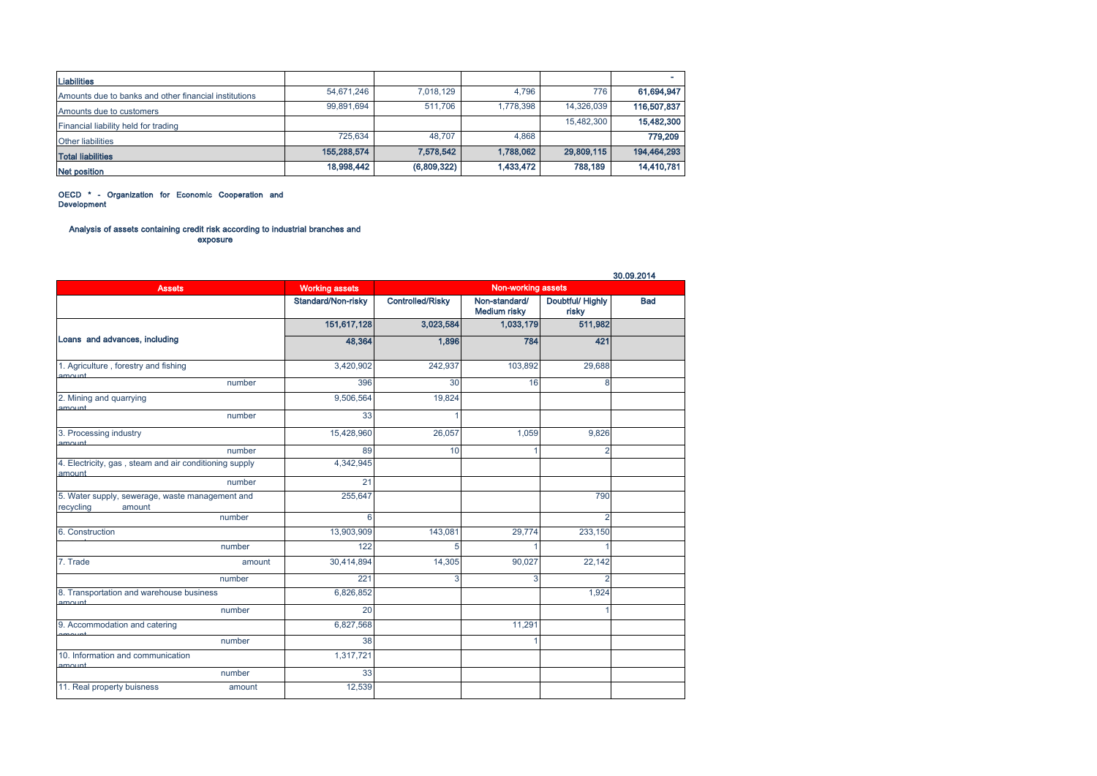| <b>Liabilities</b>                                    |             |             |           |            |             |
|-------------------------------------------------------|-------------|-------------|-----------|------------|-------------|
| Amounts due to banks and other financial institutions | 54,671,246  | 7.018.129   | 4.796     | 776        | 61,694,947  |
| Amounts due to customers                              | 99,891,694  | 511.706     | 1.778.398 | 14.326.039 | 116,507,837 |
| Financial liability held for trading                  |             |             |           | 15,482,300 | 15,482,300  |
| <b>Other liabilities</b>                              | 725,634     | 48.707      | 4.868     |            | 779,209     |
| <b>Total liabilities</b>                              | 155,288,574 | 7,578,542   | 1.788.062 | 29,809,115 | 194,464,293 |
| <b>Net position</b>                                   | 18,998,442  | (6,809,322) | 1,433,472 | 788,189    | 14,410,781  |

OECD \* - Organization for Economic Cooperation and Development

#### Analysis of assets containing credit risk according to industrial branches and exposure

|                                                                        |                       |                         |                               |                           | 30.09.2014 |
|------------------------------------------------------------------------|-----------------------|-------------------------|-------------------------------|---------------------------|------------|
| <b>Assets</b>                                                          | <b>Working assets</b> |                         | Non-working assets            |                           |            |
|                                                                        | Standard/Non-risky    | <b>Controlled/Risky</b> | Non-standard/<br>Medium risky | Doubtful/ Highly<br>risky | <b>Bad</b> |
|                                                                        | 151,617,128           | 3,023,584               | 1,033,179                     | 511,982                   |            |
| Loans and advances, including                                          | 48,364                | 1,896                   | 784                           | 421                       |            |
| 1. Agriculture, forestry and fishing                                   | 3,420,902             | 242,937                 | 103,892                       | 29,688                    |            |
| amount<br>number                                                       | 396                   | 30                      | 16                            | 8                         |            |
| 2. Mining and quarrying<br>amount                                      | 9,506,564             | 19,824                  |                               |                           |            |
| number                                                                 | 33                    | 1                       |                               |                           |            |
| 3. Processing industry<br>amount                                       | 15,428,960            | 26,057                  | 1,059                         | 9,826                     |            |
| number                                                                 | 89                    | 10                      |                               | $\overline{2}$            |            |
| 4. Electricity, gas, steam and air conditioning supply<br>amount       | 4,342,945             |                         |                               |                           |            |
| number                                                                 | 21                    |                         |                               |                           |            |
| 5. Water supply, sewerage, waste management and<br>recycling<br>amount | 255,647               |                         |                               | 790                       |            |
| number                                                                 | 6                     |                         |                               | $\overline{2}$            |            |
| 6. Construction                                                        | 13,903,909            | 143,081                 | 29,774                        | 233,150                   |            |
| number                                                                 | 122                   | 5                       |                               |                           |            |
| 7. Trade<br>amount                                                     | 30,414,894            | 14,305                  | 90,027                        | 22,142                    |            |
| number                                                                 | 221                   | 3                       | 3                             | $\overline{c}$            |            |
| 8. Transportation and warehouse business<br>amount                     | 6,826,852             |                         |                               | 1,924                     |            |
| number                                                                 | 20                    |                         |                               |                           |            |
| 9. Accommodation and catering                                          | 6,827,568             |                         | 11,291                        |                           |            |
| number                                                                 | 38                    |                         |                               |                           |            |
| 10. Information and communication<br>amount                            | 1,317,721             |                         |                               |                           |            |
| number                                                                 | 33                    |                         |                               |                           |            |
| 11. Real property buisness<br>amount                                   | 12,539                |                         |                               |                           |            |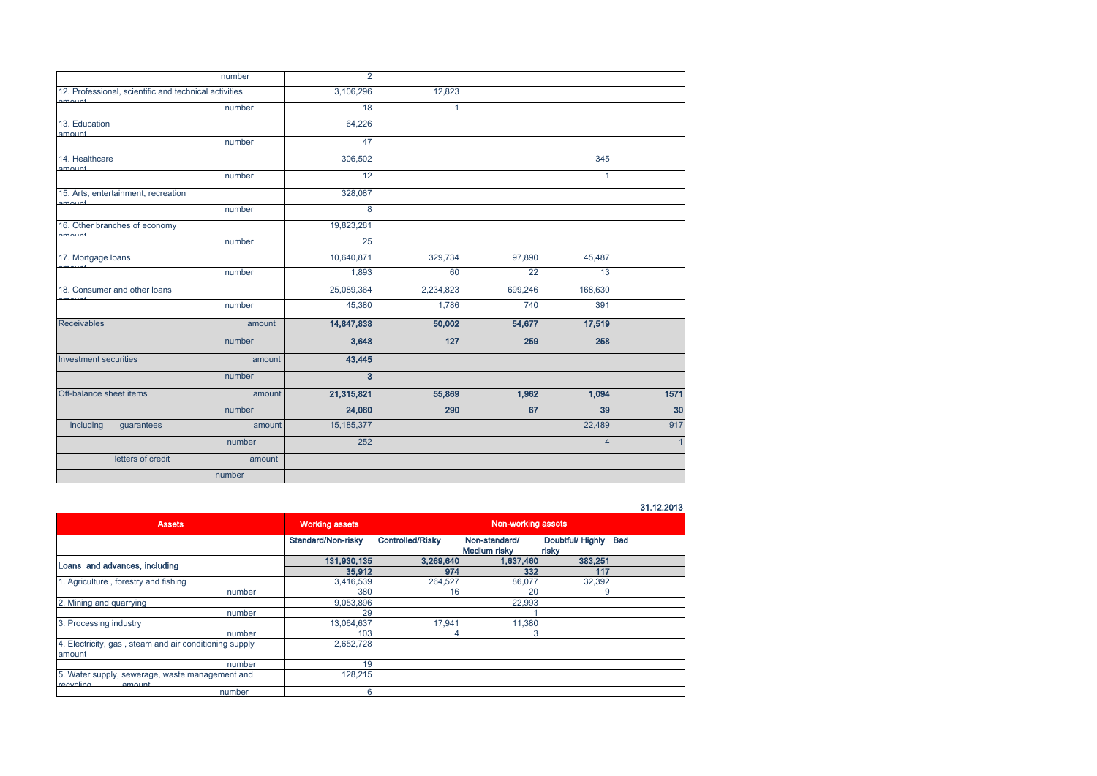| number                                                | $\overline{2}$ |           |         |         |                |
|-------------------------------------------------------|----------------|-----------|---------|---------|----------------|
| 12. Professional, scientific and technical activities | 3,106,296      | 12,823    |         |         |                |
| number                                                | 18             |           |         |         |                |
| 13. Education<br>amount                               | 64,226         |           |         |         |                |
| number                                                | 47             |           |         |         |                |
| 14. Healthcare<br>amount                              | 306,502        |           |         | 345     |                |
| number                                                | 12             |           |         |         |                |
| 15. Arts, entertainment, recreation                   | 328,087        |           |         |         |                |
| number                                                | 8              |           |         |         |                |
| 16. Other branches of economy                         | 19,823,281     |           |         |         |                |
| number                                                | 25             |           |         |         |                |
| 17. Mortgage loans                                    | 10,640,871     | 329,734   | 97,890  | 45,487  |                |
| number                                                | 1,893          | 60        | 22      | 13      |                |
| 18. Consumer and other loans                          | 25,089,364     | 2,234,823 | 699,246 | 168,630 |                |
| number                                                | 45,380         | 1,786     | 740     | 391     |                |
| <b>Receivables</b><br>amount                          | 14,847,838     | 50,002    | 54,677  | 17,519  |                |
| number                                                | 3,648          | 127       | 259     | 258     |                |
| <b>Investment securities</b><br>amount                | 43,445         |           |         |         |                |
| number                                                | $\mathbf{3}$   |           |         |         |                |
| Off-balance sheet items<br>amount                     | 21,315,821     | 55,869    | 1,962   | 1,094   | 1571           |
| number                                                | 24,080         | 290       | 67      | 39      | 30             |
| including<br>guarantees<br>amount                     | 15, 185, 377   |           |         | 22,489  | 917            |
| number                                                | 252            |           |         | Δ       | $\overline{1}$ |
| letters of credit<br>amount                           |                |           |         |         |                |
| number                                                |                |           |         |         |                |

## 31.12.2013

| <b>Assets</b>                                                          | <b>Working assets</b> | Non-working assets      |                               |                           |            |
|------------------------------------------------------------------------|-----------------------|-------------------------|-------------------------------|---------------------------|------------|
|                                                                        | Standard/Non-risky    | <b>Controlled/Risky</b> | Non-standard/<br>Medium risky | Doubtful/ Highly<br>risky | <b>Bad</b> |
| Loans and advances, including                                          | 131,930,135           | 3,269,640               | 1,637,460                     | 383,251                   |            |
|                                                                        | 35,912                | 974                     | 332                           | 117                       |            |
| 1. Agriculture, forestry and fishing                                   | 3,416,539             | 264,527                 | 86,077                        | 32,392                    |            |
| number                                                                 | 380                   | 16                      | 20                            |                           |            |
| 2. Mining and quarrying                                                | 9,053,896             |                         | 22.993                        |                           |            |
| number                                                                 | 29                    |                         |                               |                           |            |
| 3. Processing industry                                                 | 13,064,637            | 17.941                  | 11,380                        |                           |            |
| number                                                                 | 103                   |                         |                               |                           |            |
| 4. Electricity, gas, steam and air conditioning supply<br>amount       | 2,652,728             |                         |                               |                           |            |
| number                                                                 | 19                    |                         |                               |                           |            |
| 5. Water supply, sewerage, waste management and<br>rocycling<br>amount | 128.215               |                         |                               |                           |            |
| number                                                                 |                       |                         |                               |                           |            |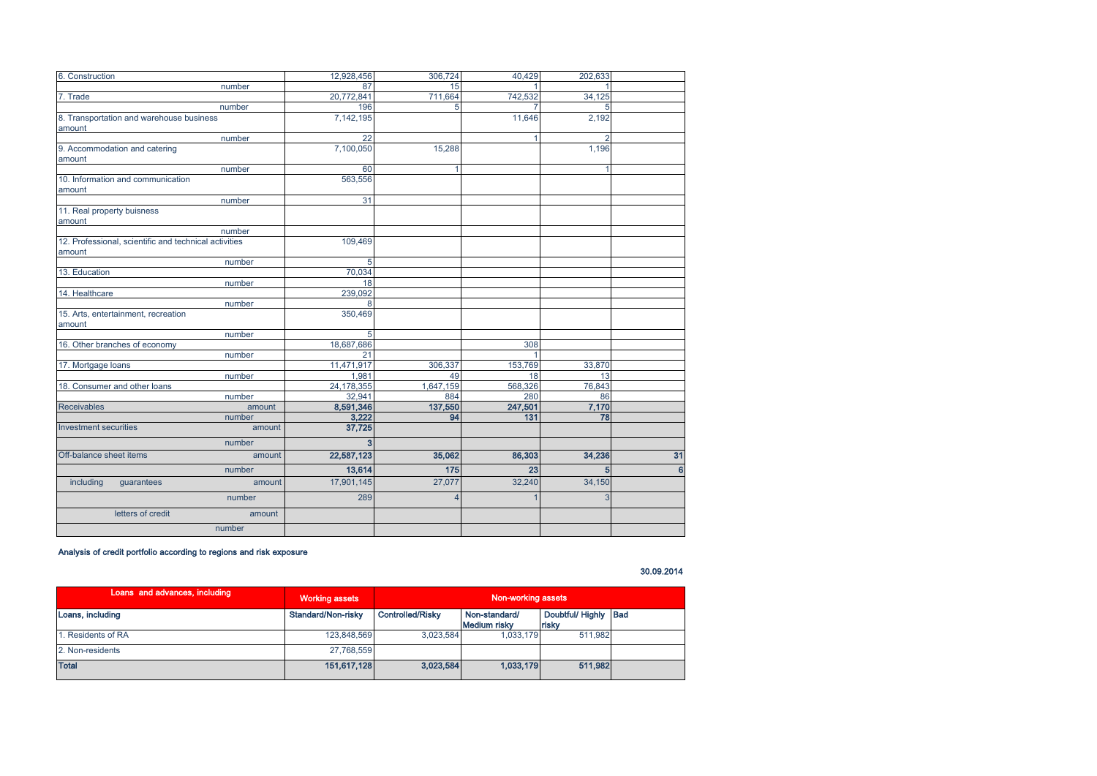| 6. Construction                                       | 12,928,456   | 306,724   | 40.429  | 202,633 |                |
|-------------------------------------------------------|--------------|-----------|---------|---------|----------------|
| number                                                | 87           | 15        |         |         |                |
| 7. Trade                                              | 20,772,841   | 711,664   | 742,532 | 34,125  |                |
| number                                                | 196          |           |         | 5       |                |
| 8. Transportation and warehouse business              | 7,142,195    |           | 11,646  | 2,192   |                |
| amount                                                |              |           |         |         |                |
| number                                                | 22           |           |         | 2       |                |
| 9. Accommodation and catering                         | 7,100,050    | 15,288    |         | 1,196   |                |
| amount                                                |              |           |         |         |                |
| number                                                | 60           |           |         |         |                |
| 10. Information and communication                     | 563,556      |           |         |         |                |
| amount                                                |              |           |         |         |                |
| number                                                | 31           |           |         |         |                |
| 11. Real property buisness                            |              |           |         |         |                |
| amount                                                |              |           |         |         |                |
| number                                                |              |           |         |         |                |
| 12. Professional, scientific and technical activities | 109,469      |           |         |         |                |
| amount                                                | 5            |           |         |         |                |
| number<br>13. Education                               | 70,034       |           |         |         |                |
| number                                                | 18           |           |         |         |                |
| 14. Healthcare                                        | 239,092      |           |         |         |                |
| number                                                | $\mathsf{R}$ |           |         |         |                |
| 15. Arts, entertainment, recreation                   | 350,469      |           |         |         |                |
| amount                                                |              |           |         |         |                |
| number                                                | 5            |           |         |         |                |
| 16. Other branches of economy                         | 18,687,686   |           | 308     |         |                |
| number                                                | 21           |           |         |         |                |
| 17. Mortgage loans                                    | 11,471,917   | 306,337   | 153,769 | 33,870  |                |
| number                                                | 1,981        | 49        | 18      | 13      |                |
| 18. Consumer and other loans                          | 24, 178, 355 | 1,647,159 | 568,326 | 76,843  |                |
| number                                                | 32,941       | 884       | 280     | 86      |                |
| <b>Receivables</b><br>amount                          | 8,591,346    | 137,550   | 247,501 | 7,170   |                |
| number                                                | 3,222        | 94        | 131     | 78      |                |
| <b>Investment securities</b><br>amount                | 37,725       |           |         |         |                |
| number                                                | 3            |           |         |         |                |
| Off-balance sheet items<br>amount                     | 22,587,123   | 35,062    | 86,303  | 34,236  | 31             |
| number                                                | 13,614       | 175       | 23      | 5       | $6\phantom{a}$ |
| including<br>guarantees<br>amount                     | 17,901,145   | 27,077    | 32,240  | 34,150  |                |
| number                                                | 289          |           |         | 3       |                |
| letters of credit<br>amount                           |              |           |         |         |                |
| number                                                |              |           |         |         |                |

# Analysis of credit portfolio according to regions and risk exposure

30.09.2014

| Loans and advances, including | <b>Working assets</b> | Non-working assets      |                               |                               |  |
|-------------------------------|-----------------------|-------------------------|-------------------------------|-------------------------------|--|
| Loans, including              | Standard/Non-risky    | <b>Controlled/Risky</b> | Non-standard/<br>Medium risky | Doubtful/ Highly Bad<br>risky |  |
| 1. Residents of RA            | 123.848.569           | 3.023.584               | 1.033.179                     | 511.982                       |  |
| 2. Non-residents              | 27.768.559            |                         |                               |                               |  |
| <b>Total</b>                  | 151.617.128           | 3.023.584               | 1.033.179                     | 511.982                       |  |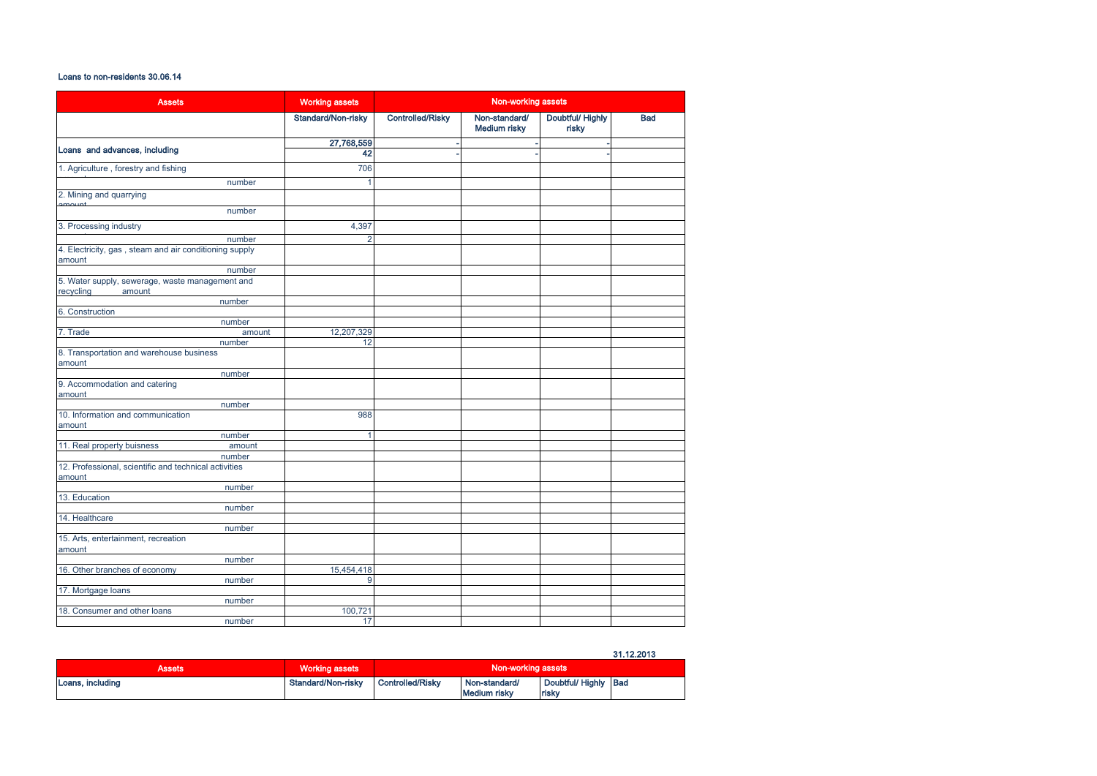# Loans to non-residents 30.06.14

| <b>Assets</b>                                                    | <b>Working assets</b> | Non-working assets      |                                      |                           |            |
|------------------------------------------------------------------|-----------------------|-------------------------|--------------------------------------|---------------------------|------------|
|                                                                  | Standard/Non-risky    | <b>Controlled/Risky</b> | Non-standard/<br><b>Medium risky</b> | Doubtful/ Highly<br>risky | <b>Bad</b> |
|                                                                  | 27,768,559            |                         |                                      |                           |            |
| Loans and advances, including                                    | 42                    |                         |                                      |                           |            |
| 1. Agriculture, forestry and fishing                             | 706                   |                         |                                      |                           |            |
| number                                                           | 1                     |                         |                                      |                           |            |
| 2. Mining and quarrying                                          |                       |                         |                                      |                           |            |
| number                                                           |                       |                         |                                      |                           |            |
| 3. Processing industry                                           | 4,397                 |                         |                                      |                           |            |
| number                                                           | $\overline{2}$        |                         |                                      |                           |            |
| 4. Electricity, gas, steam and air conditioning supply<br>amount |                       |                         |                                      |                           |            |
| number                                                           |                       |                         |                                      |                           |            |
| 5. Water supply, sewerage, waste management and                  |                       |                         |                                      |                           |            |
| recycling<br>amount                                              |                       |                         |                                      |                           |            |
| number                                                           |                       |                         |                                      |                           |            |
| 6. Construction                                                  |                       |                         |                                      |                           |            |
| number<br>7. Trade                                               | 12,207,329            |                         |                                      |                           |            |
| amount<br>number                                                 | 12                    |                         |                                      |                           |            |
| 8. Transportation and warehouse business                         |                       |                         |                                      |                           |            |
| amount                                                           |                       |                         |                                      |                           |            |
| number                                                           |                       |                         |                                      |                           |            |
| 9. Accommodation and catering<br>amount                          |                       |                         |                                      |                           |            |
| number                                                           |                       |                         |                                      |                           |            |
| 10. Information and communication<br>amount                      | 988                   |                         |                                      |                           |            |
| number                                                           | 4                     |                         |                                      |                           |            |
| 11. Real property buisness<br>amount                             |                       |                         |                                      |                           |            |
| number                                                           |                       |                         |                                      |                           |            |
| 12. Professional, scientific and technical activities<br>amount  |                       |                         |                                      |                           |            |
| number                                                           |                       |                         |                                      |                           |            |
| 13. Education                                                    |                       |                         |                                      |                           |            |
| number                                                           |                       |                         |                                      |                           |            |
| 14. Healthcare                                                   |                       |                         |                                      |                           |            |
| number                                                           |                       |                         |                                      |                           |            |
| 15. Arts, entertainment, recreation                              |                       |                         |                                      |                           |            |
| amount                                                           |                       |                         |                                      |                           |            |
| number                                                           |                       |                         |                                      |                           |            |
| 16. Other branches of economy                                    | 15,454,418            |                         |                                      |                           |            |
| number                                                           | 9                     |                         |                                      |                           |            |
| 17. Mortgage loans                                               |                       |                         |                                      |                           |            |
| number<br>18. Consumer and other loans                           | 100,721               |                         |                                      |                           |            |
| number                                                           | 17                    |                         |                                      |                           |            |

## 31.12.2013

| Assets           | <b>Working assets</b> | Non-working assets |                                      |                              |  |
|------------------|-----------------------|--------------------|--------------------------------------|------------------------------|--|
| Loans, including | Standard/Non-risky    | Controlled/Risky   | Non-standard/<br><b>Medium risky</b> | Doubtful/Highly Bad<br>risky |  |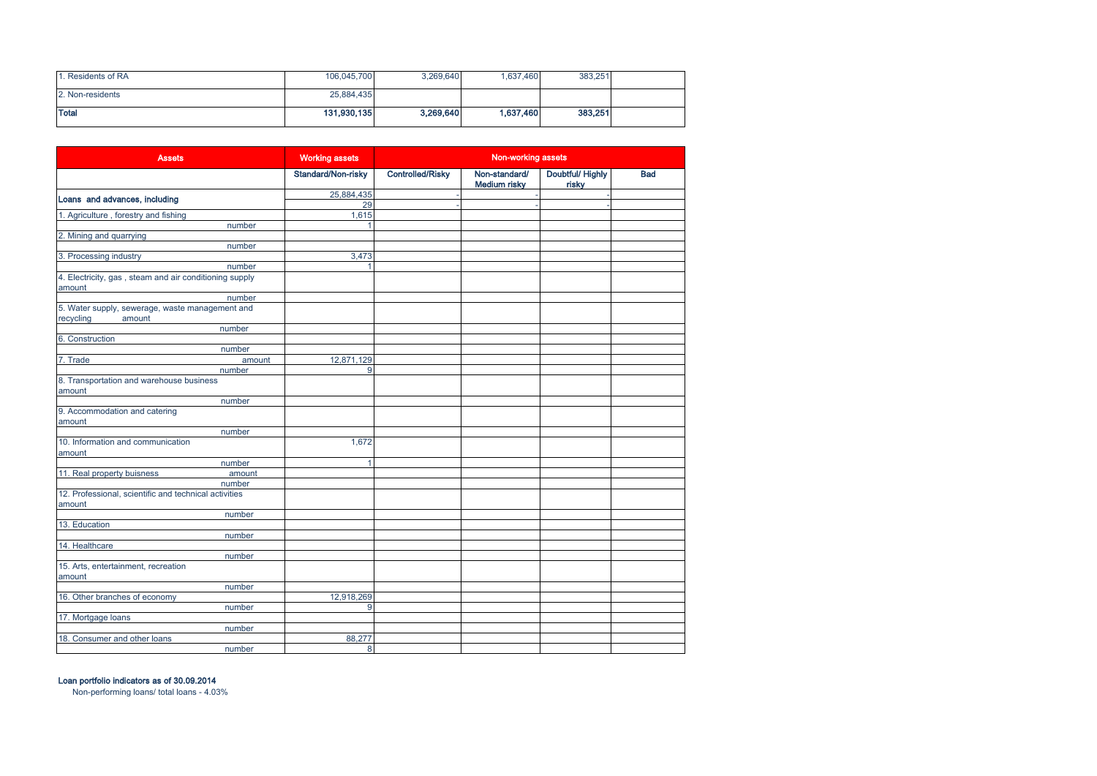| Residents of RA  | 106,045,700 | 3.269.640 | 1,637,460 | 383,251 |  |
|------------------|-------------|-----------|-----------|---------|--|
| 2. Non-residents | 25,884,435  |           |           |         |  |
| <b>Total</b>     | 131,930,135 | 3,269,640 | 1,637,460 | 383,251 |  |

| <b>Assets</b>                                                              | <b>Working assets</b> | Non-working assets      |                                      |                           |            |
|----------------------------------------------------------------------------|-----------------------|-------------------------|--------------------------------------|---------------------------|------------|
|                                                                            | Standard/Non-risky    | <b>Controlled/Risky</b> | Non-standard/<br><b>Medium risky</b> | Doubtful/ Highly<br>risky | <b>Bad</b> |
| Loans and advances, including                                              | 25,884,435            |                         |                                      |                           |            |
|                                                                            | 29                    |                         |                                      |                           |            |
| 1. Agriculture, forestry and fishing                                       | 1,615                 |                         |                                      |                           |            |
| number                                                                     | 1                     |                         |                                      |                           |            |
| 2. Mining and quarrying                                                    |                       |                         |                                      |                           |            |
| number                                                                     |                       |                         |                                      |                           |            |
| 3. Processing industry                                                     | 3,473                 |                         |                                      |                           |            |
| number<br>4. Electricity, gas, steam and air conditioning supply<br>amount |                       |                         |                                      |                           |            |
| number                                                                     |                       |                         |                                      |                           |            |
| 5. Water supply, sewerage, waste management and                            |                       |                         |                                      |                           |            |
| recycling<br>amount                                                        |                       |                         |                                      |                           |            |
| number<br>6. Construction                                                  |                       |                         |                                      |                           |            |
| number                                                                     |                       |                         |                                      |                           |            |
| 7. Trade<br>amount                                                         | 12,871,129            |                         |                                      |                           |            |
| number                                                                     | 9                     |                         |                                      |                           |            |
| 8. Transportation and warehouse business<br>amount                         |                       |                         |                                      |                           |            |
| number                                                                     |                       |                         |                                      |                           |            |
| 9. Accommodation and catering<br>amount                                    |                       |                         |                                      |                           |            |
| number                                                                     |                       |                         |                                      |                           |            |
| 10. Information and communication<br>amount                                | 1,672                 |                         |                                      |                           |            |
| number                                                                     | $\mathbf{1}$          |                         |                                      |                           |            |
| 11. Real property buisness<br>amount                                       |                       |                         |                                      |                           |            |
| number                                                                     |                       |                         |                                      |                           |            |
| 12. Professional, scientific and technical activities<br>amount            |                       |                         |                                      |                           |            |
| number                                                                     |                       |                         |                                      |                           |            |
| 13. Education                                                              |                       |                         |                                      |                           |            |
| number                                                                     |                       |                         |                                      |                           |            |
| 14. Healthcare                                                             |                       |                         |                                      |                           |            |
| number                                                                     |                       |                         |                                      |                           |            |
| 15. Arts, entertainment, recreation<br>amount                              |                       |                         |                                      |                           |            |
| number                                                                     |                       |                         |                                      |                           |            |
| 16. Other branches of economy                                              | 12,918,269            |                         |                                      |                           |            |
| number                                                                     | 9                     |                         |                                      |                           |            |
| 17. Mortgage loans                                                         |                       |                         |                                      |                           |            |
| number                                                                     |                       |                         |                                      |                           |            |
| 18. Consumer and other loans                                               | 88,277                |                         |                                      |                           |            |
| number                                                                     | 8                     |                         |                                      |                           |            |

Loan portfolio indicators as of 30.09.2014

Non-performing loans/ total loans - 4.03%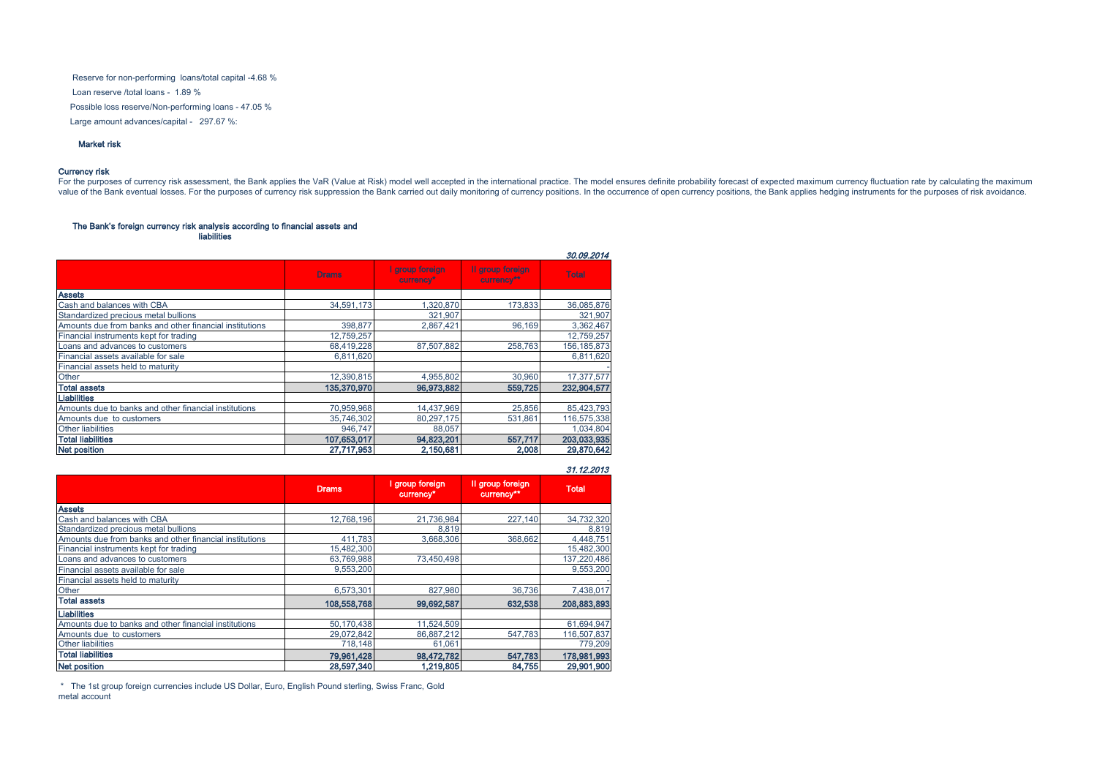Reserve for non-performing loans/total capital -4.68 % Possible loss reserve/Non-performing loans - 47.05 % Loan reserve /total loans - 1.89 % Large amount advances/capital - 297.67 %:

#### Market risk

#### Currency risk

For the purposes of currency risk assessment, the Bank applies the VaR (Value at Risk) model well accepted in the international practice. The model ensures definite probability forecast of expected maximum currency fluctua

# The Bank's foreign currency risk analysis according to financial assets and

liabilities

|                                                         |              |                              |                                | 30.09.2014    |
|---------------------------------------------------------|--------------|------------------------------|--------------------------------|---------------|
|                                                         | <b>Drams</b> | I group foreign<br>currency* | Il group foreign<br>currency** | <b>Total</b>  |
| <b>Assets</b>                                           |              |                              |                                |               |
| Cash and balances with CBA                              | 34.591.173   | 1,320,870                    | 173,833                        | 36,085,876    |
| Standardized precious metal bullions                    |              | 321,907                      |                                | 321,907       |
| Amounts due from banks and other financial institutions | 398,877      | 2,867,421                    | 96.169                         | 3,362,467     |
| Financial instruments kept for trading                  | 12,759,257   |                              |                                | 12,759,257    |
| Loans and advances to customers                         | 68,419,228   | 87.507.882                   | 258.763                        | 156, 185, 873 |
| Financial assets available for sale                     | 6.811.620    |                              |                                | 6,811,620     |
| Financial assets held to maturity                       |              |                              |                                |               |
| Other                                                   | 12.390.815   | 4,955,802                    | 30,960                         | 17,377,577    |
| <b>Total assets</b>                                     | 135,370,970  | 96,973,882                   | 559,725                        | 232,904,577   |
| <b>Liabilities</b>                                      |              |                              |                                |               |
| Amounts due to banks and other financial institutions   | 70.959.968   | 14,437,969                   | 25,856                         | 85,423,793    |
| Amounts due to customers                                | 35,746,302   | 80,297,175                   | 531.861                        | 116,575,338   |
| <b>Other liabilities</b>                                | 946.747      | 88,057                       |                                | 1,034,804     |
| <b>Total liabilities</b>                                | 107.653.017  | 94.823.201                   | 557.717                        | 203,033,935   |
| <b>Net position</b>                                     | 27.717.953   | 2.150.681                    | 2.008                          | 29,870,642    |

#### 31.12.2013

|                                                         | <b>Drams</b> | I group foreign<br>currency* | Il group foreign<br>currency** | <b>Total</b> |
|---------------------------------------------------------|--------------|------------------------------|--------------------------------|--------------|
| <b>Assets</b>                                           |              |                              |                                |              |
| Cash and balances with CBA                              | 12.768.196   | 21,736,984                   | 227,140                        | 34,732,320   |
| Standardized precious metal bullions                    |              | 8,819                        |                                | 8,819        |
| Amounts due from banks and other financial institutions | 411.783      | 3.668.306                    | 368,662                        | 4.448.751    |
| Financial instruments kept for trading                  | 15,482,300   |                              |                                | 15,482,300   |
| Loans and advances to customers                         | 63,769,988   | 73.450.498                   |                                | 137,220,486  |
| Financial assets available for sale                     | 9.553.200    |                              |                                | 9,553,200    |
| Financial assets held to maturity                       |              |                              |                                |              |
| Other                                                   | 6,573,301    | 827.980                      | 36,736                         | 7,438,017    |
| <b>Total assets</b>                                     | 108,558,768  | 99,692,587                   | 632,538                        | 208,883,893  |
| Liabilities                                             |              |                              |                                |              |
| Amounts due to banks and other financial institutions   | 50.170.438   | 11.524.509                   |                                | 61,694,947   |
| Amounts due to customers                                | 29,072,842   | 86.887.212                   | 547.783                        | 116,507,837  |
| <b>Other liabilities</b>                                | 718,148      | 61,061                       |                                | 779,209      |
| <b>Total liabilities</b>                                | 79,961,428   | 98,472,782                   | 547,783                        | 178,981,993  |
| <b>Net position</b>                                     | 28,597,340   | 1,219,805                    | 84,755                         | 29,901,900   |

 \* The 1st group foreign currencies include US Dollar, Euro, English Pound sterling, Swiss Franc, Gold metal account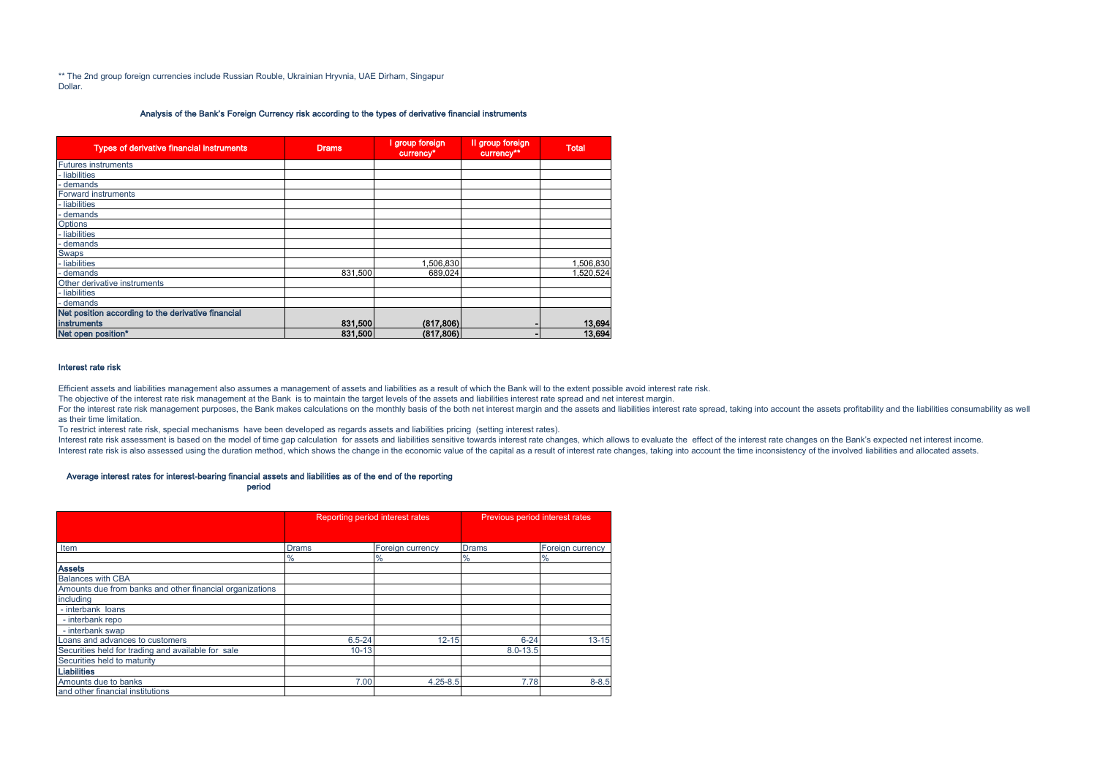\*\* The 2nd group foreign currencies include Russian Rouble, Ukrainian Hryvnia, UAE Dirham, Singapur Dollar.

#### Analysis of the Bank's Foreign Currency risk according to the types of derivative financial instruments

| <b>Types of derivative financial instruments</b>   | <b>Drams</b> | I group foreign<br>currency* | Il group foreign<br>currency** | <b>Total</b> |
|----------------------------------------------------|--------------|------------------------------|--------------------------------|--------------|
| <b>Futures instruments</b>                         |              |                              |                                |              |
| - liabilities                                      |              |                              |                                |              |
| - demands                                          |              |                              |                                |              |
| <b>Forward instruments</b>                         |              |                              |                                |              |
| - liabilities                                      |              |                              |                                |              |
| - demands                                          |              |                              |                                |              |
| Options                                            |              |                              |                                |              |
| - liabilities                                      |              |                              |                                |              |
| - demands                                          |              |                              |                                |              |
| <b>Swaps</b>                                       |              |                              |                                |              |
| - liabilities                                      |              | 1,506,830                    |                                | 1,506,830    |
| - demands                                          | 831.500      | 689.024                      |                                | 1,520,524    |
| Other derivative instruments                       |              |                              |                                |              |
| - liabilities                                      |              |                              |                                |              |
| - demands                                          |              |                              |                                |              |
| Net position according to the derivative financial |              |                              |                                |              |
| <b>instruments</b>                                 | 831,500      | (817, 806)                   |                                | 13,694       |
| Net open position*                                 | 831,500      | (817, 806)                   |                                | 13,694       |

#### Interest rate risk

Efficient assets and liabilities management also assumes a management of assets and liabilities as a result of which the Bank will to the extent possible avoid interest rate risk.

The objective of the interest rate risk management at the Bank is to maintain the target levels of the assets and liabilities interest rate spread and net interest margin.

For the interest rate risk management purposes, the Bank makes calculations on the monthly basis of the both net interest margin and the assets and liabilities interest rate spread, taking into account the assets profitabi as their time limitation.

To restrict interest rate risk, special mechanisms have been developed as regards assets and liabilities pricing (setting interest rates).

Interest rate risk assessment is based on the model of time gap calculation for assets and liabilities sensitive towards interest rate changes, which allows to evaluate the effect of the interest rate changes on the Bank's Interest rate risk is also assessed using the duration method, which shows the change in the economic value of the capital as a result of interest rate changes, taking into account the time inconsistency of the involved li

#### Average interest rates for interest-bearing financial assets and liabilities as of the end of the reporting

period

|                                                          |              | Reporting period interest rates | Previous period interest rates |                  |  |
|----------------------------------------------------------|--------------|---------------------------------|--------------------------------|------------------|--|
|                                                          |              |                                 |                                |                  |  |
| Item                                                     | <b>Drams</b> | Foreign currency                | <b>Drams</b>                   | Foreign currency |  |
|                                                          | $\%$         | %                               | $\%$                           | %                |  |
| <b>Assets</b>                                            |              |                                 |                                |                  |  |
| <b>Balances with CBA</b>                                 |              |                                 |                                |                  |  |
| Amounts due from banks and other financial organizations |              |                                 |                                |                  |  |
| including                                                |              |                                 |                                |                  |  |
| - interbank loans                                        |              |                                 |                                |                  |  |
| - interbank repo                                         |              |                                 |                                |                  |  |
| - interbank swap                                         |              |                                 |                                |                  |  |
| Loans and advances to customers                          | $6.5 - 24$   | $12 - 15$                       | $6 - 24$                       | $13 - 15$        |  |
| Securities held for trading and available for sale       | $10 - 13$    |                                 | $8.0 - 13.5$                   |                  |  |
| Securities held to maturity                              |              |                                 |                                |                  |  |
| <b>Liabilities</b>                                       |              |                                 |                                |                  |  |
| Amounts due to banks                                     | 7.00         | $4.25 - 8.5$                    | 7.78                           | $8 - 8.5$        |  |
| and other financial institutions                         |              |                                 |                                |                  |  |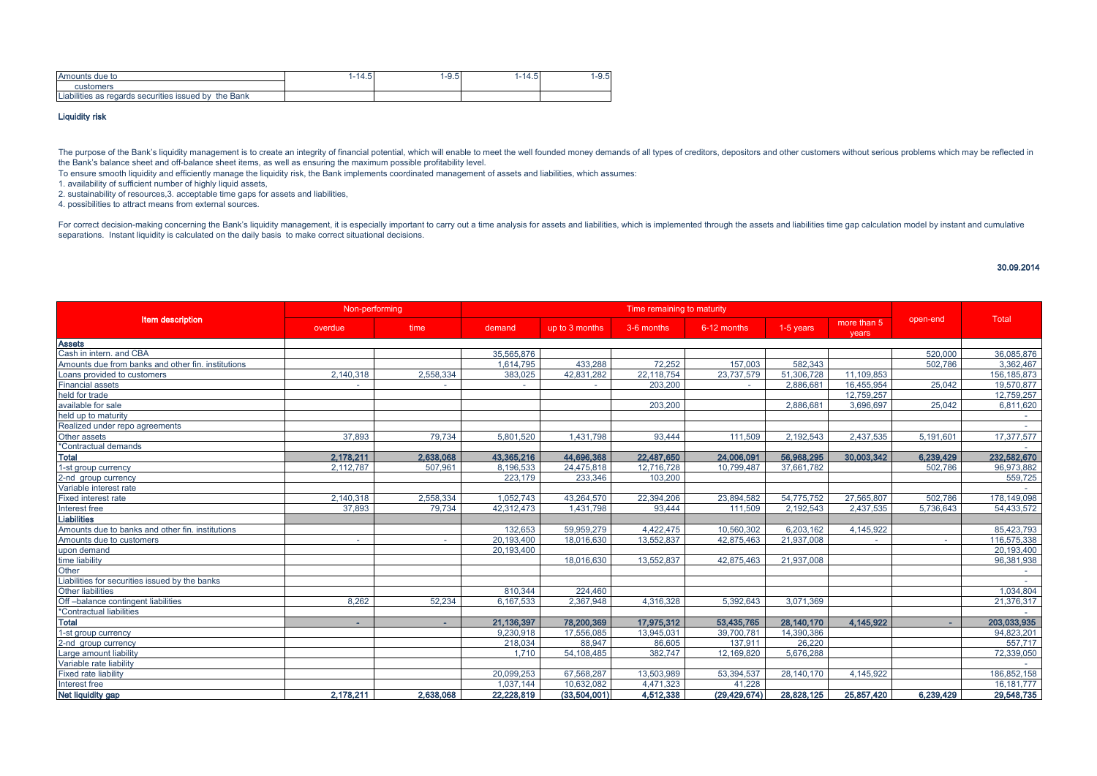| due to<br>Amounts                                                       | n<br>$\overline{\phantom{a}}$<br>$+ + \omega$ | --<br>-0.J | $\overline{\phantom{0}}$<br>1 – L<br>ب.+ | -9.5- |
|-------------------------------------------------------------------------|-----------------------------------------------|------------|------------------------------------------|-------|
| customers                                                               |                                               |            |                                          |       |
| <br>Bank<br>securities issued<br>regards<br>the<br>bv<br>oilities<br>as |                                               |            |                                          |       |

#### Liquidity risk

The purpose of the Bank's liquidity management is to create an integrity of financial potential, which will enable to meet the well founded money demands of all types of creditors, depositors and other customers without se the Bank's balance sheet and off-balance sheet items, as well as ensuring the maximum possible profitability level.

To ensure smooth liquidity and efficiently manage the liquidity risk, the Bank implements coordinated management of assets and liabilities, which assumes:

1. availability of sufficient number of highly liquid assets,

2. sustainability of resources,3. acceptable time gaps for assets and liabilities,

4. possibilities to attract means from external sources.

For correct decision-making concerning the Bank's liquidity management, it is especially important to carry out a time analysis for assets and liabilities, which is implemented through the assets and liabilities time gap c separations. Instant liquidity is calculated on the daily basis to make correct situational decisions.

#### 30.09.2014

|                                                    | Non-performing |           |            |                | Time remaining to maturity |                |              |                      |           |               |
|----------------------------------------------------|----------------|-----------|------------|----------------|----------------------------|----------------|--------------|----------------------|-----------|---------------|
| Item description                                   | overdue        | time      | demand     | up to 3 months | 3-6 months                 | 6-12 months    | 1-5 years    | more than 5<br>years | open-end  | Total         |
| <b>Assets</b>                                      |                |           |            |                |                            |                |              |                      |           |               |
| Cash in intern, and CBA                            |                |           | 35.565.876 |                |                            |                |              |                      | 520,000   | 36.085.876    |
| Amounts due from banks and other fin. institutions |                |           | 1.614.795  | 433,288        | 72,252                     | 157.003        | 582,343      |                      | 502,786   | 3,362,467     |
| Loans provided to customers                        | 2,140,318      | 2,558,334 | 383,025    | 42,831,282     | 22, 118, 754               | 23,737,579     | 51,306,728   | 11,109,853           |           | 156, 185, 873 |
| <b>Financial assets</b>                            | ۰.             |           |            |                | 203,200                    | ٠              | 2,886,681    | 16.455.954           | 25,042    | 19,570,877    |
| held for trade                                     |                |           |            |                |                            |                |              | 12,759,257           |           | 12,759,257    |
| available for sale                                 |                |           |            |                | 203,200                    |                | 2.886.681    | 3,696,697            | 25,042    | 6,811,620     |
| held up to maturity                                |                |           |            |                |                            |                |              |                      |           | $\sim$        |
| Realized under repo agreements                     |                |           |            |                |                            |                |              |                      |           |               |
| Other assets                                       | 37,893         | 79.734    | 5.801.520  | 1,431,798      | 93,444                     | 111.509        | 2,192,543    | 2,437,535            | 5.191.601 | 17,377,577    |
| *Contractual demands                               |                |           |            |                |                            |                |              |                      |           |               |
| <b>Total</b>                                       | 2,178,211      | 2,638,068 | 43,365,216 | 44,696,368     | 22,487,650                 | 24,006,091     | 56,968,295   | 30,003,342           | 6,239,429 | 232,582,670   |
| 1-st group currency                                | 2,112,787      | 507,961   | 8,196,533  | 24,475,818     | 12,716,728                 | 10,799,487     | 37,661,782   |                      | 502,786   | 96,973,882    |
| 2-nd group currency                                |                |           | 223,179    | 233,346        | 103.200                    |                |              |                      |           | 559,725       |
| Variable interest rate                             |                |           |            |                |                            |                |              |                      |           |               |
| Fixed interest rate                                | 2,140,318      | 2,558,334 | 1,052,743  | 43,264,570     | 22,394,206                 | 23,894,582     | 54,775,752   | 27,565,807           | 502.786   | 178,149,098   |
| Interest free                                      | 37,893         | 79.734    | 42,312,473 | 1,431,798      | 93.444                     | 111.509        | 2.192.543    | 2.437.535            | 5,736,643 | 54,433,572    |
| <b>Liabilities</b>                                 |                |           |            |                |                            |                |              |                      |           |               |
| Amounts due to banks and other fin. institutions   |                |           | 132,653    | 59,959,279     | 4,422,475                  | 10,560,302     | 6,203,162    | 4,145,922            |           | 85,423,793    |
| Amounts due to customers                           | $\sim$         | $\sim$    | 20,193,400 | 18.016.630     | 13.552.837                 | 42.875.463     | 21,937,008   |                      | $\sim$    | 116,575,338   |
| upon demand                                        |                |           | 20,193,400 |                |                            |                |              |                      |           | 20,193,400    |
| time liability                                     |                |           |            | 18,016,630     | 13.552.837                 | 42,875,463     | 21,937,008   |                      |           | 96,381,938    |
| Other                                              |                |           |            |                |                            |                |              |                      |           |               |
| Liabilities for securities issued by the banks     |                |           |            |                |                            |                |              |                      |           |               |
| Other liabilities                                  |                |           | 810.344    | 224,460        |                            |                |              |                      |           | 1.034.804     |
| Off-balance contingent liabilities                 | 8.262          | 52.234    | 6.167.533  | 2,367,948      | 4,316,328                  | 5,392,643      | 3,071,369    |                      |           | 21,376,317    |
| *Contractual liabilities                           |                |           |            |                |                            |                |              |                      |           |               |
| <b>Total</b>                                       | ٠              |           | 21,136,397 | 78,200,369     | 17,975,312                 | 53,435,765     | 28,140,170   | 4,145,922            |           | 203,033,935   |
| 1-st group currency                                |                |           | 9.230.918  | 17,556,085     | 13,945,031                 | 39,700,781     | 14,390,386   |                      |           | 94,823,201    |
| 2-nd group currency                                |                |           | 218,034    | 88,947         | 86.605                     | 137.911        | 26,220       |                      |           | 557,717       |
| Large amount liability                             |                |           | 1.710      | 54,108,485     | 382.747                    | 12,169,820     | 5,676,288    |                      |           | 72,339,050    |
| Variable rate liability                            |                |           |            |                |                            |                |              |                      |           |               |
| <b>Fixed rate liability</b>                        |                |           | 20,099,253 | 67,568,287     | 13,503,989                 | 53,394,537     | 28, 140, 170 | 4,145,922            |           | 186,852,158   |
| Interest free                                      |                |           | 1.037.144  | 10.632.082     | 4,471,323                  | 41.228         |              |                      |           | 16.181.777    |
| Net liquidity gap                                  | 2,178,211      | 2.638,068 | 22,228,819 | (33,504,001)   | 4,512,338                  | (29, 429, 674) | 28,828,125   | 25,857,420           | 6,239,429 | 29,548,735    |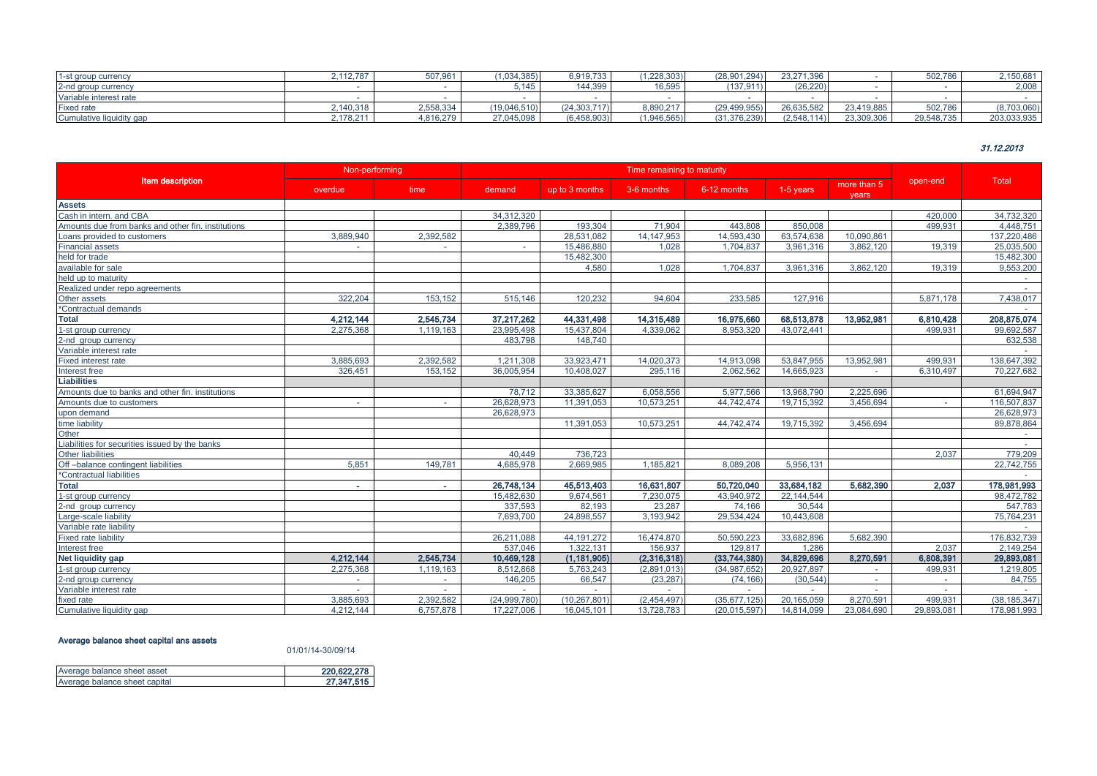| 1-st group currency      | 2.112.787 | 507.961   | 1.034.385    | 6.919.733      | 1.228.303 | (28.901.294) | 23.271.396  |            | 502.786    | 2.150.681   |
|--------------------------|-----------|-----------|--------------|----------------|-----------|--------------|-------------|------------|------------|-------------|
| 2-nd group currency      |           |           |              | 144.399        | 16.595    | (137,911     | (26.220)    |            |            | 2.008       |
| Variable interest rate   |           |           |              |                |           |              |             |            |            |             |
| <b>Fixed rate</b>        | 2.140.318 | 2,558,334 | (19.046.510) | (24, 303, 717) | 8.890.217 | (29.499.955) | 26.635.582  | 23.419.885 | 502.786    | (8,703,060) |
| Cumulative liquidity gap | 2.178.211 | 1.816.279 | 27.045.098   | (6,458,903)    | 1,946,565 | (31.376.239) | (2.548.114) | 23,309,306 | 29,548,735 | 203,033,935 |

## 31.12.2013

|                                                    | Non-performing |           | Time remaining to maturity |                |              |                |            |                      |            |                |
|----------------------------------------------------|----------------|-----------|----------------------------|----------------|--------------|----------------|------------|----------------------|------------|----------------|
| <b>Item description</b>                            | overdue        | time      | demand                     | up to 3 months | 3-6 months   | 6-12 months    | 1-5 years  | more than 5<br>years | open-end   | <b>Total</b>   |
| <b>Assets</b>                                      |                |           |                            |                |              |                |            |                      |            |                |
| Cash in intern. and CBA                            |                |           | 34,312,320                 |                |              |                |            |                      | 420,000    | 34,732,320     |
| Amounts due from banks and other fin. institutions |                |           | 2,389,796                  | 193,304        | 71,904       | 443.808        | 850,008    |                      | 499,931    | 4,448,751      |
| Loans provided to customers                        | 3,889,940      | 2,392,582 |                            | 28,531,082     | 14, 147, 953 | 14,593,430     | 63.574.638 | 10,090,861           |            | 137,220,486    |
| <b>Financial assets</b>                            |                |           |                            | 15,486,880     | 1,028        | 1,704,837      | 3.961.316  | 3.862.120            | 19,319     | 25,035,500     |
| held for trade                                     |                |           |                            | 15,482,300     |              |                |            |                      |            | 15,482,300     |
| available for sale                                 |                |           |                            | 4.580          | 1.028        | 1.704.837      | 3.961.316  | 3.862.120            | 19.319     | 9,553,200      |
| held up to maturity                                |                |           |                            |                |              |                |            |                      |            |                |
| Realized under repo agreements                     |                |           |                            |                |              |                |            |                      |            | $\sim$         |
| Other assets                                       | 322.204        | 153,152   | 515,146                    | 120,232        | 94,604       | 233,585        | 127,916    |                      | 5,871,178  | 7,438,017      |
| *Contractual demands                               |                |           |                            |                |              |                |            |                      |            |                |
| <b>Total</b>                                       | 4,212,144      | 2,545,734 | 37,217,262                 | 44,331,498     | 14,315,489   | 16,975,660     | 68,513,878 | 13,952,981           | 6,810,428  | 208,875,074    |
| 1-st group currency                                | 2,275,368      | 1,119,163 | 23,995,498                 | 15,437,804     | 4,339,062    | 8,953,320      | 43,072,441 |                      | 499,931    | 99,692,587     |
| 2-nd group currency                                |                |           | 483.798                    | 148,740        |              |                |            |                      |            | 632,538        |
| Variable interest rate                             |                |           |                            |                |              |                |            |                      |            |                |
| Fixed interest rate                                | 3.885.693      | 2,392,582 | 1.211.308                  | 33,923,471     | 14,020,373   | 14,913,098     | 53.847.955 | 13.952.981           | 499.931    | 138,647,392    |
| Interest free                                      | 326,451        | 153.152   | 36.005.954                 | 10,408,027     | 295,116      | 2,062,562      | 14,665,923 | $\sim$               | 6,310,497  | 70,227,682     |
| <b>Liabilities</b>                                 |                |           |                            |                |              |                |            |                      |            |                |
| Amounts due to banks and other fin. institutions   |                |           | 78.712                     | 33.385.627     | 6,058,556    | 5,977,566      | 13,968,790 | 2,225,696            |            | 61,694,947     |
| Amounts due to customers                           | $\sim$         |           | 26,628,973                 | 11,391,053     | 10,573,251   | 44.742.474     | 19.715.392 | 3.456.694            |            | 116,507,837    |
| upon demand                                        |                |           | 26.628.973                 |                |              |                |            |                      |            | 26,628,973     |
| time liability                                     |                |           |                            | 11.391.053     | 10.573.251   | 44.742.474     | 19.715.392 | 3.456.694            |            | 89.878.864     |
| Other                                              |                |           |                            |                |              |                |            |                      |            |                |
| Liabilities for securities issued by the banks     |                |           |                            |                |              |                |            |                      |            | $\sim$         |
| <b>Other liabilities</b>                           |                |           | 40.449                     | 736.723        |              |                |            |                      | 2.037      | 779,209        |
| Off-balance contingent liabilities                 | 5,851          | 149,781   | 4,685,978                  | 2,669,985      | 1,185,821    | 8,089,208      | 5,956,131  |                      |            | 22,742,755     |
| *Contractual liabilities                           |                |           |                            |                |              |                |            |                      |            |                |
| <b>Total</b>                                       | $\sim$         |           | 26,748,134                 | 45,513,403     | 16,631,807   | 50,720,040     | 33,684,182 | 5,682,390            | 2.037      | 178,981,993    |
| 1-st group currency                                |                |           | 15,482,630                 | 9,674,561      | 7.230.075    | 43.940.972     | 22,144,544 |                      |            | 98,472,782     |
| 2-nd aroup currency                                |                |           | 337.593                    | 82,193         | 23.287       | 74.166         | 30.544     |                      |            | 547.783        |
| Large-scale liability                              |                |           | 7,693,700                  | 24,898,557     | 3,193,942    | 29,534,424     | 10,443,608 |                      |            | 75,764,231     |
| Variable rate liability                            |                |           |                            |                |              |                |            |                      |            |                |
| <b>Fixed rate liability</b>                        |                |           | 26,211,088                 | 44, 191, 272   | 16,474,870   | 50.590.223     | 33,682,896 | 5,682,390            |            | 176,832,739    |
| Interest free                                      |                |           | 537.046                    | 1,322,131      | 156,937      | 129.817        | 1.286      |                      | 2.037      | 2,149,254      |
| Net liquidity gap                                  | 4,212,144      | 2,545,734 | 10,469,128                 | (1, 181, 905)  | (2,316,318)  | (33,744,380)   | 34,829,696 | 8,270,591            | 6,808,391  | 29,893,081     |
| 1-st group currency                                | 2,275,368      | 1,119,163 | 8.512.868                  | 5,763,243      | (2.891.013)  | (34.987.652)   | 20.927.897 | $\sim$               | 499.931    | 1,219,805      |
| 2-nd group currency                                |                |           | 146,205                    | 66,547         | (23, 287)    | (74, 166)      | (30, 544)  | $\sim$               |            | 84,755         |
| Variable interest rate                             |                |           |                            |                |              |                |            |                      |            |                |
| fixed rate                                         | 3,885,693      | 2.392.582 | (24,999.780)               | (10, 267, 801) | (2,454,497)  | (35.677.125)   | 20.165.059 | 8.270.591            | 499.931    | (38, 185, 347) |
| Cumulative liquidity gap                           | 4,212,144      | 6.757.878 | 17,227,006                 | 16,045,101     | 13,728,783   | (20, 015, 597) | 14,814,099 | 23,084,690           | 29,893,081 | 178,981,993    |

# Average balance sheet capital ans assets

#### 01/01/14-30/09/14

| Average balance sheet asset   | 220.622.278 |
|-------------------------------|-------------|
| Average balance sheet capital | 27.347.515  |